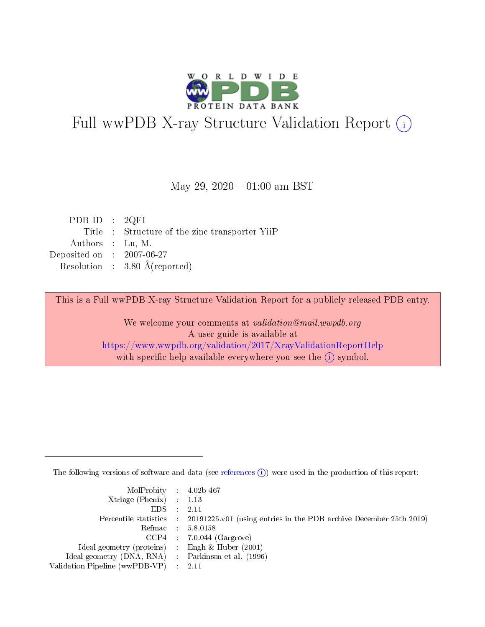

# Full wwPDB X-ray Structure Validation Report (i)

#### May 29,  $2020 - 01:00$  am BST

| PDB ID : $2QFI$             |                                                |
|-----------------------------|------------------------------------------------|
|                             | Title : Structure of the zinc transporter YiiP |
| Authors : Lu, M.            |                                                |
| Deposited on : $2007-06-27$ |                                                |
|                             | Resolution : $3.80 \text{ Å}$ (reported)       |
|                             |                                                |

This is a Full wwPDB X-ray Structure Validation Report for a publicly released PDB entry.

We welcome your comments at validation@mail.wwpdb.org A user guide is available at <https://www.wwpdb.org/validation/2017/XrayValidationReportHelp> with specific help available everywhere you see the  $(i)$  symbol.

The following versions of software and data (see [references](https://www.wwpdb.org/validation/2017/XrayValidationReportHelp#references)  $(i)$ ) were used in the production of this report:

| MolProbity : $4.02b-467$                            |                                                                                            |
|-----------------------------------------------------|--------------------------------------------------------------------------------------------|
| Xtriage (Phenix) $: 1.13$                           |                                                                                            |
| EDS -                                               | 2.11                                                                                       |
|                                                     | Percentile statistics : 20191225.v01 (using entries in the PDB archive December 25th 2019) |
|                                                     | Refmac 58.0158                                                                             |
|                                                     | $CCP4$ 7.0.044 (Gargrove)                                                                  |
| Ideal geometry (proteins) : Engh $\&$ Huber (2001)  |                                                                                            |
| Ideal geometry (DNA, RNA) : Parkinson et al. (1996) |                                                                                            |
| Validation Pipeline (wwPDB-VP)                      | -2.11                                                                                      |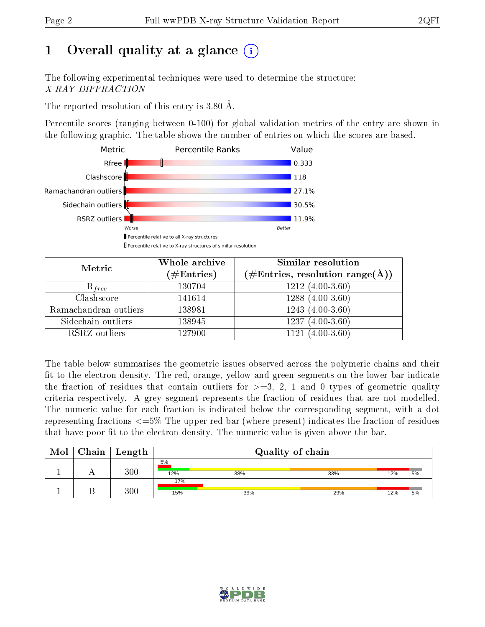# 1 [O](https://www.wwpdb.org/validation/2017/XrayValidationReportHelp#overall_quality)verall quality at a glance  $(i)$

The following experimental techniques were used to determine the structure: X-RAY DIFFRACTION

The reported resolution of this entry is 3.80 Å.

Percentile scores (ranging between 0-100) for global validation metrics of the entry are shown in the following graphic. The table shows the number of entries on which the scores are based.



| Metric                | Whole archive<br>$(\#\text{Entries})$ | Similar resolution<br>$(\#\text{Entries}, \text{resolution range}(\text{\AA}))$ |
|-----------------------|---------------------------------------|---------------------------------------------------------------------------------|
| $R_{free}$            | 130704                                | $1212(4.00-3.60)$                                                               |
| Clashscore            | 141614                                | $1288(4.00-3.60)$                                                               |
| Ramachandran outliers | 138981                                | $1243(4.00-3.60)$                                                               |
| Sidechain outliers    | 138945                                | $1237(4.00-3.60)$                                                               |
| RSRZ outliers         | 127900                                | $(4.00-3.60)$<br>1121                                                           |

The table below summarises the geometric issues observed across the polymeric chains and their fit to the electron density. The red, orange, yellow and green segments on the lower bar indicate the fraction of residues that contain outliers for  $>=$  3, 2, 1 and 0 types of geometric quality criteria respectively. A grey segment represents the fraction of residues that are not modelled. The numeric value for each fraction is indicated below the corresponding segment, with a dot representing fractions  $\epsilon=5\%$  The upper red bar (where present) indicates the fraction of residues that have poor fit to the electron density. The numeric value is given above the bar.

| Mol | Chain | Length  |            | Quality of chain |     |     |    |  |  |  |
|-----|-------|---------|------------|------------------|-----|-----|----|--|--|--|
|     |       | 300     | 5%<br>12%  | 38%              | 33% | 12% | 5% |  |  |  |
|     |       | $300\,$ | 17%<br>15% | 39%              | 29% | 12% | 5% |  |  |  |

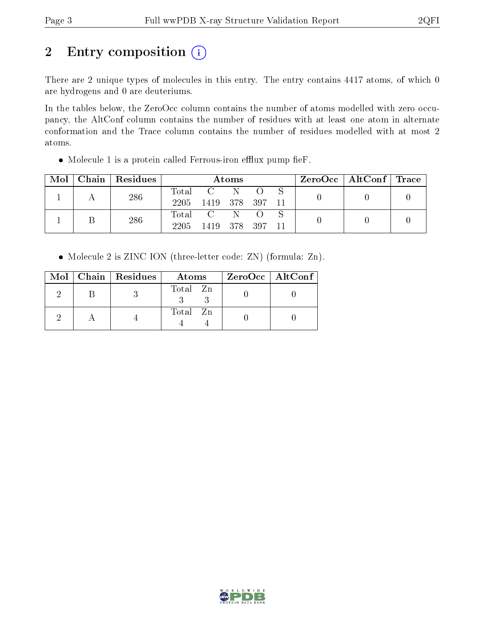# 2 Entry composition (i)

There are 2 unique types of molecules in this entry. The entry contains 4417 atoms, of which 0 are hydrogens and 0 are deuteriums.

In the tables below, the ZeroOcc column contains the number of atoms modelled with zero occupancy, the AltConf column contains the number of residues with at least one atom in alternate conformation and the Trace column contains the number of residues modelled with at most 2 atoms.

 $\bullet$  Molecule 1 is a protein called Ferrous-iron efflux pump fieF.

| Mol | Chain   Residues | Atoms                    |                                                                       |     |  |    | $\text{ZeroOcc}$   AltConf   Trace |  |
|-----|------------------|--------------------------|-----------------------------------------------------------------------|-----|--|----|------------------------------------|--|
|     | 286              | Total<br>2205            | 1419 378 397                                                          | N.  |  | 11 |                                    |  |
|     | 286              | $\mathrm{Total}$<br>2205 | $\overline{\mathbf{C}}$ . The $\overline{\mathbf{C}}$<br>1419 378 397 | -N- |  |    |                                    |  |

• Molecule 2 is ZINC ION (three-letter code: ZN) (formula: Zn).

|  | Mol   Chain   Residues | Atoms    | $ZeroOcc$   AltConf |
|--|------------------------|----------|---------------------|
|  |                        | Total Zn |                     |
|  |                        | Total Zn |                     |

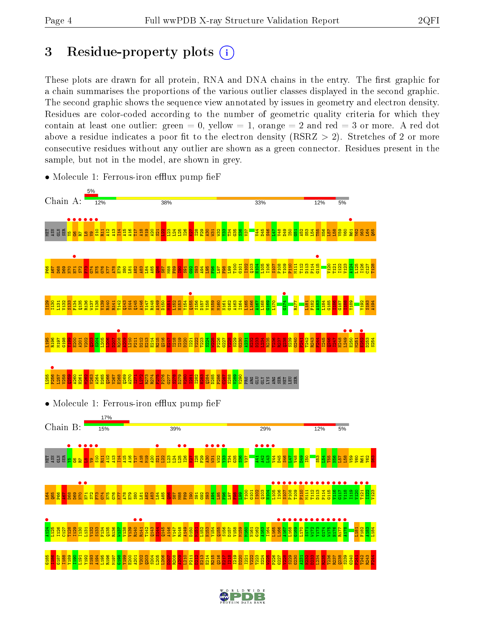# 3 Residue-property plots  $(i)$

These plots are drawn for all protein, RNA and DNA chains in the entry. The first graphic for a chain summarises the proportions of the various outlier classes displayed in the second graphic. The second graphic shows the sequence view annotated by issues in geometry and electron density. Residues are color-coded according to the number of geometric quality criteria for which they contain at least one outlier: green  $= 0$ , yellow  $= 1$ , orange  $= 2$  and red  $= 3$  or more. A red dot above a residue indicates a poor fit to the electron density (RSRZ  $> 2$ ). Stretches of 2 or more consecutive residues without any outlier are shown as a green connector. Residues present in the sample, but not in the model, are shown in grey.



• Molecule 1: Ferrous-iron efflux pump fie $F$ 

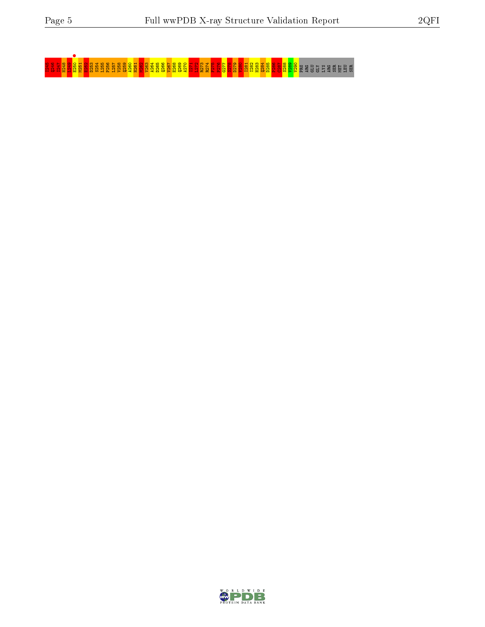I245 Q246 I247 H248 L249 E250 • M251 E252 D253 S254 L255 P256 L257 V258 Q259 A260 H261 M262 V263 A264 D265 Q266 V267 E268 Q269 A270 I271 L272 R273 R274 F275 P276 G277 S278 D279 V280 I281 I282 H283 Q284 D285 P286 C287 S288 V289 V290 PRO ARG GLU GLY LYS ARG SER MET LEU SER

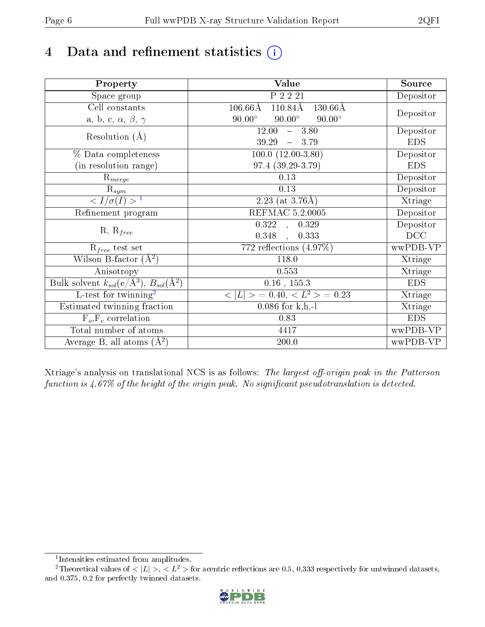# 4 Data and refinement statistics  $(i)$

| Property                                                             | Value                                           | Source                       |
|----------------------------------------------------------------------|-------------------------------------------------|------------------------------|
| Space group                                                          | P 2 2 21                                        | Depositor                    |
| Cell constants                                                       | $106.66\rm\AA$<br>110.84Å<br>$130.66\text{\AA}$ |                              |
| a, b, c, $\alpha$ , $\beta$ , $\gamma$                               | $90.00^\circ$<br>$90.00^\circ$<br>$90.00^\circ$ | Depositor                    |
| Resolution $(A)$                                                     | 12.00<br>$-3.80$                                | Depositor                    |
|                                                                      | 39.29<br>$-3.79$                                | <b>EDS</b>                   |
| % Data completeness                                                  | $100.0 (12.00-3.80)$                            | Depositor                    |
| (in resolution range)                                                | 97.4 (39.29-3.79)                               | <b>EDS</b>                   |
| $R_{merge}$                                                          | $0.13\,$                                        | Depositor                    |
| $\mathrm{R}_{sym}$                                                   | 0.13                                            | Depositor                    |
| $\langle I/\sigma(I) \rangle^{-1}$                                   | 2.23 (at $3.76\text{\AA}$ )                     | Xtriage                      |
| Refinement program                                                   | <b>REFMAC 5.2.0005</b>                          | Depositor                    |
|                                                                      | $\overline{0.322}$ ,<br>0.329                   | Depositor                    |
| $R, R_{free}$                                                        | 0.348<br>0.333<br>$\ddot{\phantom{a}}$          | DCC                          |
| $R_{free}$ test set                                                  | 772 reflections $(4.97\%)$                      | wwPDB-VP                     |
| Wilson B-factor $(A^2)$                                              | 118.0                                           | Xtriage                      |
| Anisotropy                                                           | 0.553                                           | Xtriage                      |
| Bulk solvent $k_{sol}(e/\mathring{A}^3)$ , $B_{sol}(\mathring{A}^2)$ | $0.16$ , $155.3$                                | <b>EDS</b>                   |
| L-test for twinning <sup>2</sup>                                     | $< L >$ = 0.40, $< L2 >$ = 0.23                 | $\overline{\text{X}}$ triage |
| Estimated twinning fraction                                          | $0.086$ for k,h,-l                              | Xtriage                      |
| $F_o, F_c$ correlation                                               | 0.83                                            | <b>EDS</b>                   |
| Total number of atoms                                                | 4417                                            | wwPDB-VP                     |
| Average B, all atoms $(A^2)$                                         | 200.0                                           | wwPDB-VP                     |

Xtriage's analysis on translational NCS is as follows: The largest off-origin peak in the Patterson function is  $4.67\%$  of the height of the origin peak. No significant pseudotranslation is detected.

<sup>&</sup>lt;sup>2</sup>Theoretical values of  $\langle |L| \rangle$ ,  $\langle L^2 \rangle$  for acentric reflections are 0.5, 0.333 respectively for untwinned datasets, and 0.375, 0.2 for perfectly twinned datasets.



<span id="page-5-1"></span><span id="page-5-0"></span><sup>1</sup> Intensities estimated from amplitudes.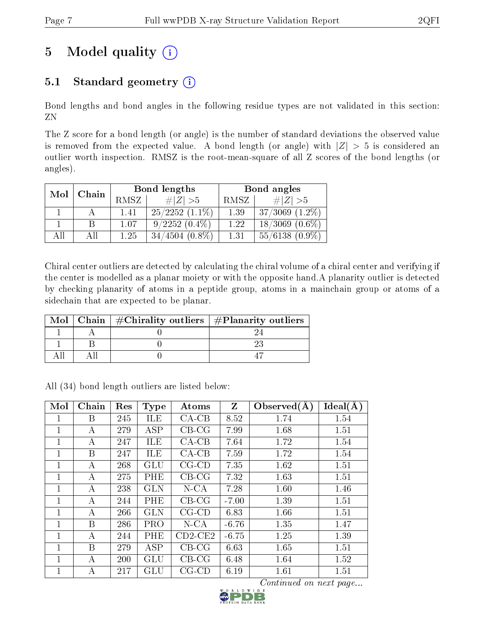# 5 Model quality  $(i)$

## 5.1 Standard geometry  $(i)$

Bond lengths and bond angles in the following residue types are not validated in this section: ZN

The Z score for a bond length (or angle) is the number of standard deviations the observed value is removed from the expected value. A bond length (or angle) with  $|Z| > 5$  is considered an outlier worth inspection. RMSZ is the root-mean-square of all Z scores of the bond lengths (or angles).

| Mol | Chain |      | Bond lengths        | Bond angles |                     |  |
|-----|-------|------|---------------------|-------------|---------------------|--|
|     |       | RMSZ | $\ Z\  > 5$         | RMSZ        | $\# Z  > 5$         |  |
|     |       | 1.41 | $25/2252$ $(1.1\%)$ | 1.39        | $37/3069$ $(1.2\%)$ |  |
|     |       | 1.07 | $9/2252(0.4\%)$     | 1.22        | $18/3069$ $(0.6\%)$ |  |
| AH  | ΑH    | 1 25 | $34/4504$ $(0.8\%)$ | 1.31        | $55/6138(0.9\%)$    |  |

Chiral center outliers are detected by calculating the chiral volume of a chiral center and verifying if the center is modelled as a planar moiety or with the opposite hand.A planarity outlier is detected by checking planarity of atoms in a peptide group, atoms in a mainchain group or atoms of a sidechain that are expected to be planar.

|  | Mol   Chain   $\#\text{Chirality outliers}$   $\#\text{Planarity outliers}$ |  |
|--|-----------------------------------------------------------------------------|--|
|  |                                                                             |  |
|  |                                                                             |  |
|  |                                                                             |  |

All (34) bond length outliers are listed below:

| Mol          | Chain | Res | <b>Type</b> | Atoms       | $\mathbf{Z}$ | Observed $(A)$                | Ideal(A) |
|--------------|-------|-----|-------------|-------------|--------------|-------------------------------|----------|
| 1            | B     | 245 | ILE         | $CA-CB$     | 8.52         | 1.74                          | 1.54     |
| $\mathbf{1}$ | А     | 279 | ASP         | $CB-CG$     | 7.99         | 1.68                          | 1.51     |
| $\mathbf{1}$ | А     | 247 | ILE         | $CA-CB$     | 7.64         | 1.72                          | 1.54     |
| $\mathbf{1}$ | B     | 247 | <b>ILE</b>  | $CA-CB$     | 7.59         | 1.72                          | 1.54     |
| $\mathbf 1$  | А     | 268 | GLU         | $CG$ - $CD$ | 7.35         | 1.62                          | 1.51     |
| $\mathbf{1}$ | А     | 275 | PHE         | $CB-CG$     | 7.32         | 1.63                          | 1.51     |
| 1            | А     | 238 | <b>GLN</b>  | $N$ -CA     | 7.28         | 1.60                          | 1.46     |
| $\mathbf{1}$ | А     | 244 | PHE         | $CB-CG$     | $-7.00$      | 1.39                          | 1.51     |
| $\mathbf{1}$ | А     | 266 | <b>GLN</b>  | $CG$ - $CD$ | 6.83         | 1.66                          | 1.51     |
| $\mathbf{1}$ | B     | 286 | PRO         | $N$ -CA     | $-6.76$      | 1.35                          | 1.47     |
| $\mathbf{1}$ | А     | 244 | PHE         | $CD2-CE2$   | $-6.75$      | 1.25                          | 1.39     |
| $\mathbf{1}$ | B     | 279 | <b>ASP</b>  | $CB-CG$     | 6.63         | 1.65                          | 1.51     |
| 1            | А     | 200 | GLU         | $CB-CG$     | 6.48         | 1.64                          | 1.52     |
| 1            | А     | 217 | GLU         | $CG$ - $CD$ | 6.19         | 1.61                          | 1.51     |
|              |       |     |             |             |              | <i>Continued on next page</i> |          |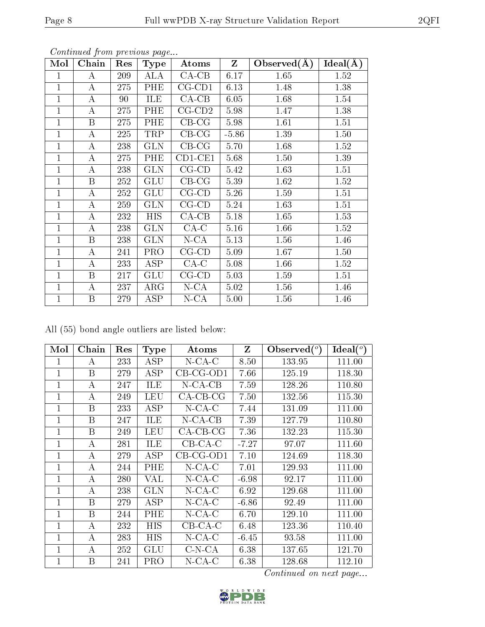| Mol          | Chain            | Res | Type       | Atoms        | $\mathbf{Z}$ | Observed $(A)$ | $Ideal(\AA)$ |
|--------------|------------------|-----|------------|--------------|--------------|----------------|--------------|
| $\mathbf{1}$ | A                | 209 | <b>ALA</b> | $CA-CB$      | 6.17         | 1.65           | 1.52         |
| $\mathbf{1}$ | $\bf{A}$         | 275 | PHE        | $CG$ - $CD1$ | 6.13         | 1.48           | 1.38         |
| $\mathbf{1}$ | $\bf{A}$         | 90  | ILE        | $CA-CB$      | 6.05         | 1.68           | 1.54         |
| $\mathbf{1}$ | $\bf{A}$         | 275 | PHE        | $CG$ - $CD2$ | 5.98         | 1.47           | 1.38         |
| $\mathbf{1}$ | $\boldsymbol{B}$ | 275 | PHE        | $CB-CG$      | 5.98         | 1.61           | 1.51         |
| 1            | A                | 225 | TRP        | $CB-CG$      | $-5.86$      | 1.39           | 1.50         |
| $\mathbf{1}$ | $\bf{A}$         | 238 | <b>GLN</b> | $CB-CG$      | 5.70         | 1.68           | 1.52         |
| $\mathbf{1}$ | Α                | 275 | PHE        | $CD1$ -CE1   | 5.68         | 1.50           | 1.39         |
| $\mathbf{1}$ | $\bf{A}$         | 238 | <b>GLN</b> | $CG$ - $CD$  | 5.42         | 1.63           | 1.51         |
| $\mathbf{1}$ | $\boldsymbol{B}$ | 252 | <b>GLU</b> | $CB-CG$      | 5.39         | 1.62           | 1.52         |
| $\mathbf 1$  | A                | 252 | <b>GLU</b> | $CG$ - $CD$  | 5.26         | 1.59           | 1.51         |
| $\mathbf{1}$ | A                | 259 | <b>GLN</b> | $CG$ - $CD$  | 5.24         | 1.63           | 1.51         |
| $\mathbf{1}$ | $\bf{A}$         | 232 | <b>HIS</b> | $CA-CB$      | 5.18         | 1.65           | 1.53         |
| $\mathbf{1}$ | A                | 238 | <b>GLN</b> | $CA-C$       | 5.16         | 1.66           | 1.52         |
| $\mathbf{1}$ | $\boldsymbol{B}$ | 238 | <b>GLN</b> | $N$ -CA      | 5.13         | 1.56           | 1.46         |
| $\mathbf{1}$ | A                | 241 | <b>PRO</b> | $CG$ - $CD$  | 5.09         | 1.67           | 1.50         |
| $\mathbf{1}$ | $\bf{A}$         | 233 | <b>ASP</b> | $CA-C$       | 5.08         | 1.66           | 1.52         |
| 1            | B                | 217 | <b>GLU</b> | $CG$ - $CD$  | 5.03         | 1.59           | 1.51         |
| $\mathbf{1}$ | A                | 237 | $\rm{ARG}$ | $N$ -CA      | 5.02         | 1.56           | 1.46         |
| $\mathbf{1}$ | B                | 279 | ASP        | $N$ -CA      | 5.00         | 1.56           | 1.46         |

All (55) bond angle outliers are listed below:

| Mol          | Chain            | Res | Type       | Atoms       | Z       | $\text{Observed}({}^o)$ | $\text{Ideal}({}^o)$ |
|--------------|------------------|-----|------------|-------------|---------|-------------------------|----------------------|
| 1            | А                | 233 | ASP        | $N$ -CA-C   | 8.50    | 133.95                  | 111.00               |
| $\mathbf{1}$ | B                | 279 | <b>ASP</b> | CB-CG-OD1   | 7.66    | 125.19                  | 118.30               |
| 1            | $\boldsymbol{A}$ | 247 | ILE        | $N$ -CA-CB  | 7.59    | 128.26                  | 110.80               |
| 1            | А                | 249 | <b>LEU</b> | $CA-CB-CG$  | 7.50    | 132.56                  | 115.30               |
| $\mathbf 1$  | B                | 233 | <b>ASP</b> | $N$ -CA-C   | 7.44    | 131.09                  | 111.00               |
| $\mathbf{1}$ | B                | 247 | ILE        | $N$ -CA-CB  | 7.39    | 127.79                  | 110.80               |
| 1            | B                | 249 | <b>LEU</b> | $CA-CB-CG$  | 7.36    | 132.23                  | 115.30               |
| $\mathbf{1}$ | А                | 281 | ILE        | $CB-CA-C$   | $-7.27$ | 97.07                   | 111.60               |
| 1            | А                | 279 | ASP        | $CB-CG-OD1$ | 7.10    | 124.69                  | 118.30               |
| $\mathbf 1$  | $\bf{A}$         | 244 | PHE        | $N$ -CA-C   | 7.01    | 129.93                  | 111.00               |
| 1            | A                | 280 | VAL        | $N$ -CA-C   | $-6.98$ | 92.17                   | 111.00               |
| $\mathbf{1}$ | $\overline{A}$   | 238 | <b>GLN</b> | $N$ -CA-C   | 6.92    | 129.68                  | 111.00               |
| $\mathbf{1}$ | B                | 279 | ASP        | $N$ -CA-C   | $-6.86$ | 92.49                   | 111.00               |
| $\mathbf{1}$ | B                | 244 | PHE        | $N$ -CA-C   | 6.70    | 129.10                  | 111.00               |
| $\mathbf{1}$ | А                | 232 | HIS        | $CB$ -CA-C  | 6.48    | 123.36                  | 110.40               |
| $\mathbf{1}$ | А                | 283 | HIS        | $N$ -CA-C   | $-6.45$ | 93.58                   | 111.00               |
| 1            | А                | 252 | GLU        | $C-N-CA$    | 6.38    | 137.65                  | 121.70               |
| 1            | B                | 241 | PRO        | $N$ -CA-C   | 6.38    | 128.68                  | 112.10               |

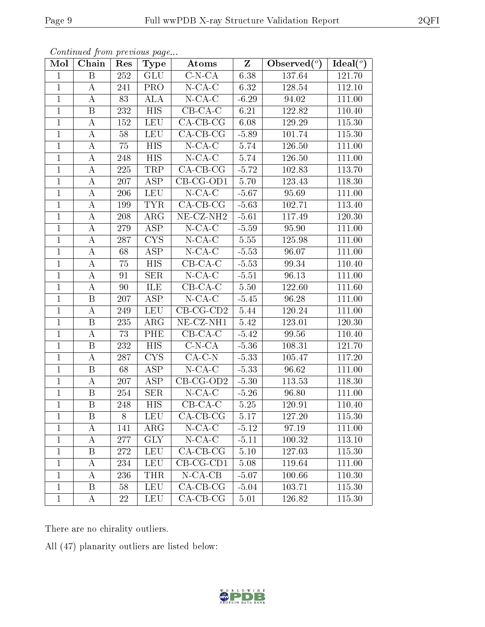| Mol            | Chain              | Res | Type                                        | Atoms                      | Z        | $\text{Observed}({}^o)$ | Ideal $(°)$ |
|----------------|--------------------|-----|---------------------------------------------|----------------------------|----------|-------------------------|-------------|
| $\mathbf{1}$   | B                  | 252 | $\overline{\text{GLU}}$                     | $\overline{\text{C-N-CA}}$ | 6.38     | 137.64                  | 121.70      |
| $\mathbf{1}$   | A                  | 241 | <b>PRO</b>                                  | $N$ -CA-C                  | 6.32     | 128.54                  | 112.10      |
| $\mathbf{1}$   | А                  | 83  | $\overline{\mathrm{A}}\mathrm{L}\mathrm{A}$ | $N$ -CA-C                  | $-6.29$  | 94.02                   | 111.00      |
| $\mathbf{1}$   | $\boldsymbol{B}$   | 232 | <b>HIS</b>                                  | $CB-CA-C$                  | 6.21     | 122.82                  | 110.40      |
| $\mathbf{1}$   | $\bf{A}$           | 152 | <b>LEU</b>                                  | $\overline{CA-CB-CG}$      | 6.08     | 129.29                  | 115.30      |
| $\mathbf{1}$   | $\bf{A}$           | 58  | <b>LEU</b>                                  | $CA$ -CB-CG                | $-5.89$  | 101.74                  | 115.30      |
| $\mathbf{1}$   | $\bf{A}$           | 75  | $H\overline{IS}$                            | $N$ -CA-C                  | 5.74     | 126.50                  | 111.00      |
| $\overline{1}$ | $\overline{A}$     | 248 | <b>HIS</b>                                  | $N$ -CA-C                  | 5.74     | 126.50                  | 111.00      |
| $\mathbf{1}$   | $\bf{A}$           | 225 | TRP                                         | $\overline{CA}$ -CB-CG     | $-5.72$  | 102.83                  | 113.70      |
| $\mathbf{1}$   | $\boldsymbol{A}$   | 207 | $\overline{\text{ASP}}$                     | $CB-CG-OD1$                | 5.70     | 123.43                  | 118.30      |
| $\mathbf{1}$   | $\bf{A}$           | 206 | <b>LEU</b>                                  | $N$ -CA-C                  | $-5.67$  | 95.69                   | 111.00      |
| $\overline{1}$ | $\overline{\rm A}$ | 199 | <b>TYR</b>                                  | $CA-CB-CG$                 | $-5.63$  | 102.71                  | 113.40      |
| $\mathbf{1}$   | $\bf{A}$           | 208 | $\rm{ARG}$                                  | NE-CZ-NH <sub>2</sub>      | $-5.61$  | 117.49                  | 120.30      |
| $\mathbf{1}$   | $\boldsymbol{A}$   | 279 | <b>ASP</b>                                  | $N$ -CA-C                  | $-5.59$  | 95.90                   | 111.00      |
| $\mathbf{1}$   | A                  | 287 | <b>CYS</b>                                  | $N$ -CA-C                  | 5.55     | 125.98                  | 111.00      |
| $\mathbf{1}$   | $\boldsymbol{A}$   | 68  | $\overline{\text{ASP}}$                     | $N$ -CA-C                  | $-5.53$  | 96.07                   | 111.00      |
| $\mathbf{1}$   | $\bf{A}$           | 75  | $\overline{HIS}$                            | $CB-CA-C$                  | $-5.53$  | 99.34                   | 110.40      |
| $\mathbf{1}$   | $\boldsymbol{A}$   | 91  | <b>SER</b>                                  | $N$ -CA-C                  | $-5.51$  | 96.13                   | 111.00      |
| $\mathbf{1}$   | $\boldsymbol{A}$   | 90  | ILE                                         | $CB-CA-C$                  | 5.50     | 122.60                  | 111.60      |
| $\mathbf{1}$   | $\, {\bf B}$       | 207 | <b>ASP</b>                                  | $N$ -CA-C                  | $-5.45$  | 96.28                   | 111.00      |
| $\mathbf{1}$   | $\bf{A}$           | 249 | <b>LEU</b>                                  | $CB-CG-CD2$                | 5.44     | 120.24                  | 111.00      |
| $\mathbf{1}$   | $\, {\bf B}$       | 235 | $\rm{ARG}$                                  | NE-CZ-NH1                  | 5.42     | 123.01                  | 120.30      |
| $\mathbf{1}$   | $\bf{A}$           | 73  | PHE                                         | $CB-CA-C$                  | $-5.42$  | 99.56                   | 110.40      |
| $\mathbf{1}$   | B                  | 232 | <b>HIS</b>                                  | $\overline{C}$ -N-CA       | $-5.36$  | 108.31                  | 121.70      |
| $\mathbf{1}$   | $\bf{A}$           | 287 | <b>CYS</b>                                  | $CA-C-N$                   | $-5.33$  | 105.47                  | 117.20      |
| $\mathbf{1}$   | B                  | 68  | <b>ASP</b>                                  | $N$ -CA-C                  | $-5.33$  | 96.62                   | 111.00      |
| $\overline{1}$ | $\overline{A}$     | 207 | $\overline{\text{ASP}}$                     | $CB-CG-OD2$                | $-5.30$  | 113.53                  | 118.30      |
| $\mathbf{1}$   | B                  | 254 | <b>SER</b>                                  | $N$ -CA-C                  | $-5.26$  | 96.80                   | 111.00      |
| $\mathbf{1}$   | $\, {\bf B}$       | 248 | $\overline{HIS}$                            | $CB-CA-C$                  | $5.25\,$ | 120.91                  | 110.40      |
| $\perp$        | В                  | 8   | <b>LEU</b>                                  | $\overline{CA-CB-CG}$      | 5.17     | 127.20                  | 115.30      |
| $\mathbf{1}$   | Α                  | 141 | $\rm{ARG}$                                  | $N$ -CA-C                  | $-5.12$  | 97.19                   | 111.00      |
| 1              | $\boldsymbol{A}$   | 277 | <b>GLY</b>                                  | $N$ -CA-C                  | $-5.11$  | 100.32                  | 113.10      |
| $\mathbf{1}$   | B                  | 272 | <b>LEU</b>                                  | $CA-CB-CG$                 | $5.10\,$ | 127.03                  | 115.30      |
| $\mathbf 1$    | A                  | 234 | <b>LEU</b>                                  | $CB-CG-CD1$                | 5.08     | 119.64                  | 111.00      |
| $\mathbf{1}$   | А                  | 236 | <b>THR</b>                                  | $N$ -CA-CB                 | $-5.07$  | 100.66                  | 110.30      |
| $\mathbf{1}$   | Β                  | 58  | <b>LEU</b>                                  | $CA-CB-CG$                 | $-5.04$  | 103.71                  | 115.30      |
| $\mathbf{1}$   | A                  | 22  | LEU                                         | $CA$ -CB-CG                | 5.01     | 126.82                  | 115.30      |

Continued from previous page...

There are no chirality outliers.

All (47) planarity outliers are listed below:

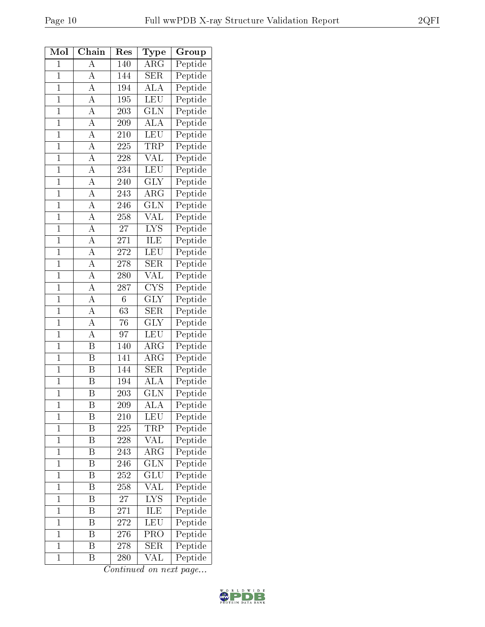| Mol            | ${\bf Chain}$           | $_{\rm Res}$     | $_{\rm Type}$           | Group                          |
|----------------|-------------------------|------------------|-------------------------|--------------------------------|
| $\overline{1}$ | A                       | 140              | $\overline{\rm{ARG}}$   | Peptide                        |
| $\overline{1}$ | A                       | 144              | <b>SER</b>              | Peptide                        |
| $\overline{1}$ | A                       | 194              | <b>ALA</b>              | Peptide                        |
| $\overline{1}$ | А                       | 195              | LEU                     | $\overline{\mathrm{Pept}}$ ide |
| $\overline{1}$ | $\overline{\rm A}$      | 203              | <b>GLN</b>              | Peptide                        |
| $\overline{1}$ | $\overline{A}$          | 209              | $\overline{\rm ALA}$    | Peptide                        |
| $\overline{1}$ | $\overline{\rm A}$      | 210              | <b>LEU</b>              | Peptide                        |
| $\mathbf{1}$   | A                       | 225              | TRP                     | Peptide                        |
| $\overline{1}$ | $\overline{\rm A}$      | 228              | $\overline{\text{VAL}}$ | Peptide                        |
| $\overline{1}$ | $\overline{\rm A}$      | 234              | <b>LEU</b>              | Peptide                        |
| $\overline{1}$ | $\overline{A}$          | 240              | $\overline{\text{GLY}}$ | Peptide                        |
| $\overline{1}$ | $\overline{\rm A}$      | 243              | ${\rm ARG}$             | Peptide                        |
| $\mathbf{1}$   | $\overline{\rm A}$      | 246              | <b>GLN</b>              | $\overline{\text{Pe}}$ ptide   |
| $\overline{1}$ | $\overline{\rm A}$      | 258              | $\overline{\text{VAL}}$ | Peptide                        |
| $\overline{1}$ | $\overline{\rm A}$      | 27               | $\overline{\text{LYS}}$ | Peptide                        |
| $\overline{1}$ | $\overline{\rm A}$      | 271              | ILE                     | Peptide                        |
| $\mathbf{1}$   | $\overline{\rm A}$      | 272              | LEU                     | Peptide                        |
| $\overline{1}$ | $\overline{\rm A}$      | 278              | $\overline{\text{SER}}$ | Peptide                        |
| $\overline{1}$ | A                       | 280              | VAL                     | Peptide                        |
| $\overline{1}$ | A                       | $\overline{287}$ | $\overline{\text{CYS}}$ | Peptide                        |
| $\overline{1}$ | A                       | $\sqrt{6}$       | <b>GLY</b>              | Peptide                        |
| $\overline{1}$ | A                       | $\overline{63}$  | <b>SER</b>              | Peptide                        |
| $\overline{1}$ | $\overline{\rm A}$      | $\overline{76}$  | <b>GLY</b>              | Peptide                        |
| $\overline{1}$ | $\overline{\rm A}$      | 97               | LEU                     | Peptide                        |
| $\overline{1}$ | B                       | 140              | ${\rm ARG}$             | Peptide                        |
| $\overline{1}$ | $\overline{\mathrm{B}}$ | 141              | $\rm{ARG}$              | Peptide                        |
| $\mathbf{1}$   | $\overline{\mathrm{B}}$ | 144              | <b>SER</b>              | Peptide                        |
| $\overline{1}$ | $\overline{\mathrm{B}}$ | 194              | $\overline{\rm ALA}$    | Peptide                        |
| $\overline{1}$ | B                       | 203              | <b>GLN</b>              | Peptide                        |
| 1              | Β                       | 209              | ALA                     | Peptide                        |
| $\mathbf 1$    | Β                       | 210              | <b>LEU</b>              | Peptide                        |
| $\mathbf 1$    | Β                       | 225              | TRP                     | Peptide                        |
| $\mathbf{1}$   | $\overline{\mathrm{B}}$ | 228              | VAL                     | Peptide                        |
| $\mathbf{1}$   | Β                       | 243              | ${\rm ARG}$             | Peptide                        |
| $\overline{1}$ | B                       | 246              | $\overline{\text{GLN}}$ | Peptide                        |
| $\mathbf{1}$   | Β                       | 252              | $_{\rm GLU}$            | Peptide                        |
| $\mathbf{1}$   | B                       | 258              | $\overline{\text{VAL}}$ | Peptide                        |
| $\mathbf{1}$   | Β                       | 27               | $\overline{\text{LYS}}$ | Peptide                        |
| $\overline{1}$ | Β                       | 271              | ILE                     | Peptide                        |
| $\mathbf{1}$   | Β                       | 272              | LEU                     | Peptide                        |
| $\mathbf 1$    | Β                       | 276              | PRO                     | Peptide                        |
| $\mathbf{1}$   | Β                       | 278              | <b>SER</b>              | Peptide                        |
| $\mathbf{1}$   | Β                       | 280              | VAL                     | Peptide                        |
|                |                         |                  |                         |                                |

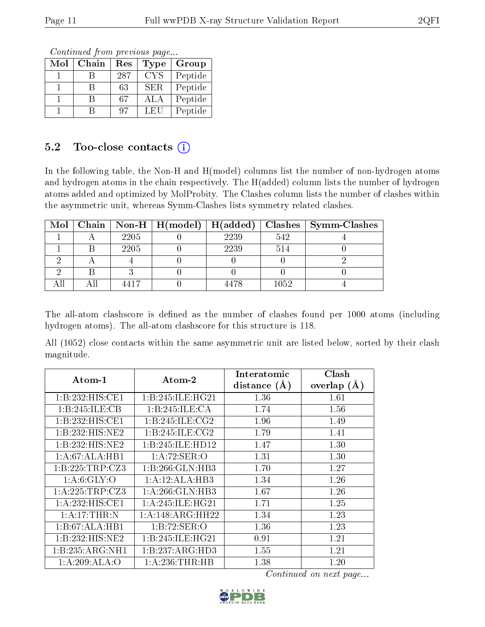Continued from previous page...

| Mol | Chain | Res | Type       | Group   |
|-----|-------|-----|------------|---------|
|     |       | 287 | <b>CYS</b> | Peptide |
|     |       | 63  | <b>SER</b> | Peptide |
|     |       | 67  | ALA        | Peptide |
|     |       | 97  | LEU        | Peptide |

### 5.2 Too-close contacts  $(i)$

In the following table, the Non-H and H(model) columns list the number of non-hydrogen atoms and hydrogen atoms in the chain respectively. The H(added) column lists the number of hydrogen atoms added and optimized by MolProbity. The Clashes column lists the number of clashes within the asymmetric unit, whereas Symm-Clashes lists symmetry related clashes.

|  |      |      |      | Mol   Chain   Non-H   H(model)   H(added)   Clashes   Symm-Clashes |
|--|------|------|------|--------------------------------------------------------------------|
|  | 2205 | 2239 | 542  |                                                                    |
|  | 2205 | 2239 | 514  |                                                                    |
|  |      |      |      |                                                                    |
|  |      |      |      |                                                                    |
|  |      | 4478 | 1052 |                                                                    |

The all-atom clashscore is defined as the number of clashes found per 1000 atoms (including hydrogen atoms). The all-atom clashscore for this structure is 118.

All (1052) close contacts within the same asymmetric unit are listed below, sorted by their clash magnitude.

| Atom-1                       | $\boldsymbol{\mathrm{Atom}\text{-}2}$ | Interatomic    | Clash          |
|------------------------------|---------------------------------------|----------------|----------------|
|                              |                                       | distance $(A)$ | overlap<br>(A) |
| 1:B:232:HIS:CE1              | 1:B:245:ILE:HG21                      | 1.36           | 1.61           |
| 1:B:245:ILE:CB               | 1:B:245:ILE:CA                        | 1.74           | 1.56           |
| 1:B:232:HIS:CE1              | 1:B:245:ILE:CG2                       | 1.96           | 1.49           |
| 1:B:232:HIS:NE2              | 1: B: 245: ILE: CG2                   | 1.79           | 1.41           |
| 1:B:232:HIS:NE2              | 1:B:245:ILE:HD12                      | 1.47           | 1.30           |
| 1:A:67:ALA:HB1               | 1: A:72: SER:O                        | 1.31           | 1.30           |
| 1:B:225:TRP:CZ3              | 1:B:266:GLN:HB3                       | 1.70           | 1.27           |
| 1: A:6: GLY:O                | 1:A:12:ALA:HB3                        | 1.34           | 1.26           |
| 1:A:225:TRP:CZ3              | 1: A:266: GLN:HB3                     | 1.67           | 1.26           |
| 1:A:232:HIS:CE1              | 1: A:245: ILE: HG21                   | 1.71           | 1.25           |
| 1: A:17:THR:N                | 1: A:148: ARG:HH22                    | 1.34           | 1.23           |
| 1:B:67:ALA:HB1               | 1:B:72:SER:O                          | 1.36           | 1.23           |
| 1:B:232:HIS:NE2              | 1:B:245:ILE:HG21                      | 0.91           | 1.21           |
| $1:B:235:ARG:\overline{NH1}$ | 1:B:237:ARG:HD3                       | 1.55           | 1.21           |
| 1:A:209:ALA:O                | 1: A:236:THR:HB                       | 1.38           | 1.20           |

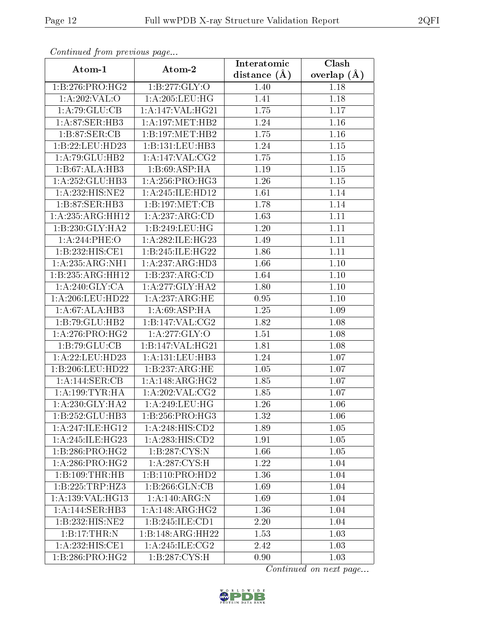| Comunaca jiom previous page        |                              | Interatomic       | Clash             |
|------------------------------------|------------------------------|-------------------|-------------------|
| Atom-1                             | Atom-2                       | distance $(A)$    | overlap $(\AA)$   |
| 1:B:276:PRO:HG2                    | 1:B:277:GLY:O                | 1.40              | 1.18              |
| 1: A:202:VAL:O                     | 1: A:205:LEU:HG              | 1.41              | 1.18              |
| 1:A:79:GLU:CB                      | 1:A:147:VAL:HG21             | 1.75              | $1.17\,$          |
| 1:A:87:SER:HB3                     | 1: A:197: MET:HB2            | 1.24              | 1.16              |
| 1:B:87:SER:CB                      | 1:B:197:MET:HB2              | 1.75              | 1.16              |
| 1:B:22:LEU:HD23                    | 1:B:131:LEU:HB3              | 1.24              | 1.15              |
| 1:A:79:GLU:HB2                     | 1:A:147:VAL:CG2              | 1.75              | $\overline{1.15}$ |
| 1:B:67:ALA:HB3                     | 1:B:69:ASP:HA                | 1.19              | 1.15              |
| 1:A:252:GLU:HB3                    | 1: A:256: PRO:HG3            | 1.26              | $1.15\,$          |
| 1:A:232:HIS:NE2                    | 1:A:245:ILE:HD12             | 1.61              | 1.14              |
| 1:B:87:SER:HB3                     | 1:B:197:MET:CB               | 1.78              | 1.14              |
| 1:A:235:ARG:HH12                   | 1:A:237:ARG:CD               | 1.63              | 1.11              |
| 1:B:230:GLY:HA2                    | 1:B:249:LEU:HG               | 1.20              | 1.11              |
| 1:A:244:PHE:O                      | 1:A:282:ILE:HG23             | 1.49              | 1.11              |
| 1:B:232:HIS:CE1                    | 1:B:245:ILE:HG22             | 1.86              | 1.11              |
| 1:A:235:ARG:NH1                    | 1:A:237:ARG:HD3              | 1.66              | 1.10              |
| 1:B:235:ARG:HH12                   | 1:B:237:ARG:CD               | $\overline{1.64}$ | 1.10              |
| 1: A:240: GLY: CA                  | 1: A:277: GLY:HA2            | 1.80              | 1.10              |
| 1: A:206:LEU:HD22                  | $1:A:237:A\overline{RG:HE}$  | 0.95              | 1.10              |
| 1:A:67:ALA:HB3                     | 1:A:69:ASP:HA                | $1.25\,$          | 1.09              |
| 1:B:79:GLU:HB2                     | 1:B:147:VAL:CG2              | 1.82              | 1.08              |
| 1: A:276:PRO:HG2                   | 1:A:277:GLY:O                | 1.51              | 1.08              |
| 1:B:79:GLU:CB                      | 1:B:147:VAL:H <sub>G21</sub> | 1.81              | 1.08              |
| 1: A:22:LEU:HD23                   | 1:A:131:LEU:HB3              | 1.24              | 1.07              |
| 1:B:206:LEU:HD22                   | 1:B:237:ARG:HE               | 1.05              | 1.07              |
| 1:A:144:SER:CB                     | 1:A:148:ARG:HG2              | 1.85              | 1.07              |
| 1: A: 199: TYR: HA                 | 1: A:202:VAL: CG2            | 1.85              | 1.07              |
| 1: A:230: GLY:HA2                  | 1: A:249:LEU:HG              | 1.26              | 1.06              |
| 1:B:252:GLU:HB3                    | 1:B:256:PRO:HG3              | 1.32              | 1.06              |
| 1:A:247:ILE:HG12                   | 1: A:248: HIS: CD2           | 1.89              | $1.05\,$          |
| 1: A:245: ILE: HG23                | 1:A:283:HIS:CD2              | 1.91              | 1.05              |
| 1:B:286:PRO:HG2                    | 1: B: 287: CYS:N             | 1.66              | 1.05              |
| $1:A:286:P\overline{{\rm RO:HG2}}$ | 1: A:287:CYS:H               | 1.22              | 1.04              |
| 1:B:109:THR:HB                     | 1:B:110:PRO:HD2              | 1.36              | 1.04              |
| 1:B:225:TRP:HZ3                    | 1:B:266:GLN:CB               | 1.69              | 1.04              |
| 1:A:139:VAL:HG13                   | 1:A:140:ARG:N                | 1.69              | 1.04              |
| 1:A:144:SER:HB3                    | 1:A:148:ARG:HG2              | 1.36              | 1.04              |
| 1:B:232:HIS:NE2                    | 1:B:245:ILE:CD1              | 2.20              | 1.04              |
| 1:B:17:THR:N                       | 1:B:148:ARG:HH22             | 1.53              | 1.03              |
| 1:A:232:HIS:CE1                    | 1: A:245: ILE: CG2           | 2.42              | 1.03              |
| 1: B:286: PRO:HG2                  | 1: B: 287: CYS:H             | 0.90              | 1.03              |

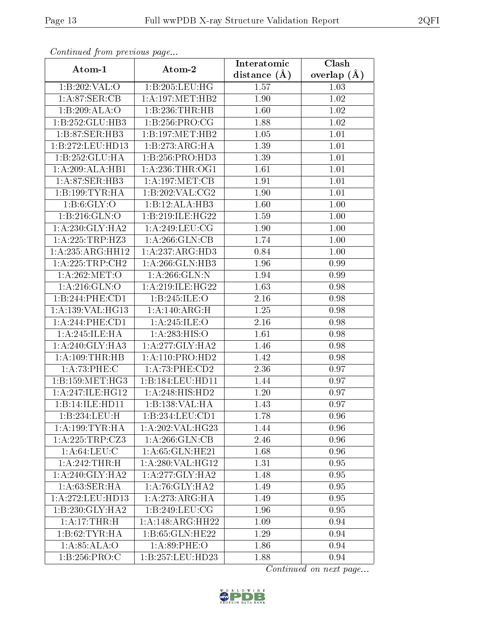| Continuea from previous page |                     | Interatomic    | Clash         |  |
|------------------------------|---------------------|----------------|---------------|--|
| Atom-1                       | Atom-2              | distance $(A)$ | overlap $(A)$ |  |
| 1:B:202:VAL:O                | 1:B:205:LEU:HG      | 1.57           | 1.03          |  |
| 1: A:87: SER:CB              | 1: A:197: MET:HB2   | 1.90           | 1.02          |  |
| 1:B:209:ALA:O                | 1:B:236:THR:HB      | 1.60           | 1.02          |  |
| 1:B:252:GLU:HB3              | 1:B:256:PRO:CG      | 1.88           | 1.02          |  |
| 1:B:87:SER:HB3               | 1:B:197:MET:HB2     | 1.05           | 1.01          |  |
| 1:B:272:LEU:HD13             | 1:B:273:ARG:HA      | 1.39           | 1.01          |  |
| 1:B:252:GLU:HA               | 1:B:256:PRO:HD3     | 1.39           | 1.01          |  |
| 1:A:209:ALA:HB1              | 1: A:236:THR:OG1    | 1.61           | 1.01          |  |
| 1: A:87: SER:HB3             | 1: A:197: MET:CB    | 1.91           | 1.01          |  |
| 1:B:199:TYR:HA               | 1:B:202:VAL:CG2     | 1.90           | 1.01          |  |
| 1: B:6: GLY:O                | 1:B:12:ALA:HB3      | 1.60           | 1.00          |  |
| 1: B:216: GLN:O              | 1:B:219:ILE:HG22    | 1.59           | 1.00          |  |
| 1: A:230: GLY:HA2            | 1:A:249:LEU:CG      | 1.90           | 1.00          |  |
| 1: A: 225: TRP: HZ3          | 1: A:266: GLN:CB    | 1.74           | 1.00          |  |
| 1:A:235:ARG:HH12             | 1:A:237:ARG:HD3     | 0.84           | 1.00          |  |
| 1:A:225:TRP:CH2              | 1:A:266:GLN:HB3     | 1.96           | 0.99          |  |
| 1: A:262:MET:O               | 1:A:266:GLN:N       | 1.94           | 0.99          |  |
| 1: A:216: GLN:O              | 1:A:219:ILE:HG22    | 1.63           | 0.98          |  |
| 1:B:244:PHE:CD1              | 1: B: 245: ILE: O   | 2.16           | 0.98          |  |
| 1:A:139:VAL:HG13             | 1:A:140:ARG:H       | 1.25           | 0.98          |  |
| 1:A:244:PHE:CD1              | 1:A:245:ILE:O       | 2.16           | 0.98          |  |
| 1:A:245:ILE:HA               | 1:A:283:HIS:O       | 1.61           | 0.98          |  |
| 1: A:240: GLY:HA3            | 1:A:277:GLY:HA2     | 1.46           | 0.98          |  |
| 1: A:109:THR:HB              | 1: A: 110: PRO: HD2 | 1.42           | 0.98          |  |
| 1: A:73:PHE: C               | 1: A:73: PHE:CD2    | 2.36           | 0.97          |  |
| 1:B:159:MET:HG3              | 1:B:184:LEU:HD11    | 1.44           | 0.97          |  |
| $1:$ A:247:ILE:HG12          | 1:A:248:HIS:HD2     | 1.20           | 0.97          |  |
| 1:B:14:ILE:HD11              | 1:B:138:VAL:HA      | 1.43           | 0.97          |  |
| 1:B:234:LEU:H                | 1:B:234:LEU:CD1     | 1.78           | 0.96          |  |
| 1: A: 199: TYR: HA           | 1: A:202:VAL:HG23   | 1.44           | 0.96          |  |
| 1:A:225:TRP:CZ3              | 1: A:266: GLN:CB    | 2.46           | 0.96          |  |
| 1: A:64:LEU:C                | 1: A:65: GLN:HE21   | 1.68           | 0.96          |  |
| 1:A:242:THR:H                | 1:A:280:VAL:HG12    | 1.31           | 0.95          |  |
| 1: A:240: GLY:HA2            | 1:A:277:GLY:HA2     | 1.48           | 0.95          |  |
| 1: A:63: SER: HA             | 1: A:76: GLY:HA2    | 1.49           | 0.95          |  |
| 1: A:272:LEU:HD13            | 1:A:273:ARG:HA      | 1.49           | 0.95          |  |
| $1:B:230:GLY:H\overline{A2}$ | 1:B:249:LEU:CG      | 1.96           | 0.95          |  |
| 1: A:17:THR:H                | 1:A:148:ARG:HH22    | 1.09           | 0.94          |  |
| 1:B:62:TYR:HA                | 1:B:65:GLN:HE22     | 1.29           | 0.94          |  |
| 1: A:85: ALA:O               | 1: A:89:PHE:O       | 1.86           | 0.94          |  |
| 1: B: 256: PRO:C             | 1:B:257:LEU:HD23    | 1.88           | 0.94          |  |

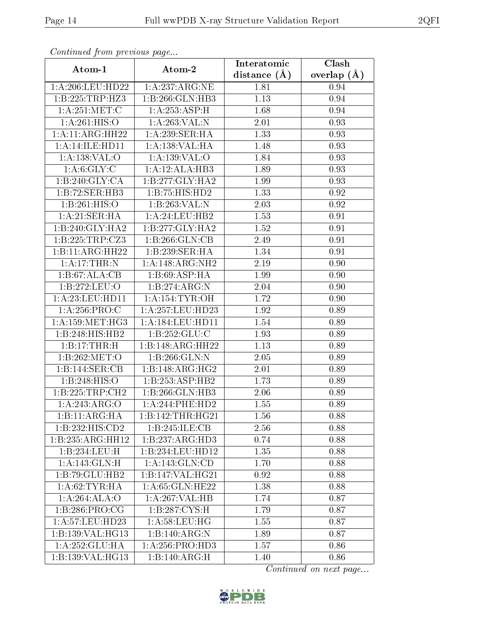| Communa from previous page    |                      | Interatomic      | Clash           |
|-------------------------------|----------------------|------------------|-----------------|
| Atom-1                        | Atom-2               | distance $(\AA)$ | overlap $(\AA)$ |
| 1:A:206:LEU:HD22              | 1:A:237:ARG:NE       | 1.81             | 0.94            |
| 1:B:225:TRP:HZ3               | 1:B:266:GLN:HB3      | 1.13             | 0.94            |
| 1: A:251:MET:C                | 1:A:253:ASP:H        | 1.68             | 0.94            |
| $1:$ A:261:HIS:O              | 1:A:263:VAL:N        | 2.01             | 0.93            |
| 1:A:11:ARG:HH22               | 1:A:239:SER:HA       | 1.33             | 0.93            |
| 1:A:14:ILE:HD11               | 1: A: 138: VAL: HA   | 1.48             | 0.93            |
| 1:A:138:VAL:O                 | 1:A:139:VAL:O        | 1.84             | 0.93            |
| 1: A:6: GLY: C                | 1:A:12:ALA:HB3       | 1.89             | 0.93            |
| 1:B:240:GLY:CA                | 1:B:277:GLY:HA2      | 1.99             | 0.93            |
| 1:B:72:SER:HB3                | 1:B:75:HIS:HD2       | 1.33             | 0.92            |
| 1:B:261:HIS:O                 | 1:B:263:VAL:N        | 2.03             | 0.92            |
| 1:A:21:SER:HA                 | 1: A:24:LEU:HB2      | 1.53             | 0.91            |
| 1:B:240:GLY:HA2               | 1:B:277:GLY:HA2      | 1.52             | 0.91            |
| 1:B:225:TRP:CZ3               | 1:B:266:GLN:CB       | 2.49             | 0.91            |
| 1:B:11:ARG:HH22               | 1:B:239:SER:HA       | 1.34             | 0.91            |
| 1:A:17:THR:N                  | 1:A:148:ARG:NH2      | 2.19             | 0.90            |
| 1:B:67:ALA:CB                 | 1:B:69:ASP:HA        | 1.99             | 0.90            |
| 1:B:272:LEU:O                 | 1:B:274:ARG:N        | 2.04             | 0.90            |
| 1: A:23: LEU: HD11            | 1:A:154:TYR:OH       | 1.72             | 0.90            |
| 1: A:256:PRO:C                | 1: A: 257: LEU: HD23 | 1.92             | 0.89            |
| 1: A: 159: MET:HG3            | 1:A:184:LEU:HD11     | 1.54             | 0.89            |
| 1:B:248:HIS:HB2               | 1: B: 252: GLU: C    | 1.93             | 0.89            |
| 1:B:17:THR:H                  | 1:B:148:ARG:HH22     | 1.13             | 0.89            |
| 1:B:262:MET:O                 | 1:B:266:GLN:N        | 2.05             | 0.89            |
| 1:B:144:SER:CB                | 1:B:148:ARG:HG2      | 2.01             | 0.89            |
| 1:B:248:HIS:O                 | 1:B:253:ASP:HB2      | 1.73             | 0.89            |
| 1:B:225:TRP:CH2               | 1:B:266:GLN:HB3      | 2.06             | 0.89            |
| 1:A:243:ARG:O                 | 1:A:244:PHE:HD2      | 1.55             | 0.89            |
| 1:B:11:ARG:HA                 | 1:B:142:THR:HG21     | 1.56             | 0.88            |
| 1:B:232:HIS:CD2               | 1:B:245:ILE:CB       | 2.56             | 0.88            |
| $1:B:235:ARG:\overline{HH12}$ | 1:B:237:ARG:HD3      | 0.74             | 0.88            |
| 1:B:234:LEU:H                 | 1:B:234:LEU:HD12     | 1.35             | 0.88            |
| $1: A:143: GLN:\overline{H}$  | 1:A:143:GLN:CD       | 1.70             | 0.88            |
| 1:B:79:GLU:HB2                | 1:B:147:VAL:HG21     | 0.92             | 0.88            |
| 1: A:62:TYR:HA                | 1: A:65: GLN:HE22    | 1.38             | 0.88            |
| 1:A:264:ALA:O                 | 1:A:267:VAL:HB       | 1.74             | 0.87            |
| 1: B: 286: PRO:CG             | 1: B: 287: CYS:H     | 1.79             | 0.87            |
| 1: A:57:LEU:HD23              | 1: A:58:LEU:HG       | 1.55             | 0.87            |
| 1:B:139:VAL:HG13              | 1:B:140:ARG:N        | 1.89             | 0.87            |
| 1:A:252:GLU:HA                | 1: A:256: PRO:HD3    | 1.57             | 0.86            |
| 1:B:139:VAL:HG13              | 1:B:140:ARG:H        | 1.40             | 0.86            |

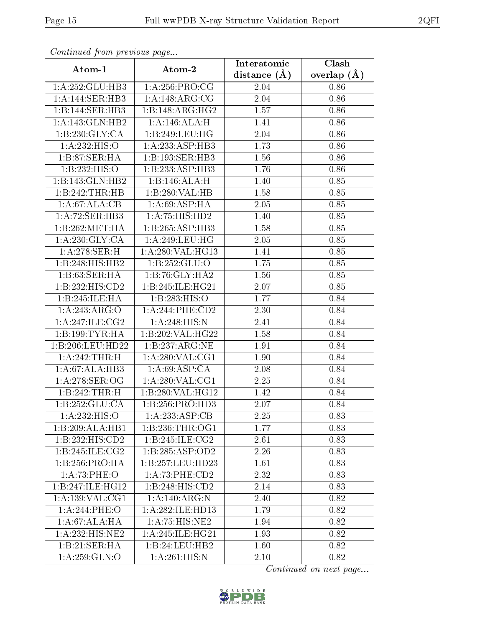| Continuea from previous page |                             | Interatomic      | Clash         |
|------------------------------|-----------------------------|------------------|---------------|
| Atom-1                       | Atom-2                      | distance $(\AA)$ | overlap $(A)$ |
| 1:A:252:GLU:HB3              | 1: A:256: PRO:CG            | 2.04             | 0.86          |
| 1:A:144:SER:HB3              | 1:A:148:ARG:CG              | 2.04             | 0.86          |
| 1:B:144:SER:HB3              | 1:B:148:ARG:HG2             | 1.57             | 0.86          |
| 1:A:143:GLN:HB2              | 1:A:146:ALA:H               | 1.41             | 0.86          |
| 1:B:230:GLY:CA               | 1:B:249:LEU:HG              | 2.04             | 0.86          |
| 1:A:232:HIS:O                | 1:A:233:ASP:HB3             | 1.73             | 0.86          |
| 1:B:87:SER:HA                | 1:B:193:SER:HB3             | 1.56             | 0.86          |
| 1:B:232:HIS:O                | 1:B:233:ASP:HB3             | 1.76             | 0.86          |
| 1:B:143:GLN:HB2              | 1:B:146:ALA:H               | 1.40             | 0.85          |
| 1:B:242:THR:HB               | 1:B:280:VAL:HB              | 1.58             | 0.85          |
| 1:A:67:ALA:CB                | 1: A:69: ASP: HA            | 2.05             | 0.85          |
| 1:A:72:SER:HB3               | $1:A:75:\overline{HIS:HD2}$ | 1.40             | 0.85          |
| 1:B:262:MET:HA               | 1:B:265:ASP:HB3             | 1.58             | 0.85          |
| 1: A:230: GLY:CA             | 1: A:249:LEU:HG             | 2.05             | 0.85          |
| 1:A:278:SER:H                | 1:A:280:VAL:HG13            | 1.41             | 0.85          |
| 1:B:248:HIS:HB2              | 1: B: 252: GLU:O            | 1.75             | 0.85          |
| 1:B:63:SER:HA                | 1:B:76:GLY:HA2              | 1.56             | 0.85          |
| 1:B:232:HIS:CD2              | 1:B:245:ILE:HG21            | 2.07             | 0.85          |
| 1:B:245:ILE:HA               | 1:B:283:HIS:O               | 1.77             | 0.84          |
| 1:A:243:ARG:O                | 1: A:244:PHE:CD2            | 2.30             | 0.84          |
| 1: A:247: ILE: CG2           | 1:A:248:HIS:N               | 2.41             | 0.84          |
| 1: B: 199: TYR: HA           | 1:B:202:VAL:HG22            | 1.58             | 0.84          |
| 1:B:206:LEU:HD22             | 1:B:237:ARG:NE              | 1.91             | 0.84          |
| 1:A:242:THR:H                | 1: A:280: VAL:CG1           | 1.90             | 0.84          |
| 1:A:67:ALA:HB3               | 1: A:69: ASP:CA             | 2.08             | 0.84          |
| 1: A:278: SER:OG             | 1: A:280: VAL:CG1           | 2.25             | 0.84          |
| 1:B:242:THR:H                | 1:B:280:VAL:HG12            | 1.42             | 0.84          |
| 1:B:252:GLU:CA               | 1:B:256:PRO:HD3             | 2.07             | 0.84          |
| 1:A:232:HIS:O                | 1:A:233:ASP:CB              | 2.25             | 0.83          |
| 1:B:209:ALA:HB1              | 1: B: 236: THR: OG1         | 1.77             | 0.83          |
| 1:B:232:HIS:CD2              | 1:B:245:ILE:CG2             | 2.61             | 0.83          |
| 1:B:245:ILE:CG2              | 1:B:285:ASP:OD2             | 2.26             | 0.83          |
| 1:B:256:PRO:HA               | 1:B:257:LEU:HD23            | 1.61             | 0.83          |
| 1:A:73:PHE:O                 | 1: A:73:PHE:CD2             | 2.32             | 0.83          |
| 1:B:247:ILE:HG12             | 1:B:248:HIS:CD2             | 2.14             | 0.83          |
| 1:A:139:VAL:CG1              | $1:\overline{A:140:ARG:N}$  | 2.40             | 0.82          |
| 1:A:244:PHE:O                | 1:A:282:ILE:HD13            | 1.79             | 0.82          |
| 1:A:67:ALA:HA                | 1:A:75:HIS:NE2              | 1.94             | 0.82          |
| 1:A:232:HIS:NE2              | 1: A:245: ILE: HG21         | 1.93             | 0.82          |
| 1:B:21:SER:HA                | 1:B:24:LEU:HB2              | 1.60             | 0.82          |
| 1:A:259:GLN:O                | 1:A:261:HIS:N               | 2.10             | 0.82          |

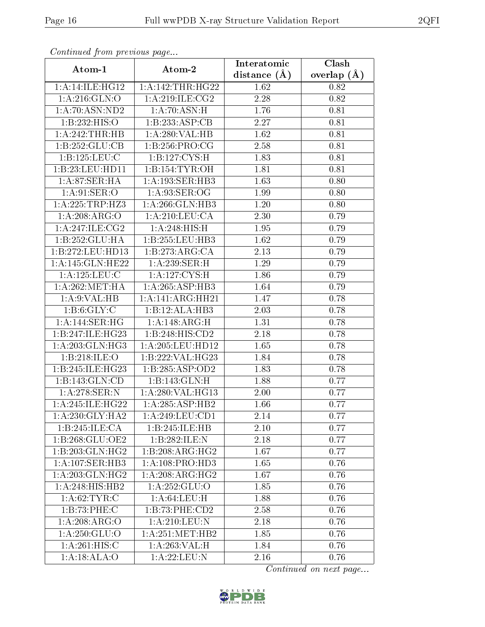| Commaca from previous page   |                     | Interatomic       | Clash         |
|------------------------------|---------------------|-------------------|---------------|
| Atom-1                       | Atom-2              | distance $(A)$    | overlap $(A)$ |
| 1: A:14: ILE: HG12           | 1: A:142:THR:HG22   | 1.62              | 0.82          |
| $1:$ A:216:GLN:O             | 1:A:219:ILE:CG2     | 2.28              | 0.82          |
| 1: A:70: ASN:ND2             | 1: A:70: ASN:H      | 1.76              | 0.81          |
| 1:B:232:HIS:O                | 1:B:233:ASP:CB      | 2.27              | 0.81          |
| 1:A:242:THR:HB               | 1:A:280:VAL:HB      | 1.62              | 0.81          |
| 1:B:252:GLU:CB               | 1:B:256:PRO:CG      | 2.58              | 0.81          |
| 1:B:125:LEU:C                | 1: B: 127: CYS:H    | 1.83              | 0.81          |
| 1:B:23:LEU:HDI1              | 1:B:154:TYR:OH      | 1.81              | 0.81          |
| 1: A:87:SER:HA               | 1: A: 193: SER: HB3 | 1.63              | 0.80          |
| 1: A:91: SER:O               | 1: A:93: SER:OG     | 1.99              | 0.80          |
| 1: A:225:TRP:HZ3             | 1:A:266:GLN:HB3     | 1.20              | 0.80          |
| 1:A:208:ARG:O                | 1: A:210:LEU:CA     | 2.30              | 0.79          |
| 1: A:247: ILE: CG2           | 1:A:248:HIS:H       | 1.95              | 0.79          |
| 1:B:252:GLU:HA               | 1:B:255:LEU:HB3     | 1.62              | 0.79          |
| 1:B:272:LEU:HD13             | 1:B:273:ARG:CA      | 2.13              | 0.79          |
| 1:A:145:GLN:HE22             | 1:A:239:SER:H       | 1.29              | 0.79          |
| 1:A:125:LEU:C                | 1: A: 127: CYS:H    | 1.86              | 0.79          |
| 1: A:262:MET:HA              | 1:A:265:ASP:HB3     | 1.64              | 0.79          |
| 1: A:9: VAL: HB              | 1:A:141:ARG:HH21    | $\overline{1.47}$ | 0.78          |
| 1: B:6: GLY: C               | 1:B:12:ALA:HB3      | 2.03              | 0.78          |
| 1: A:144: SER: HG            | 1:A:148:ARG:H       | 1.31              | 0.78          |
| 1:B:247:ILE:HG23             | 1:B:248:HIS:CD2     | 2.18              | 0.78          |
| 1: A:203: GLN: HG3           | 1:A:205:LEU:HD12    | 1.65              | 0.78          |
| 1:B:218:ILE:O                | 1:B:222:VAL:HG23    | 1.84              | 0.78          |
| 1:B:245:ILE:HG23             | 1:B:285:ASP:OD2     | 1.83              | 0.78          |
| 1:B:143:GLN:CD               | 1:B:143:GLN:H       | 1.88              | 0.77          |
| 1: A:278: SER: N             | 1: A:280: VAL:HG13  | 2.00              | 0.77          |
| 1: A:245: ILE: HG22          | 1:A:285:ASP:HB2     | 1.66              | 0.77          |
| 1: A:230: GLY:HA2            | 1: A:249:LEU:CD1    | 2.14              | 0.77          |
| 1:B:245:ILE:CA               | 1:B:245:ILE:HB      | 2.10              | 0.77          |
| 1:B:268:GLU:OE2              | 1:B:282:ILE:N       | 2.18              | 0.77          |
| $1:B:203:GLN:\overline{HG2}$ | 1:B:208:ARG:HG2     | 1.67              | 0.77          |
| 1: A:107: SER:HB3            | 1: A:108: PRO:HD3   | 1.65              | 0.76          |
| 1:A:203:GLN:HG2              | 1:A:208:ARG:HG2     | 1.67              | 0.76          |
| 1:A:248:HIS:HB2              | 1: A: 252: GLU:O    | 1.85              | 0.76          |
| 1: A:62:TYR:C                | 1: A:64:LEU:H       | 1.88              | 0.76          |
| 1:B:73:PHE:C                 | 1:B:73:PHE:CD2      | 2.58              | 0.76          |
| 1:A:208:ARG:O                | 1:A:210:LEU:N       | 2.18              | 0.76          |
| 1: A:250: GLU:O              | 1: A:251: MET:HB2   | 1.85              | 0.76          |
| 1: A:261: HIS:C              | 1: A:263:VAL: H     | 1.84              | 0.76          |
| 1:A:18:ALA:O                 | 1: A:22:LEU: N      | 2.16              | 0.76          |

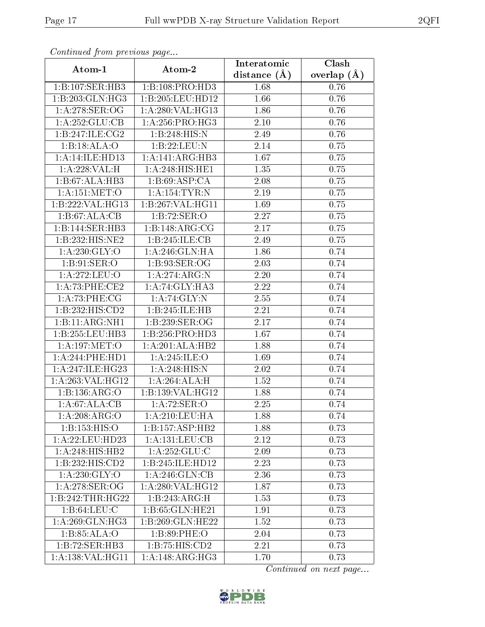| Continuati pont previous page |                              | Interatomic       | Clash         |
|-------------------------------|------------------------------|-------------------|---------------|
| Atom-1                        | Atom-2                       | distance $(A)$    | overlap $(A)$ |
| 1:B:107:SER:HB3               | 1:B:108:PRO:HD3              | 1.68              | 0.76          |
| 1:B:203:GLN:HG3               | 1:B:205:LEU:HD12             | 1.66              | 0.76          |
| 1:A:278:SER:OG                | 1:A:280:VAL:HG13             | 1.86              | 0.76          |
| 1:A:252:GLU:CB                | 1: A:256: PRO:HG3            | 2.10              | 0.76          |
| 1:B:247:ILE:CG2               | 1:B:248:HIS:N                | 2.49              | 0.76          |
| 1:B:18:ALA:O                  | 1:B:22:LEU:N                 | 2.14              | 0.75          |
| 1: A:14: ILE: HD13            | 1:A:141:ARG:HB3              | 1.67              | 0.75          |
| 1:A:228:VAL:H                 | 1:A:248:HIS:HE1              | 1.35              | 0.75          |
| 1:B:67:ALA:HB3                | 1: B:69: ASP:CA              | 2.08              | 0.75          |
| 1:A:151:MET:O                 | 1:A:154:TYR:N                | 2.19              | 0.75          |
| 1:B:222:VAL:HG13              | 1:B:267:VAL:HG11             | 1.69              | 0.75          |
| 1:B:67:ALA:CB                 | 1:B:72:SER:O                 | 2.27              | 0.75          |
| 1:B:144:SER:HB3               | 1:B:148:ARG:CG               | 2.17              | 0.75          |
| 1:B:232:HIS:NE2               | 1:B:245:ILE:CB               | 2.49              | 0.75          |
| 1:A:230:GLY:O                 | 1:A:246:GLN:HA               | 1.86              | 0.74          |
| 1: B:91: SER:O                | 1: B:93: SER:OG              | 2.03              | 0.74          |
| 1:A:272:LEU:O                 | 1:A:274:ARG:N                | 2.20              | 0.74          |
| 1:A:73:PHE:CE2                | 1: A:74: GLY:HA3             | 2.22              | 0.74          |
| 1: A:73:PHE:CG                | 1:A:74:GLY:N                 | 2.55              | 0.74          |
| 1:B:232:HIS:CD2               | 1:B:245:ILE:HB               | 2.21              | 0.74          |
| 1:B:11:ARG:NH1                | 1:B:239:SER:OG               | 2.17              | 0.74          |
| 1:B:255:LEU:HB3               | 1:B:256:PRO:HD3              | 1.67              | 0.74          |
| 1: A:197: MET:O               | 1:A:201:ALA:HB2              | 1.88              | 0.74          |
| 1: A:244:PHE:HD1              | 1:A:245:ILE:O                | 1.69              | 0.74          |
| 1:A:247:ILE:HG23              | 1:A:248:HIS:N                | 2.02              | 0.74          |
| 1:A:263:VAL:HG12              | 1:A:264:ALA:H                | 1.52              | 0.74          |
| 1:B:136:ARG:O                 | 1:B:139:VAL:HG12             | 1.88              | 0.74          |
| $1:A:\overline{67:ALA:CB}$    | 1: A:72: SER:O               | 2.25              | 0.74          |
| 1:A:208:ARG:O                 | 1:A:210:LEU:HA               | 1.88              | 0.74          |
| 1: B: 153: HIS: O             | 1:B:157:ASP:HB2              | 1.88              | 0.73          |
| 1: A:22:LEU:HD23              | 1:A:131:LEU:CB               | 2.12              | 0.73          |
| 1:A:248:HIS:HB2               | 1: A: 252: GLU: C            | 2.09              | 0.73          |
| 1:B:232:HIS:CD2               | 1:B:245:ILE:HD12             | 2.23              | 0.73          |
| 1: A:230: GLY:O               | 1: A:246: GLN:CB             | 2.36              | 0.73          |
| 1:A:278:SER:OG                | 1: A:280: VAL:HG12           | 1.87              | 0.73          |
| 1:B:242:THR:HG22              | 1:B:243:ARG:H                | 1.53              | 0.73          |
| 1: B:64:LEU:C                 | 1:B:65:GLN:HE21              | 1.91              | 0.73          |
| $1:\overline{A:269:GLN:HG3}$  | 1:B:269:GLN:HE22             | $1.5\overline{2}$ | 0.73          |
| 1: B:85:ALA:O                 | 1: B:89: PHE:O               | 2.04              | 0.73          |
| 1:B:72:SER:HB3                | 1:B:75:HIS:CD2               | 2.21              | 0.73          |
| 1:A:138:VAL:HG11              | $1:A:148:AR\overline{G:HG3}$ | 1.70              | 0.73          |

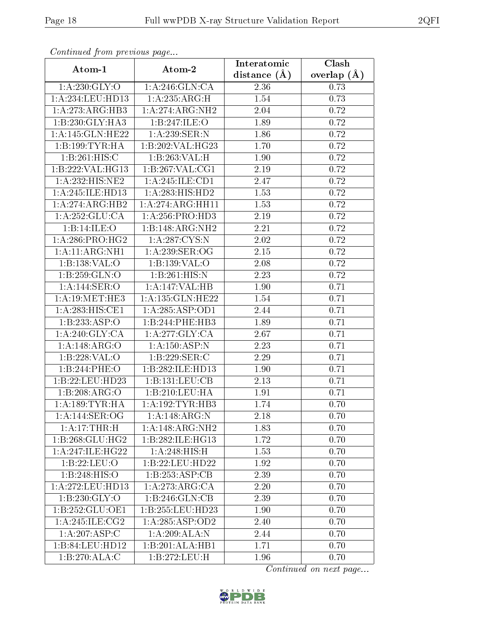| Continuatu jibin previous puge |                     | Interatomic      | Clash         |
|--------------------------------|---------------------|------------------|---------------|
| Atom-1                         | Atom-2              | distance $(\AA)$ | overlap $(A)$ |
| 1: A:230: GLY:O                | 1: A:246: GLN:CA    | 2.36             | 0.73          |
| 1:A:234:LEU:HD13               | 1:A:235:ARG:H       | 1.54             | 0.73          |
| 1: A:273:ARG:HB3               | 1:A:274:ARG:NH2     | $2.04\,$         | 0.72          |
| 1:B:230:GLY:HA3                | 1:B:247:ILE:O       | 1.89             | 0.72          |
| 1:A:145:GLN:HE22               | 1: A:239: SER: N    | 1.86             | 0.72          |
| 1:B:199:TYR:HA                 | 1:B:202:VAL:HG23    | 1.70             | 0.72          |
| 1:B:261:HIS:C                  | 1:B:263:VAL:H       | 1.90             | 0.72          |
| 1:B:222:VAL:HG13               | 1:B:267:VAL:CG1     | 2.19             | 0.72          |
| 1:A:232:HIS:NE2                | 1:A:245:ILE:CD1     | 2.47             | 0.72          |
| 1:A:245:ILE:HD13               | 1:A:283:HIS:HD2     | 1.53             | 0.72          |
| 1:A:274:ARG:HB2                | 1: A:274:ARG:HH11   | 1.53             | 0.72          |
| 1:A:252:GLU:CA                 | 1: A:256: PRO:HD3   | 2.19             | 0.72          |
| 1:B:14:ILE:O                   | 1:B:148:ARG:NH2     | 2.21             | 0.72          |
| 1: A:286: PRO:HG2              | 1: A:287:CYS:N      | 2.02             | 0.72          |
| 1:A:11:ARG:NH1                 | 1: A:239: SER:OG    | 2.15             | 0.72          |
| 1:B:138:VAL:O                  | 1:B:139:VAL:O       | 2.08             | 0.72          |
| 1:B:259:GLN:O                  | 1:B:261:HIS:N       | 2.23             | 0.72          |
| 1: A:144: SER:O                | 1:A:147:VAL:HB      | 1.90             | 0.71          |
| 1: A:19:MET:HE3                | 1:A:135:GLN:HE22    | 1.54             | 0.71          |
| 1: A:283:HIS:CE1               | 1: A:285:ASP:OD1    | 2.44             | 0.71          |
| 1:B:233:ASP:O                  | 1:B:244:PHE:HB3     | 1.89             | 0.71          |
| 1: A:240: GLY:CA               | 1: A:277: GLY: CA   | 2.67             | 0.71          |
| 1:A:148:ARG:O                  | 1: A: 150: ASP: N   | 2.23             | 0.71          |
| 1:B:228:VAL:O                  | 1:B:229:SER:C       | 2.29             | 0.71          |
| 1:B:244:PHE:O                  | 1:B:282:ILE:HD13    | 1.90             | 0.71          |
| 1:B:22:LEU:HD23                | 1:B:131:LEU:CB      | 2.13             | 0.71          |
| 1:B:208:ARG:O                  | 1:B:210:LEU:HA      | 1.91             | 0.71          |
| 1: A: 189: TYR: HA             | 1: A: 192: TYR: HB3 | 1.74             | 0.70          |
| 1:A:144:SER:OG                 | 1:A:148:ARG:N       | 2.18             | 0.70          |
| 1: A:17:THR:H                  | 1:A:148:ARG:NH2     | 1.83             | 0.70          |
| 1:B:268:GLU:HG2                | 1:B:282:ILE:HG13    | 1.72             | 0.70          |
| 1: A:247: ILE:HG22             | 1:A:248:HIS:H       | 1.53             | 0.70          |
| 1:B:22:LEU:O                   | 1:B:22:LEU:HD22     | 1.92             | 0.70          |
| 1:B:248:HIS:O                  | 1:B:253:ASP:CB      | 2.39             | 0.70          |
| 1: A:272:LEU:HD13              | 1:A:273:ARG:CA      | 2.20             | 0.70          |
| 1:B:230:GLY:O                  | 1:B:246:GLN:CB      | 2.39             | 0.70          |
| 1:B:252:GLU:OE1                | 1:B:255:LEU:HD23    | 1.90             | 0.70          |
| 1:A:245:ILE:CG2                | 1:A:285:ASP:OD2     | 2.40             | 0.70          |
| 1:A:207:ASP:C                  | 1: A:209: ALA: N    | 2.44             | 0.70          |
| 1:B:84:LEU:HD12                | 1:B:201:ALA:HB1     | 1.71             | 0.70          |
| 1:B:270:ALA:C                  | 1:B:272:LEU:H       | 1.96             | 0.70          |

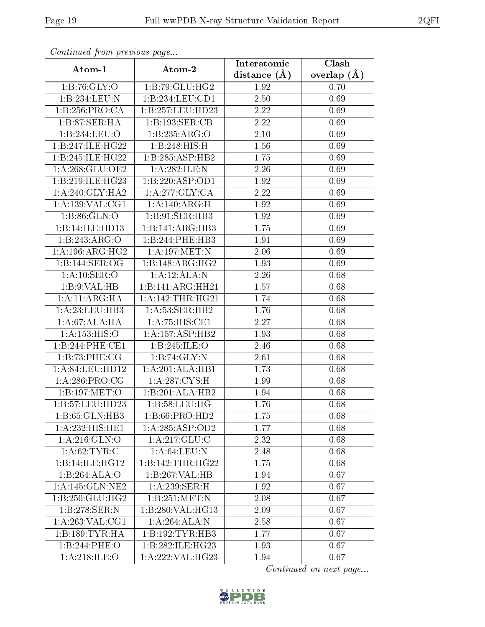| Continuati pont previous page |                            | Interatomic      | Clash           |
|-------------------------------|----------------------------|------------------|-----------------|
| Atom-1                        | Atom-2                     | distance $(\AA)$ | overlap $(\AA)$ |
| 1: B:76: GLY:O                | 1:B:79:GLU:HG2             | 1.92             | 0.70            |
| 1:B:234:LEU:N                 | 1:B:234:LEU:CD1            | 2.50             | 0.69            |
| 1:B:256:PRO:CA                | 1:B:257:LEU:HD23           | $2.22\,$         | 0.69            |
| 1:B:87:SER:HA                 | 1:B:193:SER:CB             | 2.22             | 0.69            |
| 1:B:234:LEU:O                 | 1:B:235:ARG:O              | $2.10\,$         | 0.69            |
| 1:B:247:ILE:HG22              | 1:B:248:HIS:H              | 1.56             | 0.69            |
| 1:B:245:ILE:HG22              | 1:B:285:ASP:HB2            | 1.75             | 0.69            |
| 1: A:268: GLU:OE2             | 1:A:282:ILE:N              | 2.26             | 0.69            |
| 1:B:219:ILE:HG23              | 1:B:220:ASP:OD1            | 1.92             | 0.69            |
| 1: A:240: GLY:HA2             | 1:A:277:GLY:CA             | 2.22             | 0.69            |
| 1: A: 139: VAL: CG1           | 1:A:140:ARG:H              | 1.92             | 0.69            |
| 1: B:86: GLN:O                | 1:B:91:SER:HB3             | 1.92             | 0.69            |
| 1:B:14:ILE:HD13               | 1:B:141:ARG:HB3            | 1.75             | 0.69            |
| 1:B:243:ARG:O                 | 1:B:244:PHE:HB3            | 1.91             | 0.69            |
| 1: A:196:ARG:HG2              | 1:A:197:MET:N              | 2.06             | 0.69            |
| 1:B:144:SER:OG                | 1:B:148:ARG:HG2            | 1.93             | 0.69            |
| 1: A:10: SER:O                | 1:A:12:ALA:N               | 2.26             | 0.68            |
| 1:B:9:VAL:HB                  | 1:B:141:ARG:HH21           | 1.57             | 0.68            |
| 1: A:11: ARG:HA               | 1: A:142:THR:HG21          | 1.74             | 0.68            |
| 1:A:23:LEU:HB3                | 1: A:53: SER:HB2           | 1.76             | 0.68            |
| 1:A:67:ALA:HA                 | 1:A:75:HIS:CE1             | 2.27             | 0.68            |
| 1:A:153:HIS:O                 | 1:A:157:ASP:HB2            | 1.93             | 0.68            |
| 1:B:244:PHE:CE1               | 1:B:245:ILE:O              | 2.46             | 0.68            |
| 1:B:73:PHE:CG                 | 1:B:74:GLY:N               | 2.61             | 0.68            |
| 1: A:84:LEU:HD12              | 1:A:201:ALA:HB1            | 1.73             | 0.68            |
| 1: A:286:PRO:CG               | 1: A:287:CYS:H             | 1.99             | 0.68            |
| 1:B:197:MET:O                 | 1:B:201:ALA:HB2            | 1.94             | 0.68            |
| 1:B:57:LEU:HD23               | 1:B:58:LEU:HG              | 1.76             | 0.68            |
| 1:B:65:GLN:HB3                | 1:B:66:PRO:H <sub>D2</sub> | 1.75             | 0.68            |
| 1:A:232:HIS:HE1               | 1:A:285:ASP:OD2            | 1.77             | 0.68            |
| 1: A:216: GLN:O               | 1: A:217: GLU:C            | 2.32             | 0.68            |
| 1: A:62:TYR:C                 | 1: A:64:LEU:N              | 2.48             | 0.68            |
| 1:B:14:ILE:HGI2               | 1:B:142:THR:HG22           | 1.75             | 0.68            |
| 1:B:264:ALA:O                 | 1:B:267:VAL:HB             | 1.94             | 0.67            |
| 1: A:145: GLN:NE2             | 1:A:239:SER:H              | 1.92             | 0.67            |
| 1:B:250:GLU:HG2               | 1:B:251:MET:N              | 2.08             | 0.67            |
| 1:B:278:SER:N                 | 1:B:280:VAL:HG13           | 2.09             | 0.67            |
| 1: A:263: VAL:CG1             | 1:A:264:ALA:N              | 2.58             | 0.67            |
| 1:B:189:TYR:HA                | 1: B: 192: TYR: HB3        | 1.77             | 0.67            |
| 1:B:244:PHE:O                 | 1:B:282:ILE:HG23           | 1.93             | 0.67            |
| 1: A:218: ILE:O               | 1:A:222:VAL:HG23           | 1.94             | 0.67            |

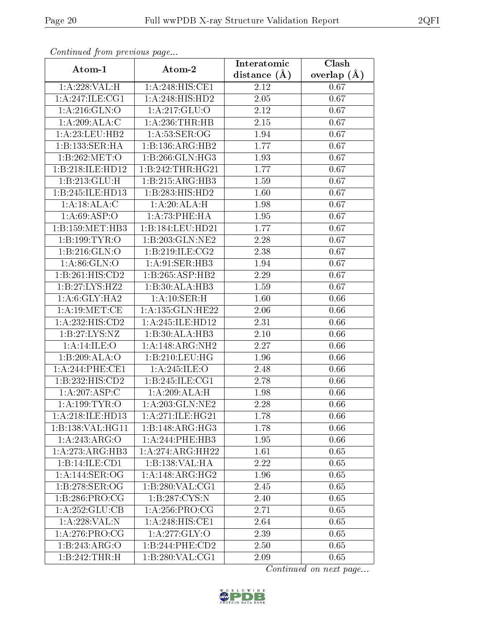| Comunaca jiom previous page   |                              | Interatomic       | Clash         |
|-------------------------------|------------------------------|-------------------|---------------|
| Atom-1                        | Atom-2                       | distance $(A)$    | overlap $(A)$ |
| 1:A:228:VAL:H                 | 1:A:248:HIS:CE1              | 2.12              | 0.67          |
| 1: A:247: ILE:CG1             | 1:A:248:HIS:HD2              | $\overline{2.05}$ | 0.67          |
| $1: A:216: GLN: \overline{O}$ | 1: A:217: GLU:O              | 2.12              | 0.67          |
| 1:A:209:ALA:C                 | 1: A:236:THR:HB              | 2.15              | 0.67          |
| 1:A:23:LEU:HB2                | 1: A:53: SER:OG              | 1.94              | 0.67          |
| 1:B:133:SER:HA                | 1:B:136:ARG:HB2              | 1.77              | 0.67          |
| 1:B:262:MET:O                 | 1:B:266:GLN:HG3              | 1.93              | 0.67          |
| 1:B:218:ILE:HD12              | 1:B:242:THR:HG21             | 1.77              | 0.67          |
| 1:B:213:GLU:H                 | 1:B:215:ARG:HB3              | 1.59              | 0.67          |
| 1:B:245:ILE:HD13              | 1:B:283:HIS:HD2              | 1.60              | 0.67          |
| 1:A:18:ALA:C                  | 1:A:20:ALA:H                 | 1.98              | 0.67          |
| 1: A:69: ASP:O                | 1:A:73:PHE:HA                | 1.95              | 0.67          |
| 1:B:159:MET:HB3               | 1:B:184:LEU:HD21             | 1.77              | 0.67          |
| 1:B:199:TYR:O                 | 1:B:203:GLN:NE2              | 2.28              | 0.67          |
| 1:B:216:GLN:O                 | 1:B:219:ILE:CG2              | 2.38              | 0.67          |
| 1: A:86: GLN:O                | 1:A:91:SER:HB3               | 1.94              | 0.67          |
| 1:B:261:HIS:CD2               | 1:B:265:ASP:HB2              | 2.29              | 0.67          |
| 1:B:27:LYS:HZ2                | 1:B:30:ALA:HB3               | 1.59              | 0.67          |
| 1: A:6: GLY: HA2              | 1:A:10:SER:H                 | 1.60              | 0.66          |
| 1: A:19: MET:CE               | 1:A:135:GLN:HE22             | 2.06              | 0.66          |
| 1:A:232:HIS:CD2               | 1:A:245:ILE:HD12             | 2.31              | 0.66          |
| 1:B:27:LYS:NZ                 | 1:B:30:ALA:HB3               | 2.10              | 0.66          |
| 1:A:14:ILE:O                  | 1:A:148:ARG:NH2              | 2.27              | 0.66          |
| 1:B:209:ALA:O                 | 1:B:210:LEU:HG               | 1.96              | 0.66          |
| 1: A:244:PHE:CE1              | 1:A:245:ILE:O                | 2.48              | 0.66          |
| 1:B:232:HIS:CD2               | 1:B:245:ILE:CG1              | $\overline{2}.78$ | 0.66          |
| 1:A:207:ASP:C                 | 1:A:209:ALA:H                | 1.98              | 0.66          |
| 1: A: 199: TYR: O             | 1:A:203:GLN:NE2              | 2.28              | 0.66          |
| 1:A:218:ILE:HD13              | 1:A:271:ILE:HG21             | 1.78              | 0.66          |
| 1:B:138:VAL:HG11              | 1:B:148:ARG:HG3              | 1.78              | 0.66          |
| 1:A:243:ARG:O                 | 1:A:244:PHE:HB3              | 1.95              | 0.66          |
| 1: A:273:ARG:HB3              | 1:A:274:ARG:HH22             | 1.61              | 0.65          |
| 1:B:14:ILE:CD1                | 1:B:138:VAL:HA               | 2.22              | 0.65          |
| 1:A:144:SER:OG                | 1:A:148:ARG:HG2              | 1.96              | 0.65          |
| 1:B:278:SER:OG                | 1:B:280:VAL:CG1              | 2.45              | 0.65          |
| 1:B:286:PRO:CG                | 1:B:287:CYS:N                | 2.40              | 0.65          |
| 1:A:252:GLU:CB                | 1: A:256:PRO:CG              | 2.71              | 0.65          |
| 1:A:228:VAL:N                 | $1:A:248:HI\overline{S:CE1}$ | 2.64              | 0.65          |
| 1: A:276:PRO:CG               | 1: A:277: GLY:O              | 2.39              | 0.65          |
| 1:B:243:ARG:O                 | 1:B:244:PHE:CD2              | 2.50              | 0.65          |
| 1:B:242:THR:H                 | 1: B:280: VAL:CG1            | 2.09              | 0.65          |

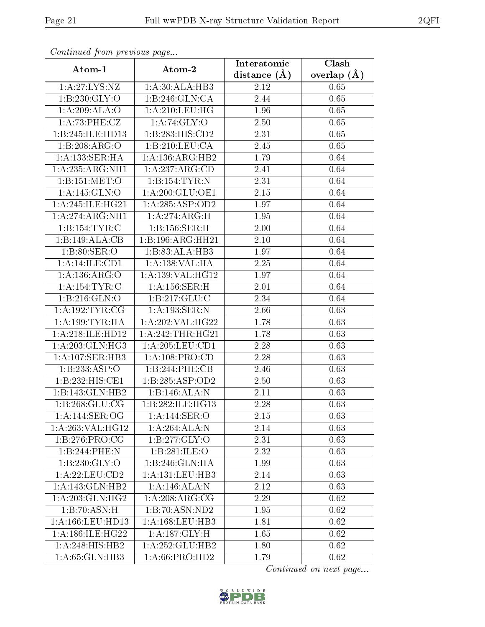| Continuea from previous page      |                      | Interatomic    | Clash         |
|-----------------------------------|----------------------|----------------|---------------|
| Atom-1                            | Atom-2               | distance $(A)$ | overlap $(A)$ |
| $1:A:27:\overline{\text{LYS:NZ}}$ | 1: A:30:ALA:HB3      | 2.12           | 0.65          |
| 1: B: 230: GLY:O                  | 1:B:246:GLN:CA       | 2.44           | 0.65          |
| 1:A:209:ALA:O                     | 1: A:210:LEU:HG      | 1.96           | 0.65          |
| 1:A:73:PHE:CZ                     | 1:A:74:GLY:O         | 2.50           | 0.65          |
| 1:B:245:ILE:HD13                  | 1:B:283:HIS:CD2      | 2.31           | 0.65          |
| 1:B:208:ARG:O                     | 1:B:210:LEU:CA       | 2.45           | 0.65          |
| 1: A: 133: SER: HA                | 1:A:136:ARG:HB2      | 1.79           | 0.64          |
| 1:A:235:ARG:NH1                   | 1:A:237:ARG:CD       | 2.41           | 0.64          |
| 1:B:151:MET:O                     | 1:B:154:TYR:N        | 2.31           | 0.64          |
| 1: A:145: GLN:O                   | 1: A:200: GLU:OE1    | 2.15           | 0.64          |
| $1:A:245:ILE:H\overline{G21}$     | 1: A:285:ASP:OD2     | 1.97           | 0.64          |
| 1:A:274:ARG:NH1                   | 1:A:274:ARG:H        | 1.95           | 0.64          |
| 1:B:154:TYR:C                     | 1:B:156:SER:H        | 2.00           | 0.64          |
| 1:B:149:ALA:CB                    | 1:B:196:ARG:HH21     | 2.10           | 0.64          |
| 1: B:80: SER:O                    | 1:B:83:ALA:HB3       | 1.97           | 0.64          |
| 1:A:14:ILE:CD1                    | 1:A:138:VAL:HA       | 2.25           | 0.64          |
| 1:A:136:ARG:O                     | 1: A: 139: VAL: HG12 | 1.97           | 0.64          |
| 1:A:154:TYR:C                     | 1: A: 156: SER:H     | 2.01           | 0.64          |
| 1: B:216: GLN:O                   | 1: B: 217: GLU: C    | 2.34           | 0.64          |
| 1: A: 192: TYR: CG                | 1:A:193:SER:N        | 2.66           | 0.63          |
| 1: A: 199: TYR: HA                | 1:A:202:VAL:HG22     | 1.78           | 0.63          |
| 1:A:218:ILE:HD12                  | 1: A:242:THR:HG21    | 1.78           | 0.63          |
| 1: A:203: GLN: HG3                | 1:A:205:LEU:CD1      | 2.28           | 0.63          |
| 1: A:107: SER:HB3                 | 1: A: 108: PRO:CD    | 2.28           | 0.63          |
| 1:B:233:ASP:O                     | 1:B:244:PHE:CB       | 2.46           | 0.63          |
| 1:B:232:HIS:CE1                   | 1:B:285:ASP:OD2      | 2.50           | 0.63          |
| 1:B:143:GLN:HB2                   | 1:B:146:ALA:N        | 2.11           | 0.63          |
| 1:B:268:GLU:CG                    | 1:B:282:ILE:HG13     | 2.28           | 0.63          |
| 1: A:144: SER:OG                  | 1:A:144:SER:O        | 2.15           | 0.63          |
| 1: A:263: VAL:HG12                | 1:A:264:ALA:N        | 2.14           | 0.63          |
| 1: B: 276: PRO: CG                | 1:B:277:GLY:O        | 2.31           | 0.63          |
| 1:B:244:PHE:N                     | 1:B:281:ILE:O        | 2.32           | 0.63          |
| 1:B:230:GLY:O                     | 1:B:246:GLN:HA       | 1.99           | 0.63          |
| 1:A:22:LEU:CD2                    | 1: A: 131: LEU: HB3  | 2.14           | 0.63          |
| 1:A:143:GLN:HB2                   | 1:A:146:ALA:N        | 2.12           | 0.63          |
| 1:A:203:GLN:HG2                   | 1:A:208:ARG:CG       | 2.29           | 0.62          |
| 1:B:70:ASN:H                      | 1:B:70:ASN:ND2       | 1.95           | 0.62          |
| 1:A:166:LEU:HD13                  | 1: A: 168: LEU: HB3  | 1.81           | 0.62          |
| 1: A: 186: ILE: HG22              | 1: A: 187: GLY: H    | 1.65           | 0.62          |
| 1: A:248:HIS:HB2                  | 1:A:252:GLU:HB2      | 1.80           | 0.62          |
| 1:A:65:GLN:HB3                    | 1:A:66:PRO:HD2       | 1.79           | 0.62          |

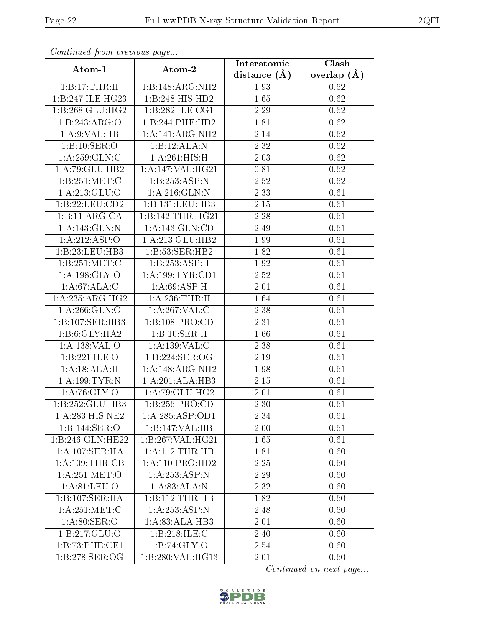| Continuati pont previous page |                               | Interatomic       | Clash         |
|-------------------------------|-------------------------------|-------------------|---------------|
| Atom-1                        | Atom-2                        | distance $(A)$    | overlap $(A)$ |
| $1:B:17:THR:\overline{H}$     | 1:B:148:ARG:NH2               | 1.93              | 0.62          |
| 1:B:247:ILE:HG23              | 1:B:248:HIS:HD2               | 1.65              | 0.62          |
| 1:B:268:GLU:HG2               | 1:B:282:ILE:CG1               | 2.29              | 0.62          |
| 1:B:243:ARG:O                 | 1:B:244:PHE:HD2               | 1.81              | 0.62          |
| 1: A:9: VAL: HB               | 1:A:141:ARG:NH2               | $2.14\,$          | 0.62          |
| 1:B:10:SER:O                  | 1:B:12:ALA:N                  | 2.32              | 0.62          |
| 1:A:259:GLN:C                 | 1:A:261:HIS:H                 | 2.03              | 0.62          |
| 1: A:79: GLU:HB2              | 1:A:147:VAL:HG21              | 0.81              | 0.62          |
| 1: B:251: MET:C               | 1:B:253:ASP:N                 | $\overline{2.52}$ | 0.62          |
| 1: A:213: GLU:O               | 1: A:216: GLN:N               | 2.33              | 0.61          |
| 1:B:22:LEU:CD2                | 1:B:131:LEU:HB3               | 2.15              | 0.61          |
| 1:B:11:ARG:CA                 | 1:B:142:THR:HG21              | 2.28              | 0.61          |
| 1:A:143:GLN:N                 | 1: A:143: GLN:CD              | 2.49              | 0.61          |
| 1:A:212:ASP:O                 | 1:A:213:GLU:HB2               | 1.99              | 0.61          |
| 1:B:23:LEU:HB3                | 1:B:53:SER:HB2                | 1.82              | 0.61          |
| 1:B:251:MET:C                 | 1:B:253:ASP:H                 | 1.92              | 0.61          |
| 1: A: 198: GLY: O             | 1:A:199:TYR:CD1               | 2.52              | 0.61          |
| 1: A:67: ALA: C               | 1: A:69: ASP:H                | 2.01              | 0.61          |
| 1:A:235:ARG:HG2               | 1: A:236:THR:H                | 1.64              | 0.61          |
| 1: A:266: GLN:O               | 1:A:267:VAL:C                 | 2.38              | 0.61          |
| 1:B:107:SER:HB3               | 1:B:108:PRO:CD                | 2.31              | 0.61          |
| 1:B:6:GLY:HA2                 | 1:B:10:SER:H                  | 1.66              | 0.61          |
| 1:A:138:VAL:O                 | 1:A:139:VAL:C                 | 2.38              | 0.61          |
| 1:B:221:ILE:O                 | 1:B:224:SER:OG                | 2.19              | 0.61          |
| 1:A:18:ALA:H                  | 1:A:148:ARG:NH2               | 1.98              | 0.61          |
| 1: A: 199: TYR:N              | 1:A:201:ALA:HB3               | 2.15              | 0.61          |
| 1: A:76: GLY:O                | 1:A:79:GLU:HG2                | 2.01              | 0.61          |
| 1:B:252:GLU:HB3               | 1:B:256:PRO:CD                | 2.30              | 0.61          |
| 1: A:283:H1S:NE2              | 1:A:285:ASP:OD1               | 2.34              | 0.61          |
| 1:B:144:SER:O                 | 1:B:147:VAL:HB                | 2.00              | 0.61          |
| 1:B:246:GLN:HE22              | $1:B:267:\overline{VAL:HG21}$ | 1.65              | 0.61          |
| 1:A:107:SER:HA                | 1: A:112:THR:HB               | 1.81              | 0.60          |
| 1: A:109:THR:CB               | 1:A:110:PRO:HD2               | 2.25              | 0.60          |
| 1: A:251:MET:O                | 1:A:253:ASP:N                 | 2.29              | 0.60          |
| 1: A:81: LEU:O                | 1:A:83:ALA:N                  | 2.32              | 0.60          |
| 1:B:107:SER:HA                | 1:B:112:THR:HB                | 1.82              | 0.60          |
| 1: A:251:MET:C                | 1: A:253:ASP:N                | 2.48              | 0.60          |
| 1: A:80: SER:O                | 1:A:83:ALA:HB3                | 2.01              | 0.60          |
| 1: B: 217: GLU: O             | 1:B:218:ILE:C                 | 2.40              | 0.60          |
| 1:B:73:PHE:CE1                | 1:B:74:GLY:O                  | 2.54              | 0.60          |
| 1:B:278:SER:OG                | 1:B:280:VAL:HG13              | 2.01              | 0.60          |

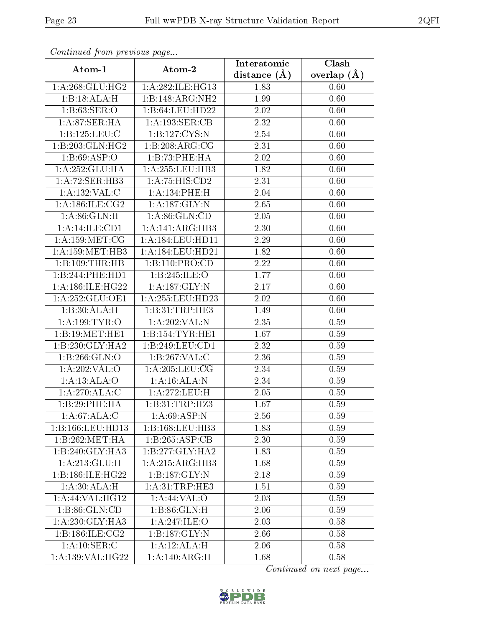| Continuea from previous page |                           | Interatomic       | Clash         |
|------------------------------|---------------------------|-------------------|---------------|
| Atom-1                       | Atom-2                    | distance $(A)$    | overlap $(A)$ |
| 1: A:268: GLU:HG2            | 1:A:282:ILE:HG13          | 1.83              | 0.60          |
| 1:B:18:ALA:H                 | 1:B:148:ARG:NH2           | 1.99              | 0.60          |
| 1: B:63: SER:O               | 1:B:64:LEU:HD22           | 2.02              | 0.60          |
| 1:A:87:SER:HA                | 1: A: 193: SER: CB        | 2.32              | 0.60          |
| 1:B:125:LEU:C                | 1:B:127:CYS:N             | 2.54              | 0.60          |
| 1:B:203:GLN:HG2              | 1:B:208:ARG:CG            | 2.31              | 0.60          |
| 1:B:69:ASP:O                 | 1:B:73:PHE:HA             | $2.02\,$          | 0.60          |
| $1:A:252:GLU:H\overline{A}$  | $1: A: 255:$ LEU:HB3      | 1.82              | 0.60          |
| 1:A:72:SER:HB3               | 1:A:75:HIS:CD2            | 2.31              | 0.60          |
| 1:A:132:VAL:CC               | 1:A:134:PHE:H             | 2.04              | 0.60          |
| 1: A:186: ILE:CG2            | 1: A: 187: GLY:N          | 2.65              | 0.60          |
| 1: A:86: GLN:H               | 1: A:86: GLN:CD           | 2.05              | 0.60          |
| 1:A:14:ILE:CD1               | 1:A:141:ARG:HB3           | 2.30              | 0.60          |
| 1: A: 159: MET: CG           | 1: A: 184: LEU: HD11      | 2.29              | 0.60          |
| 1: A: 159: MET: HB3          | 1:A:184:LEU:HD21          | 1.82              | 0.60          |
| 1:B:109:THR:HB               | 1:B:110:PRO:CD            | 2.22              | 0.60          |
| 1:B:244:PHE:HD1              | 1:B:245:ILE:O             | 1.77              | 0.60          |
| 1: A:186: ILE: HG22          | 1:A:187:GLY:N             | 2.17              | 0.60          |
| 1:A:252:GLU:OE1              | 1:A:255:LEU:HD23          | 2.02              | 0.60          |
| 1:B:30:ALA:H                 | 1:B:31:TRP:HE3            | 1.49              | 0.60          |
| 1: A: 199: TYR: O            | 1:A:202:VAL:N             | 2.35              | 0.59          |
| 1:B:19:MET:HE1               | 1:B:154:TYR:HE1           | 1.67              | 0.59          |
| 1:B:230:GLY:HA2              | 1:B:249:LEU:CD1           | 2.32              | 0.59          |
| 1:B:266:GLN:O                | 1:B:267:VAL:C             | 2.36              | 0.59          |
| 1:A:202:VAL:O                | 1: A:205:LEU:CG           | 2.34              | 0.59          |
| 1:A:13:ALA:O                 | 1:A:16:ALA:N              | $\overline{2}.34$ | 0.59          |
| $1:A:270:ALA:\overline{C}$   | 1:A:272:LEU:H             | 2.05              | 0.59          |
| 1:B:29:PHE:HA                | 1:B:31:TRP:HZ3            | 1.67              | 0.59          |
| 1: A:67: ALA: C              | $1:A:69:A\overline{SP:N}$ | 2.56              | 0.59          |
| 1:B:166:LEU:HD13             | 1:B:168:LEU:HB3           | 1.83              | 0.59          |
| 1:B:262:MET:HA               | 1:B:265:ASP:CB            | 2.30              | 0.59          |
| 1:B:240:GLY:HA3              | 1:B:277:GLY:HA2           | 1.83              | 0.59          |
| 1: A:213: GLU: H             | 1:A:215:ARG:HB3           | 1.68              | 0.59          |
| 1:B:186:ILE:HG22             | 1:B:187:GLY:N             | 2.18              | 0.59          |
| 1:A:30:ALA:H                 | 1: A:31:TRP:HE3           | 1.51              | 0.59          |
| 1:A:44:VAL:HG12              | 1:A:44:VAL:O              | 2.03              | 0.59          |
| 1: B:86: GLN:CD              | 1:B:86:GLN:H              | 2.06              | 0.59          |
| 1: A:230: GLY:HA3            | 1: A:247: ILE:O           | 2.03              | 0.58          |
| 1:B:186:ILE:CG2              | 1:B:187:GLY:N             | 2.66              | 0.58          |
| 1: A:10: SER:C               | 1:A:12:ALA:H              | 2.06              | 0.58          |
| 1:A:139:VAL:HG22             | 1:A:140:ARG:H             | 1.68              | 0.58          |

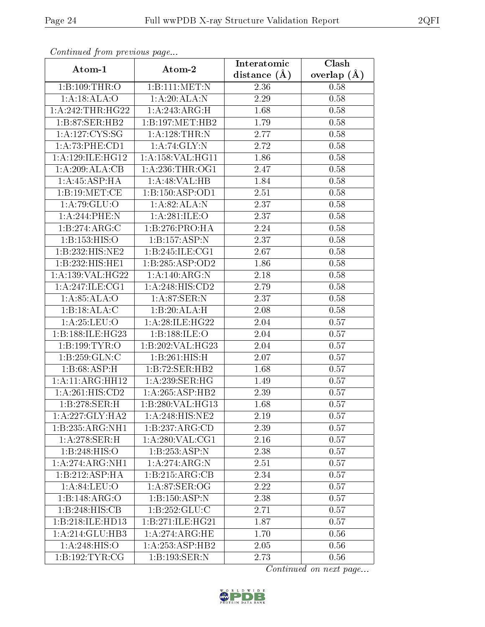| Comunaca jiom previous page |                      | Interatomic    | Clash           |
|-----------------------------|----------------------|----------------|-----------------|
| Atom-1                      | Atom-2               | distance $(A)$ | overlap $(\AA)$ |
| 1:B:109:THR:O               | 1:B:111:MET:N        | 2.36           | 0.58            |
| 1:A:18:ALA:O                | 1:A:20:ALA:N         | 2.29           | 0.58            |
| 1:A:242:THR:HG22            | 1:A:243:ARG:H        | 1.68           | 0.58            |
| 1:B:87:SER:HB2              | 1:B:197:MET:HB2      | 1.79           | 0.58            |
| 1: A: 127: CYS: SG          | 1:A:128:THR:N        | 2.77           | 0.58            |
| 1:A:73:PHE:CD1              | 1:A:74:GLY:N         | 2.72           | 0.58            |
| 1:A:129:ILE:HG12            | 1: A: 158: VAL: HG11 | 1.86           | 0.58            |
| 1:A:209:ALA:CB              | 1: A:236:THR:OG1     | 2.47           | 0.58            |
| 1: A: 45: ASP: HA           | 1:A:48:VAL:HB        | 1.84           | 0.58            |
| 1:B:19:MET:CE               | 1:B:150:ASP:OD1      | 2.51           | 0.58            |
| 1:A:79:GLU:O                | 1: A:82: ALA: N      | 2.37           | 0.58            |
| 1:A:244:PHE:N               | 1:A:281:ILE:O        | 2.37           | 0.58            |
| 1:B:274:ARG:C               | 1:B:276:PRO:HA       | 2.24           | 0.58            |
| 1:B:153:HIS:O               | 1:B:157:ASP:N        | 2.37           | 0.58            |
| 1:B:232:HIS:NE2             | 1:B:245:ILE:CG1      | 2.67           | 0.58            |
| 1:B:232:HIS:HE1             | 1:B:285:ASP:OD2      | 1.86           | 0.58            |
| 1:A:139:VAL:HG22            | 1:A:140:ARG:N        | 2.18           | 0.58            |
| 1: A:247: ILE: CG1          | 1:A:248:HIS:CD2      | 2.79           | 0.58            |
| 1: A:85: ALA:O              | 1:A:87:SER:N         | 2.37           | 0.58            |
| $1:B:18:ALA:\overline{C}$   | 1:B:20:ALA:H         | 2.08           | 0.58            |
| 1:A:25:LEU:O                | 1:A:28:ILE:HG22      | 2.04           | 0.57            |
| 1:B:188:ILE:HG23            | 1:B:188:ILE:O        | 2.04           | 0.57            |
| 1:B:199:TYR:O               | 1:B:202:VAL:HG23     | 2.04           | 0.57            |
| 1: B: 259: GLN: C           | 1:B:261:HIS:H        | 2.07           | 0.57            |
| 1: B:68:ASP:H               | 1:B:72:SER:HB2       | 1.68           | 0.57            |
| 1:A:11:ARG:HH12             | 1: A:239: SER: HG    | 1.49           | 0.57            |
| 1: A:261: HIS:CD2           | 1:A:265:ASP:HB2      | 2.39           | 0.57            |
| 1:B:278:SER:H               | 1:B:280:VAL:HG13     | 1.68           | 0.57            |
| 1: A:227: GLY:HA2           | 1:A:248:HIS:NE2      | 2.19           | 0.57            |
| 1:B:235:ARG:NH1             | 1:B:237:ARG:CD       | 2.39           | 0.57            |
| $1: A:278:$ SER:H           | 1: A:280: VAL:CG1    | 2.16           | 0.57            |
| 1:B:248:HIS:O               | 1:B:253:ASP:N        | 2.38           | 0.57            |
| 1:A:274:ARG:NH1             | 1:A:274:ARG:N        | 2.51           | 0.57            |
| 1:B:212:ASP:HA              | 1:B:215:ARG:CB       | 2.34           | 0.57            |
| 1: A:84:LEU:O               | 1: A:87: SER:OG      | 2.22           | 0.57            |
| 1:B:148:ARG:O               | 1:B:150:ASP:N        | 2.38           | 0.57            |
| 1:B:248:HIS:CB              | 1: B: 252: GLU: C    | 2.71           | 0.57            |
| 1:B:218:ILE:HD13            | 1:B:271:ILE:HG21     | 1.87           | 0.57            |
| 1:A:214:GLU:HB3             | 1: A:274: ARG: HE    | 1.70           | 0.56            |
| 1:A:248:HIS:O               | 1:A:253:ASP:HB2      | 2.05           | 0.56            |
| 1: B: 192: TYR: CG          | 1:B:193:SER:N        | 2.73           | 0.56            |

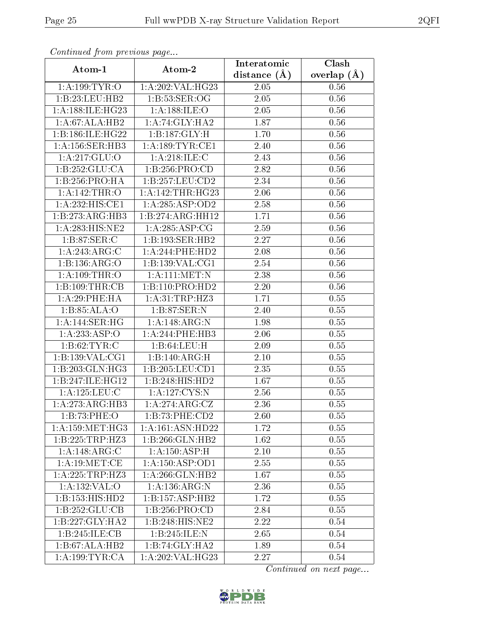| Continuou jiom protivus pago       |                     | Interatomic       | Clash           |
|------------------------------------|---------------------|-------------------|-----------------|
| Atom-1                             | Atom-2              | distance $(\AA)$  | overlap $(\AA)$ |
| 1: A: 199: TYR: O                  | 1: A:202: VAL: HG23 | 2.05              | 0.56            |
| 1:B:23:LEU:HB2                     | 1:B:53:SER:OG       | 2.05              | 0.56            |
| 1: A:188: ILE: HG <sub>23</sub>    | 1: A: 188: ILE: O   | 2.05              | 0.56            |
| 1:A:67:ALA:HB2                     | 1: A:74: GLY:HA2    | 1.87              | 0.56            |
| 1:B:186:ILE:HG22                   | 1:B:187:GLY:H       | 1.70              | 0.56            |
| 1: A: 156: SER: HB3                | 1: A: 189: TYR: CE1 | 2.40              | 0.56            |
| 1:A:217:GLU:O                      | 1:A:218:ILE:C       | $\overline{2}.43$ | 0.56            |
| 1:B:252:GLU:CA                     | 1:B:256:PRO:CD      | 2.82              | 0.56            |
| 1:B:256:PRO:HA                     | 1:B:257:LEU:CD2     | 2.34              | 0.56            |
| 1: A:142:THR:O                     | 1: A:142:THR:HG23   | 2.06              | 0.56            |
| 1:A:232:HIS:CE1                    | 1:A:285:ASP:OD2     | 2.58              | 0.56            |
| 1:B:273:ARG:HB3                    | 1:B:274:ARG:HH12    | 1.71              | 0.56            |
| 1:A:283:HIS:NE2                    | 1:A:285:ASP:CG      | 2.59              | 0.56            |
| $1: B:87: \overline{\text{SER}:C}$ | 1:B:193:SER:HB2     | 2.27              | 0.56            |
| 1:A:243:ARG:C                      | 1:A:244:PHE:HD2     | 2.08              | 0.56            |
| 1:B:136:ARG:O                      | 1: B: 139: VAL: CG1 | 2.54              | 0.56            |
| 1:A:109:THR:O                      | 1:A:111:MET:N       | 2.38              | 0.56            |
| 1:B:109:THR:CB                     | 1:B:110:PRO:HD2     | 2.20              | 0.56            |
| 1:A:29:PHE:HA                      | 1:A:31:TRP:HZ3      | 1.71              | 0.55            |
| 1:B:85:ALA:O                       | 1:B:87:SER:N        | 2.40              | 0.55            |
| 1: A:144: SER: HG                  | $1:$ A:148:ARG:N    | 1.98              | 0.55            |
| 1:A:233:ASP:O                      | 1:A:244:PHE:HB3     | 2.06              | 0.55            |
| 1: B:62:TYR:C                      | 1:B:64:LEU:H        | 2.09              | 0.55            |
| 1:B:139:VAL:CG1                    | 1:B:140:ARG:H       | 2.10              | 0.55            |
| 1:B:203:GLN:HG3                    | 1:B:205:LEU:CD1     | 2.35              | 0.55            |
| 1:B:247:ILE:HG12                   | 1:B:248:HIS:HD2     | 1.67              | 0.55            |
| 1: A: 125: LEU: C                  | 1: A: 127: CYS:N    | 2.56              | 0.55            |
| 1:A:273:ARG:HB3                    | 1:A:274:ARG:CZ      | 2.36              | 0.55            |
| 1:B:73:PHE:O                       | 1:B:73:PHE:CD2      | 2.60              | 0.55            |
| 1: A: 159: MET:HG3                 | 1:A:161:ASN:HD22    | 1.72              | 0.55            |
| 1:B:225:TRP:HZ3                    | 1:B:266:GLN:HB2     | 1.62              | 0.55            |
| 1:A:148:ARG:C                      | 1:A:150:ASP:H       | 2.10              | 0.55            |
| 1: A:19: MET:CE                    | 1: A: 150: ASP:OD1  | 2.55              | 0.55            |
| 1: A:225:TRP:HZ3                   | 1: A:266: GLN:HB2   | 1.67              | 0.55            |
| 1:A:132:VAL:O                      | 1: A: 136: ARG: N   | 2.36              | 0.55            |
| 1:B:153:HIS:HD2                    | 1:B:157:ASP:HB2     | 1.72              | 0.55            |
| 1:B:252:GLU:CB                     | 1: B: 256: PRO:CD   | 2.84              | 0.55            |
| 1:B:227:GLY:HA2                    | 1:B:248:HIS:NE2     | 2.22              | 0.54            |
| 1:B:245:ILE:CB                     | 1:B:245:ILE:N       | 2.65              | 0.54            |
| 1:B:67:ALA:HB2                     | 1:B:74:GLY:HA2      | 1.89              | 0.54            |
| 1: A: 199: TYR: CA                 | 1:A:202:VAL:HG23    | 2.27              | 0.54            |

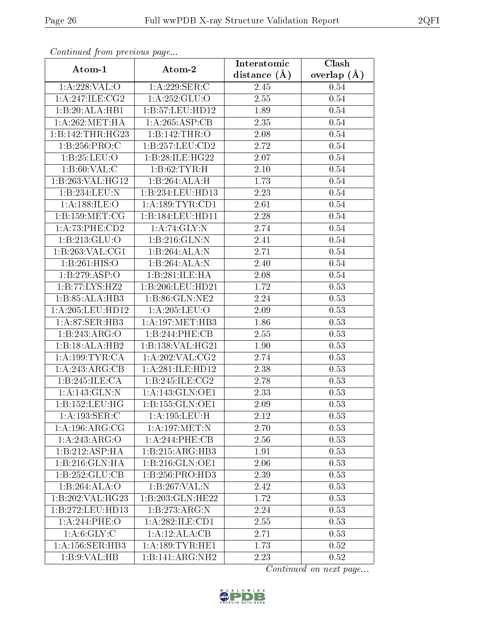| Communica from precious page      |                                       | Interatomic       | $\overline{\text{Clash}}$ |
|-----------------------------------|---------------------------------------|-------------------|---------------------------|
| Atom-1                            | Atom-2                                | distance $(A)$    | overlap $(\AA)$           |
| 1: A:228: VAL:O                   | 1: A:229: SER: C                      | 2.45              | 0.54                      |
| 1: A:247: ILE: CG2                | 1:A:252:GLU:O                         | $\overline{2.55}$ | 0.54                      |
| 1:B:20:ALA:HB1                    | 1:5:57:LEU:HD12                       | 1.89              | 0.54                      |
| 1: A:262:MET:HA                   | 1:A:265:ASP:CB                        | 2.35              | 0.54                      |
| 1:B:142:THR:HG23                  | 1:B:142:THR:O                         | 2.08              | 0.54                      |
| 1:B:256:PRO:C                     | 1: B: 257: LEU: CD2                   | 2.72              | 0.54                      |
| 1:B:25:LEU:O                      | 1:B:28:ILE:HG22                       | 2.07              | 0.54                      |
| 1: B:60: VAL:C                    | 1: B:62: TYR:H                        | 2.10              | 0.54                      |
| 1:B:263:VAL:HG12                  | 1:B:264:ALA:H                         | 1.73              | 0.54                      |
| 1:B:234:LEU:N                     | 1:B:234:LEU:HD13                      | 2.23              | 0.54                      |
| 1: A:188: ILE:O                   | 1:A:189:TYR:CD1                       | 2.61              | 0.54                      |
| 1: B: 159: MET: CG                | 1:B:184:LEU:HDI1                      | 2.28              | $0.54\,$                  |
| 1:A:73:PHE:CD2                    | 1:A:74:GLY:N                          | 2.74              | 0.54                      |
| 1:B:213:GLU:O                     | 1:B:216:GLN:N                         | 2.41              | 0.54                      |
| 1:B:263:VAL:CG1                   | 1:B:264:ALA:N                         | 2.71              | 0.54                      |
| 1:B:261:HIS:O                     | 1:B:264:ALA:N                         | 2.40              | 0.54                      |
| 1:B:279:ASP:O                     | 1:B:281:ILE:HA                        | 2.08              | 0.54                      |
| 1:B:77:LYS:HZ2                    | 1:B:206:LEU:HD21                      | 1.72              | 0.53                      |
| 1:B:85:ALA:HB3                    | 1:B:86:GLN:NE2                        | 2.24              | 0.53                      |
| 1: A:205:LEU:HD12                 | 1:A:205:LEU:O                         | 2.09              | 0.53                      |
| 1:A:87:SER:HB3                    | $1:A:197:\overline{\mathrm{MET:HB3}}$ | 1.86              | 0.53                      |
| 1:B:243:ARG:O                     | 1:B:244:PHE:CB                        | 2.55              | 0.53                      |
| 1:B:18:ALA:HB2                    | 1:B:138:VAL:H <sub>G21</sub>          | 1.90              | 0.53                      |
| 1: A: 199: TYR: CA                | 1: A:202: VAL: CG2                    | 2.74              | 0.53                      |
| 1:A:243:ARG:CB                    | 1:A:281:ILE:HD12                      | 2.38              | 0.53                      |
| 1:B:245:ILE:CA                    | 1:B:245:ILE:CG2                       | 2.78              | 0.53                      |
| 1: A: 143: GLN:N                  | 1: A:143: GLN:OE1                     | 2.33              | 0.53                      |
| 1:B:152:LEU:HG                    | 1:B:155:GLN:OE1                       | 2.09              | 0.53                      |
| $1:A:193:\overline{\text{SER}:C}$ | 1: A: 195: LEU: H                     | 2.12              | 0.53                      |
| 1: A:196:ARG:CG                   | 1:A:197:MET:N                         | 2.70              | 0.53                      |
| 1:A:243:ARG:O                     | 1:A:244:PHE:CB                        | 2.56              | 0.53                      |
| 1:B:212:ASP:HA                    | 1:B:215:ARG:HB3                       | 1.91              | 0.53                      |
| 1:B:216:GLN:HA                    | 1:B:216:GLN:OE1                       | 2.06              | 0.53                      |
| 1:B:252:GLU:CB                    | 1:B:256:PRO:HD3                       | 2.39              | 0.53                      |
| 1:B:264:ALA:O                     | 1:B:267:VAL:N                         | 2.42              | 0.53                      |
| 1:B:202:VAL:HG23                  | 1:B:203:GLN:HE22                      | 1.72              | 0.53                      |
| 1:B:272:LEU:HD13                  | 1:B:273:ARG:N                         | 2.24              | 0.53                      |
| 1:A:244:PHE:O                     | 1: A:282: ILE: CD1                    | 2.55              | 0.53                      |
| 1: A:6: GLY: C                    | 1:A:12:ALA:CB                         | 2.71              | 0.53                      |
| 1: A:156: SER:HB3                 | 1: A:189:TYR:HE1                      | 1.73              | 0.52                      |
| 1:B:9:VAL:HB                      | 1:B:141:ARG:NH2                       | 2.23              | 0.52                      |

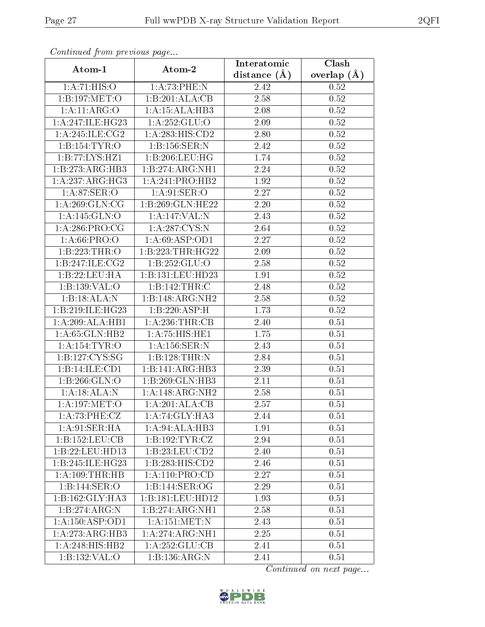| Comunaca jiom previous page  |                    | Interatomic       | Clash           |
|------------------------------|--------------------|-------------------|-----------------|
| Atom-1                       | Atom-2             | distance $(A)$    | overlap $(\AA)$ |
| 1: A:71: HIS:O               | 1: A:73:PHE:N      | 2.42              | 0.52            |
| 1:B:197:MET:O                | 1:B:201:ALA:CB     | $\overline{2.58}$ | 0.52            |
| 1: A:11: ARG:O               | 1:A:15:ALA:HB3     | 2.08              | 0.52            |
| 1: A:247: ILE: HG23          | 1: A: 252: GLU:O   | 2.09              | 0.52            |
| 1:A:245:ILE:CG2              | 1: A:283:HIS:CD2   | 2.80              | 0.52            |
| 1:B:154:TYR:O                | 1:B:156:SER:N      | 2.42              | 0.52            |
| 1:B:77:LYS:HZ1               | 1:B:206:LEU:HG     | 1.74              | $0.52\,$        |
| 1:B:273:ARG:HB3              | 1:B:274:ARG:NH1    | 2.24              | 0.52            |
| 1:A:237:ARG:HG3              | 1:A:241:PRO:HB2    | 1.92              | $0.52\,$        |
| 1: A:87: SER:O               | 1: A:91: SER:O     | 2.27              | 0.52            |
| 1: A:269: GLN:CG             | 1:B:269:GLN:HE22   | 2.20              | 0.52            |
| 1:A:145:GLN:O                | 1:A:147:VAL:N      | 2.43              | $0.52\,$        |
| 1: A:286:PRO:CG              | 1:A:287:CYS:N      | 2.64              | 0.52            |
| 1: A:66: PRO:O               | 1:A:69:ASP:OD1     | 2.27              | 0.52            |
| 1:B:223:THR:O                | 1:B:223:THR:HG22   | 2.09              | 0.52            |
| 1:B:247:ILE:CG2              | 1:B:252:GLU:O      | 2.58              | 0.52            |
| 1:B:22:LEU:HA                | 1:B:131:LEU:HD23   | 1.91              | 0.52            |
| 1:B:139:VAL:O                | 1:B:142:THR:C      | 2.48              | 0.52            |
| 1:B:3ALA:N                   | 1:B:148:ARG:NH2    | 2.58              | 0.52            |
| 1:B:219:ILE:HG23             | 1:B:220:ASP:H      | 1.73              | 0.52            |
| 1:A:209:ALA:HB1              | 1: A:236:THR:CB    | 2.40              | 0.51            |
| 1:A:65:GLN:HB2               | 1:A:75:HIS:HE1     | 1.75              | 0.51            |
| 1:A:154:TYR:O                | 1: A: 156: SER: N  | 2.43              | 0.51            |
| 1:B:127:CYS:SG               | 1:B:128:THR:N      | 2.84              | 0.51            |
| 1:B:14:ILE:CD1               | 1:B:141:ARG:HB3    | 2.39              | 0.51            |
| 1:B:266:GLN:O                | 1:B:269:GLN:HB3    | 2.11              | 0.51            |
| 1:A:18:ALA:N                 | 1:A:148:ARG:NH2    | 2.58              | 0.51            |
| 1: A:197: MET:O              | 1:A:201:ALA:CB     | 2.57              | 0.51            |
| 1:A:73:PHE:CZ                | 1:A:74:GLY:HA3     | 2.44              | 0.51            |
| 1: A:91: SER: HA             | 1:A:94:ALA:HB3     | 1.91              | 0.51            |
| 1:B:152:LEU:CB               | 1:B:192:TYR:CZ     | 2.94              | 0.51            |
| 1:B:22:LEU:HD13              | 1:B:23:LEU:CD2     | 2.40              | 0.51            |
| 1:B:245:ILE:HG23             | 1:B:283:HIS:CD2    | 2.46              | 0.51            |
| 1:A:109:THR:HB               | 1: A: 110: PRO:CD  | 2.27              | 0.51            |
| 1:B:144:SER:O                | 1:B:144:SER:OG     | 2.29              | 0.51            |
| 1:B:162:GLY:HA3              | 1:B:181:LEU:HD12   | 1.93              | 0.51            |
| 1:B:274:ARG:N                | 1:B:274:ARG:NH1    | 2.58              | 0.51            |
| $1:A:150:\overline{ASP:OD1}$ | 1:A:151:MET:N      | 2.43              | 0.51            |
| 1:A:273:ARG:HB3              | 1:A:274:ARG:NH1    | 2.25              | 0.51            |
| 1: A:248: HIS: HB2           | 1: A: 252: GLU: CB | 2.41              | 0.51            |
| 1:B:132:VAL:O                | 1:B:136:ARG:N      | 2.41              | 0.51            |

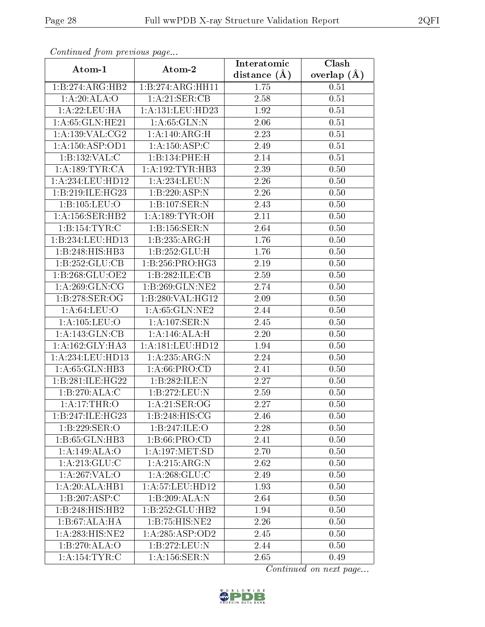| сонинией јтоні ртеvious раде |                                      | Interatomic       | Clash           |
|------------------------------|--------------------------------------|-------------------|-----------------|
| Atom-1                       | Atom-2                               | distance $(A)$    | overlap $(\AA)$ |
| 1:B:274:ARG:HB2              | 1:B:274:ARG:HH11                     | 1.75              | 0.51            |
| 1:A:20:ALA:O                 | 1:A:21:SER:CB                        | 2.58              | $0.51\,$        |
| 1: A:22:LEU:HA               | 1:A:131:LEU:HD23                     | 1.92              | 0.51            |
| 1: A:65: GLN: HE21           | 1: A:65: GLN:N                       | 2.06              | 0.51            |
| 1: A: 139: VAL: CG2          | 1:A:140:ARG:H                        | 2.23              | $0.51\,$        |
| 1:A:150:ASP:OD1              | 1:A:150:ASP:C                        | 2.49              | 0.51            |
| 1:B:132:VAL:C                | 1:B:134:PHE:H                        | 2.14              | 0.51            |
| 1: A: 189: TYR: CA           | 1: A: 192: TYR: HB3                  | 2.39              | 0.50            |
| 1: A:234:LEU:HD12            | 1: A:234:LEU: N                      | 2.26              | 0.50            |
| 1:B:219:ILE:HG23             | 1:B:220:ASP:N                        | 2.26              | 0.50            |
| 1:B:105:LEU:O                | 1:B:107:SER:N                        | 2.43              | 0.50            |
| 1: A:156: SER: HB2           | 1: A: 189: TYR: OH                   | $\overline{2.11}$ | 0.50            |
| 1:B:154:TYR:C                | 1:B:156:SER:N                        | 2.64              | 0.50            |
| 1:B:234:LEU:HD13             | 1:B:235:ARG:H                        | 1.76              | 0.50            |
| 1:B:248:HIS:HB3              | 1:B:252:GLU:H                        | 1.76              | 0.50            |
| 1:B:252:GLU:CB               | 1:B:256:PRO:HG3                      | 2.19              | 0.50            |
| 1:B:268:GLU:OE2              | 1:B:282:ILE:CB                       | 2.59              | 0.50            |
| 1: A:269: GLN:CG             | 1:B:269:GLN:NE2                      | 2.74              | 0.50            |
| 1:B:278:SER:OG               | 1:B:280:VAL:HG12                     | 2.09              | 0.50            |
| 1: A:64:LEU:O                | 1:A:65:GLN:NE2                       | 2.44              | 0.50            |
| 1: A: 105: LEU: O            | $1:$ A:107:SER:N                     | 2.45              | 0.50            |
| 1:A:143:GLN:CB               | 1:A:146:ALA:H                        | 2.20              | 0.50            |
| 1:A:162:GLY:HA3              | 1:A:181:LEU:HD12                     | 1.94              | 0.50            |
| 1:A:234:LEU:HD13             | 1:A:235:ARG:N                        | 2.24              | $0.50\,$        |
| 1: A:65: GLN:HB3             | 1: A:66: PRO:CD                      | 2.41              | 0.50            |
| 1:B:281:ILE:HG22             | 1:B:282:ILE:N                        | 2.27              | 0.50            |
| 1:B:270:ALA:C                | 1:B:272:LEU:N                        | 2.59              | 0.50            |
| 1:A:17:THR:O                 | 1: A:21: SER:OG                      | 2.27              | 0.50            |
| 1:B:247:ILE:HG23             | 1:B:248:HIS:CG                       | 2.46              | 0.50            |
| 1:B:229:SER:O                | 1:B:247:ILE:O                        | 2.28              | 0.50            |
| 1:B:65:GLN:HB3               | 1: B:66: PRO:CD                      | 2.41              | 0.50            |
| 1:A:149:ALA:O                | 1: A: 197: MET: SD                   | 2.70              | 0.50            |
| 1: A:213: GLU:C              | 1:A:215:ARG:N                        | 2.62              | 0.50            |
| 1: A:267: VAL:O              | 1: A:268: GLU:C                      | 2.49              | 0.50            |
| 1:A:20:ALA:HB1               | 1: A: 57: LEU: HD12                  | 1.93              | 0.50            |
| 1:B:207:ASP:C                | $1:B:209:\overline{\mathrm{ALA:N}}$  | 2.64              | 0.50            |
| 1:B:248:HIS:HB2              | 1:B:252:GLU:HB2                      | 1.94              | 0.50            |
| 1:B:67:ALA:HA                | 1:B:75:HIS:NE2                       | 2.26              | 0.50            |
| 1:A:283:HIS:NE2              | 1: A:285:ASP:OD2                     | 2.45              | 0.50            |
| 1:B:270:ALA:O                | 1:B:272:LEU:N                        | 2.44              | 0.50            |
| 1:A:154:TYR:C                | $1: A: 156: \overline{\text{SER}:N}$ | 2.65              | 0.49            |

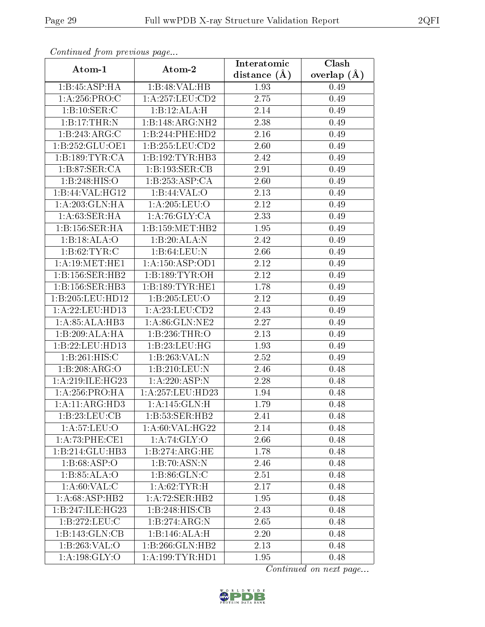| Continually from providuo puga     |                     | Interatomic      | Clash           |
|------------------------------------|---------------------|------------------|-----------------|
| Atom-1                             | Atom-2              | distance $(\AA)$ | overlap $(\AA)$ |
| 1:B:45:ASP:HA                      | 1:B:48:VAL:HB       | 1.93             | 0.49            |
| 1: A:256: PRO:C                    | 1: A:257:LEU:CD2    | 2.75             | 0.49            |
| 1:B:10:SER:C                       | 1:B:12:ALA:H        | 2.14             | 0.49            |
| 1:B:17:THR:N                       | 1:B:148:ARG:NH2     | 2.38             | 0.49            |
| 1:B:243:ARG:C                      | 1:B:244:PHE:HD2     | 2.16             | 0.49            |
| 1:B:252:GLU:OE1                    | 1:B:255:LEU:CD2     | 2.60             | 0.49            |
| 1:B:189:TYR:CA                     | 1:B:192:TYR:HB3     | 2.42             | 0.49            |
| 1:B:87:SER:CA                      | 1:B:193:SER:CB      | 2.91             | 0.49            |
| 1:B:248:HIS:O                      | 1:B:253:ASP:CA      | 2.60             | 0.49            |
| 1:B:44:VAL:HG12                    | 1:B:44:VAL:O        | 2.13             | 0.49            |
| 1:A:203:GLN:HA                     | 1:A:205:LEU:O       | 2.12             | 0.49            |
| 1: A:63:SER:HA                     | 1:A:76:GLY:CA       | 2.33             | 0.49            |
| 1:B:156:SER:HA                     | 1:B:159:MET:HB2     | 1.95             | 0.49            |
| 1:B:18:ALA:O                       | 1:B:20:ALA:N        | 2.42             | 0.49            |
| 1: B:62: TYR:C                     | 1:B:64:LEU:N        | 2.66             | 0.49            |
| 1:A:19:MET:HE1                     | 1: A: 150: ASP: OD1 | 2.12             | 0.49            |
| 1:B:156:SER:HB2                    | 1: B: 189: TYR: OH  | 2.12             | 0.49            |
| 1:B:156:SER:HB3                    | 1:B:189:TYR:HE1     | 1.78             | 0.49            |
| 1:B:205:LEU:HD12                   | 1:B:205:LEU:O       | 2.12             | 0.49            |
| 1: A:22: LEU: HD13                 | 1:A:23:LEU:CD2      | 2.43             | 0.49            |
| 1:A:85:ALA:HB3                     | 1: A:86: GLN:NE2    | 2.27             | 0.49            |
| 1:B:209:ALA:HA                     | 1:B:236:THR:O       | 2.13             | 0.49            |
| 1:B:22:LEU:HD13                    | 1:B:23:LEU:HG       | 1.93             | 0.49            |
| 1:B:261:HIS:C                      | 1:B:263:VAL:N       | 2.52             | 0.49            |
| 1:B:208:ARG:O                      | 1:B:210:LEU:N       | 2.46             | 0.48            |
| 1: A:219: ILE: HG23                | 1:A:220:ASP:N       | 2.28             | 0.48            |
| 1:A:256:PRO:HA                     | 1:A:257:LEU:HD23    | 1.94             | 0.48            |
| 1:A:11:ARG:HD3                     | 1:A:145:GLN:H       | 1.79             | 0.48            |
| 1:B:23:LEU:CB                      | 1:B:53:SER:HB2      | 2.41             | 0.48            |
| 1: A:57:LEU:O                      | 1: A:60: VAL:HG22   | 2.14             | 0.48            |
| 1:A:73:PHE:CE1                     | 1: A:74: GLY:O      | 2.66             | 0.48            |
| 1:B:214:GLU:HB3                    | 1:B:274:ARG:HE      | 1.78             | 0.48            |
| 1:B:68:ASP:O                       | 1:B:70:ASN:N        | 2.46             | 0.48            |
| $1:B:85:\overline{\mathrm{ALA:O}}$ | 1: B:86: GLN: C     | 2.51             | 0.48            |
| 1: A:60: VAL: C                    | 1: A:62:TYR:H       | 2.17             | 0.48            |
| 1:A:68:ASP:HB2                     | 1:A:72:SER:HB2      | 1.95             | 0.48            |
| 1:B:247:ILE:HG23                   | 1:B:248:HIS:CB      | 2.43             | 0.48            |
| 1:B:272:LEU:C                      | 1:B:274:ARG:N       | 2.65             | 0.48            |
| 1:B:143:GLN:CB                     | 1:B:146:ALA:H       | 2.20             | 0.48            |
| 1:B:263:VAL:O                      | 1:B:266:GLN:HB2     | 2.13             | 0.48            |
| 1: A: 198: GLY: O                  | 1: A: 199: TYR: HD1 | 1.95             | 0.48            |

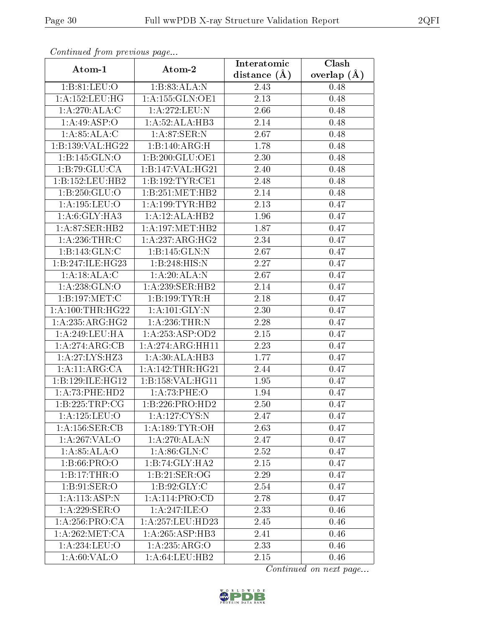| Communaca from previous page   |                     | Interatomic       | Clash         |
|--------------------------------|---------------------|-------------------|---------------|
| Atom-1                         | Atom-2              | distance $(\AA)$  | overlap $(A)$ |
| 1: B:81: LEU:O                 | 1:B:83:ALA:N        | 2.43              | 0.48          |
| 1: A: 152: LEU: HG             | 1:A:155:GLN:OE1     | $\overline{2.13}$ | 0.48          |
| 1:A:270:ALA:C                  | 1:A:272:LEU:N       | 2.66              | 0.48          |
| 1:A:49:ASP:O                   | 1: A:52: ALA:HB3    | 2.14              | 0.48          |
| 1: A:85: ALA:C                 | 1: A:87:SER:N       | 2.67              | 0.48          |
| 1:B:139:VAL:HG22               | 1:B:140:ARG:H       | 1.78              | 0.48          |
| 1:B:145:GLN:O                  | 1:B:200:GLU:OE1     | 2.30              | 0.48          |
| 1:B:79:GLU:CA                  | 1:B:147:VAL:HG21    | 2.40              | 0.48          |
| 1:B:152:LEU:HB2                | 1:B:192:TYR:CE1     | 2.48              | 0.48          |
| 1: B: 250: GLU:O               | 1:B:251:MET:HB2     | 2.14              | 0.48          |
| 1:A:195:LEU:O                  | 1: A: 199: TYR: HB2 | 2.13              | 0.47          |
| 1:A:6:GLY:HA3                  | 1:A:12:ALA:HB2      | 1.96              | 0.47          |
| $1: A:87: \overline{SER}$ :HB2 | 1: A:197: MET:HB2   | 1.87              | 0.47          |
| 1: A:236:THR:C                 | 1:A:237:ARG:HG2     | 2.34              | 0.47          |
| 1:B:143:GLN:C                  | 1:B:145:GLN:N       | 2.67              | 0.47          |
| 1:B:247:ILE:HG23               | 1:B:248:HIS:N       | 2.27              | 0.47          |
| 1:A:18:ALA:C                   | 1:A:20:ALA:N        | 2.67              | 0.47          |
| 1:A:238:GLN:O                  | 1:A:239:SER:HB2     | 2.14              | 0.47          |
| 1:B:197:MET:C                  | 1:B:199:TYR:H       | 2.18              | 0.47          |
| 1: A: 100: THR: HG22           | 1: A: 101: GLY: N   | 2.30              | 0.47          |
| 1:A:235:ARG:HG2                | 1: A:236:THR:N      | 2.28              | 0.47          |
| 1: A:249:LEU:HA                | 1: A: 253: ASP:OD2  | $2.15\,$          | 0.47          |
| 1:A:274:ARG:CB                 | 1: A:274:ARG:HH11   | 2.23              | 0.47          |
| 1:A:27:LYS:HZ3                 | 1: A:30:ALA:HB3     | 1.77              | 0.47          |
| 1:A:11:ARG:CA                  | 1: A:142:THR:HG21   | 2.44              | 0.47          |
| 1:B:129:ILE:HG12               | 1:B:158:VAL:HG11    | 1.95              | 0.47          |
| 1: A:73: PHE:HD2               | 1:A:73:PHE:O        | 1.94              | 0.47          |
| 1:B:225:TRP:CG                 | 1:B:226:PRO:HD2     | 2.50              | 0.47          |
| 1:A:125:LEU:O                  | 1: A: 127: CYS:N    | 2.47              | 0.47          |
| 1: A: 156: SER: CB             | 1: A: 189: TYR: OH  | 2.63              | 0.47          |
| 1:A:267:VAL:O                  | 1:A:270:ALA:N       | 2.47              | 0.47          |
| 1:A:85:ALA:O                   | 1: A:86: GLN: C     | 2.52              | 0.47          |
| 1: B:66: PRO:O                 | 1:B:74:GLY:HA2      | 2.15              | 0.47          |
| 1:B:17:THR:O                   | 1:B:21:SER:OG       | 2.29              | 0.47          |
| 1: B:91: SER:O                 | 1: B:92: GLY:C      | 2.54              | 0.47          |
| 1: A: 113: ASP: N              | 1:A:114:PRO:CD      | 2.78              | 0.47          |
| 1:A:229:SER:O                  | 1:A:247:ILE:O       | 2.33              | 0.46          |
| 1:A:256:PRO:CA                 | 1:A:257:LEU:HD23    | 2.45              | 0.46          |
| 1: A:262:MET:CA                | 1:A:265:ASP:HB3     | 2.41              | 0.46          |
| 1:A:234:LEU:O                  | 1:A:235:ARG:O       | 2.33              | 0.46          |
| 1: A:60: VAL:O                 | 1:A:64:LEU:HB2      | 2.15              | 0.46          |

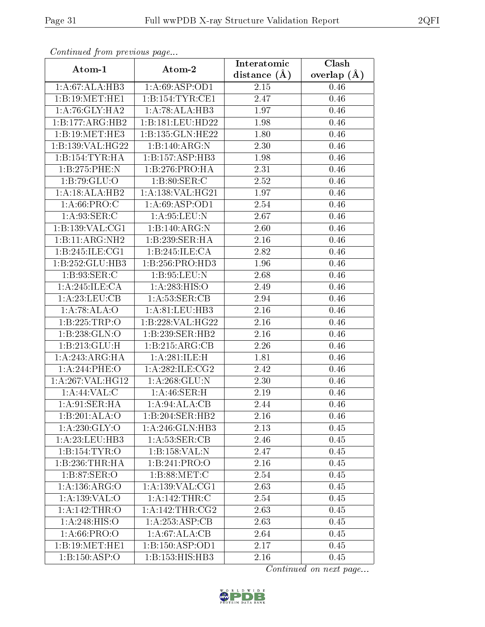| Continuea from previous page<br>Clash<br>Interatomic |                     |                   |                 |  |
|------------------------------------------------------|---------------------|-------------------|-----------------|--|
| Atom-1                                               | Atom-2              | distance $(A)$    | overlap $(\AA)$ |  |
| 1:A:67:ALA:HB3                                       | 1: A:69: ASP:OD1    | 2.15              | 0.46            |  |
| 1:B:19:MET:HE1                                       | 1:B:154:TYR:CE1     | $\overline{2.47}$ | 0.46            |  |
| 1: A:76: GLY: HA2                                    | 1:A:78:ALA:HB3      | 1.97              | 0.46            |  |
| 1:B:177:ARG:HB2                                      | 1:B:181:LEU:HD22    | 1.98              | 0.46            |  |
| 1:B:19:MET:HE3                                       | 1:B:135:GLN:HE22    | 1.80              | 0.46            |  |
| 1:B:139:VAL:HG22                                     | 1:B:140:ARG:N       | 2.30              | 0.46            |  |
| 1:B:154:TYR:HA                                       | 1:B:157:ASP:HB3     | 1.98              | 0.46            |  |
| 1:B:275:PHE:N                                        | 1:B:276:PRO:HA      | 2.31              | 0.46            |  |
| 1:B:79:GLU:O                                         | 1: B:80: SER: C     | 2.52              | 0.46            |  |
| 1:A:18:ALA:HB2                                       | 1:A:138:VAL:HG21    | 1.97              | 0.46            |  |
| 1: A:66:PRO:C                                        | 1: A:69: ASP:OD1    | 2.54              | 0.46            |  |
| 1: A:93: SER: C                                      | 1: A:95:LEU:N       | 2.67              | 0.46            |  |
| 1:B:139:VAL:CG1                                      | 1:B:140:ARG:N       | 2.60              | 0.46            |  |
| 1:B:11:ARG:NH2                                       | 1:B:239:SER:HA      | 2.16              | 0.46            |  |
| 1:B:245:ILE:CG1                                      | 1:B:245:ILE:CA      | 2.82              | 0.46            |  |
| 1:B:252:GLU:HB3                                      | 1:B:256:PRO:HD3     | 1.96              | 0.46            |  |
| 1:B:93:SER:C                                         | 1:B:95:LEU:N        | 2.68              | 0.46            |  |
| 1:A:245:ILE:CA                                       | 1:A:283:HIS:O       | 2.49              | 0.46            |  |
| 1: A:23: LEU: CB                                     | 1: A:53: SER:CB     | 2.94              | 0.46            |  |
| 1:A:78:ALA:O                                         | 1:A:81:LEU:HB3      | 2.16              | 0.46            |  |
| 1:B:225:TRP:O                                        | 1:B:228:VAL:HG22    | 2.16              | 0.46            |  |
| 1:B:238:GLN:O                                        | 1:B:239:SER:HB2     | 2.16              | 0.46            |  |
| 1:B:213:GLU:H                                        | 1:B:215:ARG:CB      | 2.26              | 0.46            |  |
| 1: A:243:ARG:HA                                      | 1:A:281:ILE:H       | 1.81              | 0.46            |  |
| 1:A:244:PHE:O                                        | 1:A:282:1LE:CG2     | 2.42              | 0.46            |  |
| 1:A:267:VAL:HG12                                     | 1: A:268: GLU:N     | 2.30              | 0.46            |  |
| 1:A:44:VAL:CC                                        | 1:A:46:SER:H        | 2.19              | 0.46            |  |
| 1: A:91: SER: HA                                     | 1:A:94:ALA:CB       | 2.44              | 0.46            |  |
| 1:B:201:ALA:O                                        | 1:B:204:SER:HB2     | 2.16              | 0.46            |  |
| 1: A:230: GLY:O                                      | 1: A:246: GLN:HB3   | 2.13              | 0.45            |  |
| 1:A:23:LEU:HB3                                       | 1: A:53: SER:CB     | 2.46              | 0.45            |  |
| 1:B:154:TYR:O                                        | 1:B:158:VAL:N       | 2.47              | 0.45            |  |
| 1:B:236:THR:HA                                       | 1:B:241:PRO:O       | 2.16              | 0.45            |  |
| 1: B:87: SER:O                                       | 1: B:88:MET:C       | 2.54              | 0.45            |  |
| 1:A:136:ARG:O                                        | 1: A: 139: VAL: CG1 | 2.63              | 0.45            |  |
| 1: A: 139: VAL: O                                    | 1:A:142:THR:C       | 2.54              | 0.45            |  |
| 1:A:142:THR:O                                        | 1: A:142:THR:CG2    | 2.63              | 0.45            |  |
| 1: A:248: HIS:O                                      | 1:A:253:ASP:CB      | 2.63              | 0.45            |  |
| 1: A:66: PRO:O                                       | 1:A:67:ALA:CB       | 2.64              | 0.45            |  |
| 1:B:19:MET:HE1                                       | 1:B:150:ASP:OD1     | 2.17              | 0.45            |  |
| $1:B:150.\overline{ASP:O}$                           | 1:B:153:HIS:HB3     | 2.16              | 0.45            |  |

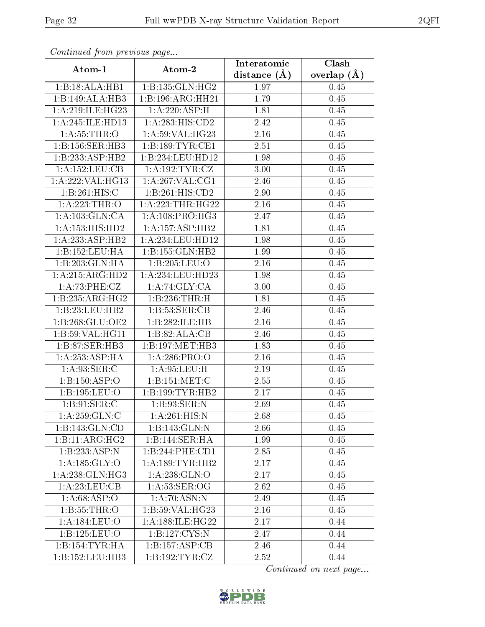| Communa from previous page           |                            | Interatomic      | Clash           |  |
|--------------------------------------|----------------------------|------------------|-----------------|--|
| Atom-1                               | Atom-2                     | distance $(\AA)$ | overlap $(\AA)$ |  |
| 1:B:18:ALA:HB1                       | 1:B:135:GLN:HG2            | 1.97             | 0.45            |  |
| 1:B:149:ALA:HB3                      | 1:B:196:ARG:HH21           | 1.79             | 0.45            |  |
| 1: A:219: ILE: HG23                  | 1:A:220:ASP:H              | 1.81             | 0.45            |  |
| 1:A:245:ILE:HD13                     | 1: A:283:HIS:CD2           | 2.42             | 0.45            |  |
| 1: A:55:THR:O                        | 1: A:59: VAL:HG23          | 2.16             | 0.45            |  |
| 1:B:156:SER:HB3                      | 1:B:189:TYR:CE1            | 2.51             | 0.45            |  |
| 1:B:233:ASP:HB2                      | 1:B:234:LEU:HD12           | 1.98             | 0.45            |  |
| 1: A: 152: LEU: CB                   | 1: A: 192: TYR: CZ         | 3.00             | 0.45            |  |
| 1:A:222:VAL:HG13                     | 1: A:267: VAL:CG1          | 2.46             | 0.45            |  |
| 1:B:261:HIS:C                        | 1:B:261:HIS:CD2            | 2.90             | 0.45            |  |
| 1: A:223:THR:O                       | 1: A: 223: THR: HG22       | 2.16             | 0.45            |  |
| 1: A: 103: GLN: CA                   | 1: A:108: PRO:HG3          | 2.47             | 0.45            |  |
| 1: A: 153: HIS: HD2                  | 1:A:157:ASP:HB2            | 1.81             | 0.45            |  |
| 1:A:233:ASP:HB2                      | 1:A:234:LEU:HD12           | 1.98             | 0.45            |  |
| 1:B:152:LEU:HA                       | 1:B:155:GLN:HB2            | 1.99             | 0.45            |  |
| 1:B:203:GLN:HA                       | 1:B:205:LEU:O              | 2.16             | 0.45            |  |
| 1:A:215:ARG:HD2                      | 1:A:234:LEU:HD23           | 1.98             | 0.45            |  |
| 1:A:73:PHE:CZ                        | 1:A:74:GLY:CA              | 3.00             | 0.45            |  |
| 1:B:235:ARG:HG2                      | 1:B:236:THR:H              | 1.81             | 0.45            |  |
| 1:B:23:LEU:HB2                       | 1: B: 53: SER: CB          | 2.46             | 0.45            |  |
| 1:B:268:GLU:OE2                      | 1:B:282:ILE:HB             | 2.16             | 0.45            |  |
| 1: B:59: VAL:HGI1                    | 1:B:82:ALA:CB              | 2.46             | 0.45            |  |
| 1:B:87:SER:HB3                       | 1:B:197:MET:HB3            | 1.83             | 0.45            |  |
| 1: A: 253: ASP:HA                    | 1: A:286: PRO:O            | 2.16             | 0.45            |  |
| 1: A:93: SER:C                       | 1: A:95:LEU:H              | 2.19             | 0.45            |  |
| 1:B:150:ASP:O                        | 1:B:151:MET:C              | 2.55             | 0.45            |  |
| 1:B:195:LEU:O                        | 1:B:199:TYR:HB2            | 2.17             | 0.45            |  |
| 1:B:91:SER:C                         | 1:B:93:SER:N               | 2.69             | 0.45            |  |
| 1: A: 259: GLN:C                     | $1:A:261:HIS:\overline{N}$ | 2.68             | 0.45            |  |
| 1:B:143:GLN:CD                       | 1:B:143:GLN:N              | 2.66             | 0.45            |  |
| $1:B:11:A\overline{\mathrm{RG:HG2}}$ | 1:B:144:SER:HA             | 1.99             | 0.45            |  |
| 1:B:233:ASP:N                        | 1:B:244:PHE:CD1            | 2.85             | 0.45            |  |
| 1:A:185:GLY:O                        | 1: A: 189: TYR: HB2        | 2.17             | 0.45            |  |
| 1: A:238: GLN: HG3                   | 1: A: 238: GLN:O           | 2.17             | 0.45            |  |
| 1: A:23:LEU:CB                       | 1: A:53: SER:OG            | 2.62             | 0.45            |  |
| $1:\overline{A:68:ASP:O}$            | 1:A:70:ASN:N               | 2.49             | 0.45            |  |
| 1: B: 55: THR:O                      | 1:B:59:VAL:HG23            | 2.16             | 0.45            |  |
| $1: A: 184: \overline{\text{LEU:O}}$ | 1:A:188:ILE:HG22           | 2.17             | 0.44            |  |
| 1:B:125:LEU:O                        | 1:B:127:CYS:N              | 2.47             | 0.44            |  |
| 1:B:154:TYR:HA                       | 1:B:157:ASP:CB             | 2.46             | 0.44            |  |
| 1:B:152:LEU:HB3                      | 1:B:192:TYR:CZ             | 2.52             | 0.44            |  |

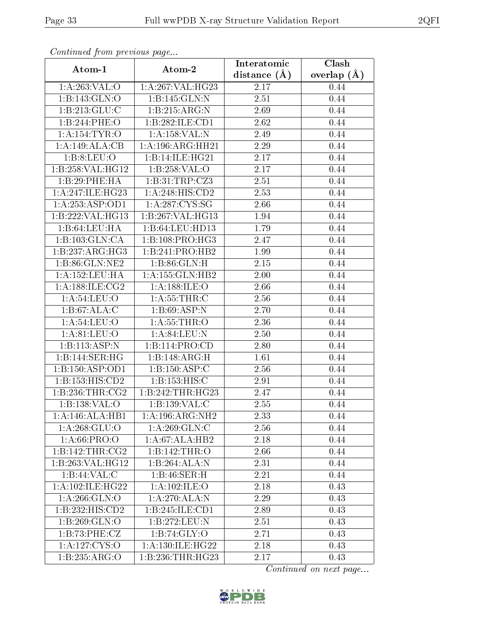| Communica from precious page         |                              | Interatomic       | $\overline{\text{Clash}}$ |  |
|--------------------------------------|------------------------------|-------------------|---------------------------|--|
| Atom-1                               | Atom-2                       | distance $(A)$    | overlap $(\AA)$           |  |
| 1: A:263:VAL:O                       | 1:A:267:VAL:HG23             |                   | 0.44                      |  |
| 1:B:143:GLN:O                        | 1:B:145:GLN:N                | $\overline{2.51}$ | 0.44                      |  |
| 1: B: 213: GLU: C                    | 1: B:215: ARG: N             | 2.69              | 0.44                      |  |
| 1:B:244:PHE:O                        | 1:B:282:ILE:CD1              | 2.62              | 0.44                      |  |
| 1:A:154:TYR:O                        | 1:A:158:VAL:N                | 2.49              | 0.44                      |  |
| 1:A:149:ALA:CB                       | 1: A:196:ARG:HH21            | 2.29              | 0.44                      |  |
| 1: B:8: LEU:O                        | 1:B:14:ILE:HG21              | $\overline{2.17}$ | 0.44                      |  |
| 1:B:258:VAL:HG12                     | 1:B:258:VAL:O                | 2.17              | 0.44                      |  |
| 1:B:29:PHE:HA                        | 1:B:31:TRP:CZ3               | 2.51              | 0.44                      |  |
| 1: A:247: ILE: HG23                  | 1:A:248:HIS:CD2              | 2.53              | 0.44                      |  |
| 1:A:253:ASP:OD1                      | 1: A:287:CYS:SG              | 2.66              | 0.44                      |  |
| 1:B:222:VAL:HG13                     | 1:B:267:VAL:HG13             | 1.94              | 0.44                      |  |
| 1:B:64:LEU:HA                        | 1:B:64:LEU:HD13              | 1.79              | 0.44                      |  |
| 1:B:103:GLN:CA                       | $1:B:108:PRO:\overline{HG3}$ | 2.47              | 0.44                      |  |
| 1:B:237:ARG:HG3                      | 1:B:241:PRO:HB2              | 1.99              | 0.44                      |  |
| 1:B:86:GLN:NE2                       | 1:B:86:GLN:H                 | 2.15              | 0.44                      |  |
| 1:A:152:LEU:HA                       | 1:A:155:GLN:HB2              | 2.00              | 0.44                      |  |
| 1: A:188: ILE: CG2                   | 1: A: 188: ILE:O             | 2.66              | 0.44                      |  |
| 1:A:54:LEU:O                         | 1: A: 55: THR: C             | 2.56              | 0.44                      |  |
| 1:B:67:ALA:C                         | 1: B:69: ASP:N               | 2.70              | 0.44                      |  |
| $1: A:54: \overline{\textrm{LEU:O}}$ | 1: A: 55: THR: O             | 2.36              | 0.44                      |  |
| $1: A:81: \overline{\text{LEU:O}}$   | 1: A:84:LEU: N               | 2.50              | 0.44                      |  |
| 1:B:113:ASP:N                        | 1:B:114:PRO:CD               | 2.80              | 0.44                      |  |
| 1:B:144:SER:HG                       | 1:B:148:ARG:H                | 1.61              | 0.44                      |  |
| 1:B:150:ASP:OD1                      | 1:B:150:ASP:C                | 2.56              | 0.44                      |  |
| 1: B: 153: HIS: CD2                  | 1:B:153:HIS:C                | 2.91              | 0.44                      |  |
| 1:B:236:THR:CG2                      | 1:B:242:THR:HG23             | 2.47              | 0.44                      |  |
| 1:B:138:VAL:O                        | 1:B:139:VAL:CC               | 2.55              | 0.44                      |  |
| 1:A:146:ALA:HB1                      | 1: A:196:ARG:NH2             | 2.33              | 0.44                      |  |
| 1: A:268: GLU:O                      | 1: A:269: GLN: C             | 2.56              | 0.44                      |  |
| 1: A:66: PRO:O                       | $1:A:67:A\overline{LA:HB2}$  | 2.18              | 0.44                      |  |
| 1:B:142:THR:CG2                      | 1:B:142:THR:O                | 2.66              | 0.44                      |  |
| 1:B:263:VAL:HG12                     | 1:B:264:ALA:N                | 2.31              | 0.44                      |  |
| 1:B:44:VAL:CC                        | 1:B:46:SER:H                 | 2.21              | 0.44                      |  |
| 1:A:102:ILE:HG22                     | 1: A: 102: ILE: O            | 2.18              | 0.43                      |  |
| 1: A:266: GLN:O                      | 1:A:270:ALA:N                | 2.29              | 0.43                      |  |
| 1:B:232:HIS:CD2                      | 1: B:245: ILE: CD1           | 2.89              | 0.43                      |  |
| $1: B: 269: \overline{GLN:O}$        | 1:B:272:LEU:N                | $2.51\,$          | 0.43                      |  |
| 1:B:73:PHE:CZ                        | 1: B:74: GLY:O               | 2.71              | 0.43                      |  |
| 1: A: 127: CYS:O                     | 1:A:130:ILE:HG22             | 2.18              | 0.43                      |  |
| 1:B:235:ARG:O                        | 1: B:236:THR:HG23            | 2.17              | 0.43                      |  |

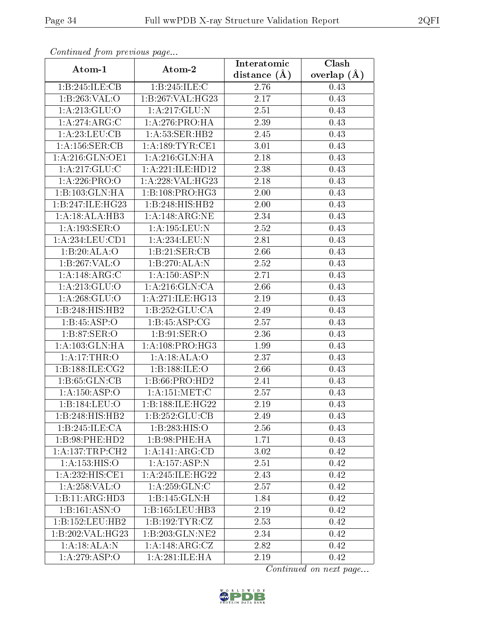| Continuati pont previous page<br>Atom-1<br>Atom-2 |                                  | Interatomic    | Clash           |  |
|---------------------------------------------------|----------------------------------|----------------|-----------------|--|
|                                                   |                                  | distance $(A)$ | overlap $(\AA)$ |  |
| 1:B:245:ILE:CB                                    | 1:B:245:ILE:C                    | 2.76           | 0.43            |  |
| 1:B:263:VAL:O                                     | 1:B:267:VAL:HG23                 | 2.17           | 0.43            |  |
| 1: A:213: GLU:O                                   | 1:A:217:GLU:N                    | 2.51           | 0.43            |  |
| 1:A:274:ARG:C                                     | 1:A:276:PRO:HA                   | 2.39           | 0.43            |  |
| 1:A:23:LEU:CB                                     | 1: A:53: SER:HB2                 | 2.45           | 0.43            |  |
| 1: A: 156: SER: CB                                | 1: A: 189: TYR: CE1              | 3.01           | 0.43            |  |
| 1:A:216:GLN:OE1                                   | 1: A:216: GLN: HA                | 2.18           | 0.43            |  |
| 1:A:217:GLU:C                                     | 1:A:221:ILE:HD12                 | 2.38           | 0.43            |  |
| 1:A:226:PRO:O                                     | 1:A:228:VAL:HG23                 | 2.18           | 0.43            |  |
| 1:B:103:GLN:HA                                    | 1:B:108:PRO:HG3                  | 2.00           | 0.43            |  |
| 1:B:247:ILE:HG23                                  | 1:B:248:HIS:HB2                  | 2.00           | 0.43            |  |
| 1:A:18:ALA:HB3                                    | 1: A:148: ARG: NE                | 2.34           | 0.43            |  |
| 1:A:193:SER:O                                     | 1:A:195:LEU:N                    | 2.52           | 0.43            |  |
| 1:A:234:LEU:CD1                                   | 1:A:234:LEU:N                    | 2.81           | 0.43            |  |
| 1:B:20:ALA:O                                      | 1:B:21:SER:CB                    | 2.66           | 0.43            |  |
| 1:B:267:VAL:O                                     | 1:B:270:ALA:N                    | 2.52           | 0.43            |  |
| 1:A:148:ARG:C                                     | 1:A:150:ASP:N                    | 2.71           | 0.43            |  |
| 1: A:213: GLU:O                                   | 1: A:216: GLN:CA                 | 2.66           | 0.43            |  |
| 1: A: 268: GLU:O                                  | 1: A:271: ILE: HG13              | 2.19           | 0.43            |  |
| 1:B:248:HIS:HB2                                   | 1: B: 252: GLU: CA               | 2.49           | 0.43            |  |
| 1:B:45:ASP:O                                      | 1:B:45:ASP:CG                    | 2.57           | 0.43            |  |
| 1: B:87: SER:O                                    | $1:B:91:\overline{\text{SER:O}}$ | 2.36           | 0.43            |  |
| 1:A:103:GLN:HA                                    | 1: A:108: PRO:HG3                | 1.99           | 0.43            |  |
| $1:$ A:17:THR:O                                   | 1:A:18:ALA:O                     | 2.37           | 0.43            |  |
| 1:B:188:ILE:CG2                                   | 1:B:188:ILE:O                    | 2.66           | 0.43            |  |
| 1:B:65:GLN:CB                                     | 1:B:66:PRO:HD2                   | 2.41           | 0.43            |  |
| 1: A: 150: ASP: O                                 | 1:A:151:MET:C                    | 2.57           | 0.43            |  |
| 1:B:184:LEU:O                                     | 1:B:188:ILE:HG22                 | 2.19           | 0.43            |  |
| 1:B:248:HIS:HB2                                   | 1:B:252:GLU:CB                   | 2.49           | 0.43            |  |
| 1:B:245:ILE:CA                                    | 1:B:283:HIS:O                    | 2.56           | 0.43            |  |
| 1:B:98:PHE:HD2                                    | 1:B:98:PHE:HA                    | 1.71           | 0.43            |  |
| 1:A:137:TRP:CH2                                   | 1:A:141:ARG:CD                   | 3.02           | 0.42            |  |
| 1:A:153:HIS:O                                     | 1: A: 157: ASP: N                | 2.51           | 0.42            |  |
| 1:A:232:HIS:CE1                                   | 1:A:245:ILE:HG22                 | 2.43           | 0.42            |  |
| 1:A:258:VAL:O                                     | 1: A:259: GLN: C                 | 2.57           | 0.42            |  |
| 1:B:11:ARG:HD3                                    | 1:B:145:GLN:H                    | 1.84           | 0.42            |  |
| 1: B: 161: ASN: O                                 | 1:B:165:LEU:HB3                  | 2.19           | 0.42            |  |
| 1:B:152:LEU:HB2                                   | 1:B:192:TYR:CZ                   | 2.53           | 0.42            |  |
| 1:B:202:VAL:HG23                                  | 1:B:203:GLN:NE2                  | 2.34           | 0.42            |  |
| 1:A:18:ALA:N                                      | 1:A:148:ARG:CZ                   | 2.82           | 0.42            |  |
| $1: A:279: \overline{ASP:O}$                      | 1:A:281:ILE:HA                   | 2.19           | 0.42            |  |

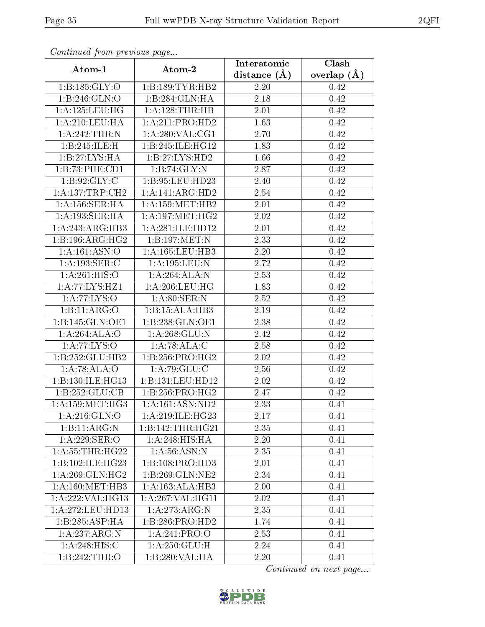| Commaca from previous page |                    | Interatomic       | $\overline{\text{Clash}}$ |  |
|----------------------------|--------------------|-------------------|---------------------------|--|
| Atom-1                     | Atom-2             | distance $(A)$    | overlap $(A)$             |  |
| 1: B: 185: GLY:O           | 1:B:189:TYR:HB2    | 2.20              | 0.42                      |  |
| 1:B:246:GLN:O              | 1:B:284:GLN:HA     | $\overline{2.18}$ | 0.42                      |  |
| 1: A: 125: LEU: HG         | 1:A:128:THR:HB     | 2.01              | 0.42                      |  |
| 1:A:210:LEU:HA             | 1:A:211:PRO:HD2    | 1.63              | 0.42                      |  |
| 1:A:242:THR:N              | 1: A:280: VAL:CG1  | 2.70              | 0.42                      |  |
| 1:B:245:ILE:H              | 1:B:245:ILE:HG12   | 1.83              | 0.42                      |  |
| 1:B:27:LYS:HA              | 1:B:27:LYS:HD2     | 1.66              | 0.42                      |  |
| 1:B:73:PHE:CD1             | 1:B:74:GLY:N       | 2.87              | 0.42                      |  |
| 1:B:92:GLY:C               | 1:B:95:LEU:HD23    | 2.40              | 0.42                      |  |
| 1: A: 137: TRP: CH2        | 1:A:141:ARG:HD2    | 2.54              | 0.42                      |  |
| 1:A:156:SER:HA             | 1: A:159:MET:HB2   | 2.01              | 0.42                      |  |
| 1:A:193:SER:HA             | 1: A: 197: MET:HG2 | 2.02              | 0.42                      |  |
| 1:A:243:ARG:HB3            | 1:A:281:ILE:HD12   | 2.01              | 0.42                      |  |
| 1:B:196:ARG:HG2            | 1:B:197:MET:N      | 2.33              | 0.42                      |  |
| 1: A: 161: ASN: O          | 1:A:165:LEU:HB3    | 2.20              | 0.42                      |  |
| 1:A:193:SER:C              | 1: A: 195: LEU: N  | 2.72              | 0.42                      |  |
| 1:A:261:HIS:O              | 1:A:264:ALA:N      | $\overline{2.53}$ | 0.42                      |  |
| 1:A:77:LYS:HZ1             | 1: A:206:LEU:HG    | 1.83              | 0.42                      |  |
| 1: A:77: LYS:O             | 1: A:80: SER: N    | 2.52              | 0.42                      |  |
| 1:B:11:ARG:O               | 1:B:15:ALA:HB3     | 2.19              | 0.42                      |  |
| 1:B:145:GLN:OE1            | 1:B:238:GLN:OE1    | 2.38              | 0.42                      |  |
| 1:A:264:ALA:O              | 1: A:268: GLU:N    | 2.42              | 0.42                      |  |
| 1: A:77: LYS:O             | 1:A:78:ALA:C       | 2.58              | 0.42                      |  |
| 1:B:252:GLU:HB2            | 1: B: 256: PRO:HG2 | 2.02              | 0.42                      |  |
| 1:A:78:ALA:O               | 1:A:79:GLU:C       | 2.56              | 0.42                      |  |
| 1:B:130:ILE:HG13           | 1:B:131:LEU:HD12   | 2.02              | 0.42                      |  |
| 1:B:252:GLU:CB             | 1:B:256:PRO:HG2    | 2.47              | 0.42                      |  |
| 1: A: 159: MET: HG3        | 1:A:161:ASN:ND2    | 2.33              | 0.41                      |  |
| 1: A:216: GLN:O            | 1:A:219:ILE:HG23   | 2.17              | 0.41                      |  |
| 1:B:11:ARG:N               | 1:B:142:THR:HG21   | 2.35              | 0.41                      |  |
| 1:A:229:SER:O              | 1:A:248:HIS:HA     | 2.20              | 0.41                      |  |
| 1: A:55:THR:HG22           | 1: A:56: ASN: N    | 2.35              | 0.41                      |  |
| 1:B:102:ILE:HG23           | 1:B:108:PRO:HD3    | 2.01              | 0.41                      |  |
| 1: A:269: GLN: HG2         | 1:B:269:GLN:NE2    | 2.34              | 0.41                      |  |
| 1: A: 160:MET:HB3          | 1:A:163:ALA:HB3    | 2.00              | 0.41                      |  |
| 1:A:222:VAL:HG13           | 1:A:267:VAL:HG11   | 2.02              | 0.41                      |  |
| 1: A:272:LEU:HD13          | 1: A:273:ARG:N     | 2.35              | 0.41                      |  |
| 1:B:285:ASP:HA             | 1:B:286:PRO:HD2    | 1.74              | 0.41                      |  |
| 1:A:237:ARG:N              | 1:A:241:PRO:O      | 2.53              | 0.41                      |  |
| 1:A:248:HIS:C              | 1: A: 250: GLU: H  | 2.24              | 0.41                      |  |
| 1:B:242:THR:O              | 1:B:280:VAL:HA     | 2.20              | 0.41                      |  |

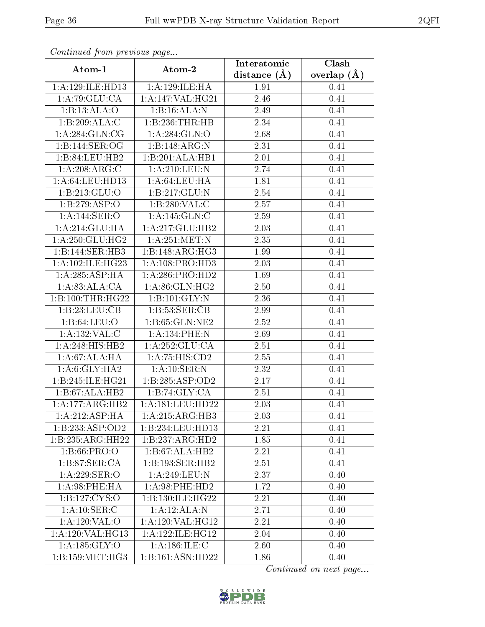| Continuati pom previous page       |                                                | Interatomic       | Clash           |  |
|------------------------------------|------------------------------------------------|-------------------|-----------------|--|
| Atom-1                             | Atom-2                                         | distance $(\AA)$  | overlap $(\AA)$ |  |
| 1:A:129:ILE:HD13<br>1:A:129:ILE:HA |                                                | 1.91              | 0.41            |  |
| 1:A:79:GLU:CA                      | 1:A:147:VAL:HG21                               | $\overline{2.46}$ | 0.41            |  |
| 1:B:13:ALA:O                       | 1:B:16:ALA:N                                   | 2.49              | 0.41            |  |
| 1:B:209:ALA:C                      | 1:B:236:THR:HB                                 | 2.34              | 0.41            |  |
| 1:A:284:GLN:CG                     | 1:A:284:GLN:O                                  | 2.68              | 0.41            |  |
| 1:B:144:SER:OG                     | 1:B:148:ARG:N                                  | 2.31              | 0.41            |  |
| 1:B:84:LEU:HB2                     | 1:B:201:ALA:HB1                                | 2.01              | 0.41            |  |
| 1:A:208:ARG:C                      | 1: A:210:LEU: N                                | 2.74              | 0.41            |  |
| 1: A:64:LEU:HD13                   | 1: A:64:LEU:HA                                 | 1.81              | 0.41            |  |
| 1: B: 213: GLU:O                   | 1:B:217:GLU:N                                  | 2.54              | 0.41            |  |
| 1:B:279:ASP:O                      | 1:B:280:VAL:CC                                 | 2.57              | 0.41            |  |
| 1:A:144:SER:O                      | 1:A:145:GLN:C                                  | 2.59              | 0.41            |  |
| 1:A:214:GLU:HA                     | 1:A:217:GLU:HB2                                | 2.03              | 0.41            |  |
| 1: A:250: GLU:HG2                  | $1: A:251:\overline{\mathrm{MET:N}}$           | 2.35              | 0.41            |  |
| 1:B:144:SER:HB3                    | 1:B:148:ARG:HG3                                | 1.99              | 0.41            |  |
| 1: A:102: ILE: HG23                | 1:A:108:PRO:HD3                                | 2.03              | 0.41            |  |
| 1:A:285:ASP:HA                     | 1:A:286:PRO:HD2                                | 1.69              | 0.41            |  |
| 1:A:83:ALA:CA                      | 1:A:86:GLN:HG2                                 | 2.50              | 0.41            |  |
| 1:B:100:THR:HG22                   | 1:B:101:GLY:N                                  | 2.36              | 0.41            |  |
| 1: B: 23: LEU: CB                  | 1:B:53:SER:CB                                  | 2.99              | 0.41            |  |
| 1: B:64:LEU:O                      | 1:B:65:GLN:NE2                                 | 2.52              | 0.41            |  |
| 1:A:132:VAL:C                      | 1:A:134:PHE:N                                  | 2.69              | 0.41            |  |
| 1:A:248:HIS:HB2                    | 1:A:252:GLU:CA                                 | 2.51              | 0.41            |  |
| 1:A:67:ALA:HA                      | 1:A:75:HIS:CD2                                 | 2.55              | 0.41            |  |
| 1: A:6: GLY: HA2                   | 1:A:10:SER:N                                   | 2.32              | 0.41            |  |
| 1:B:245:ILE:HG21                   | 1:B:285:ASP:OD2                                | 2.17              | 0.41            |  |
| 1:B:67:ALA:HB2                     | 1:B:74:GLY:CA                                  | 2.51              | 0.41            |  |
| 1:A:177:ARG:HB2                    | 1:A:181:LEU:HD22                               | 2.03              | 0.41            |  |
| 1: A:212: ASP:HA                   | 1:A:215:ARG:HB3                                | 2.03              | 0.41            |  |
| 1:B:233:ASP:OD2                    | 1:B:234:LEU:HD13                               | 2.21              | 0.41            |  |
| 1:B:235:ARG:HH22                   | $1:B:237:A\mathrm{R}\overline{\mathrm{G:HD}2}$ | 1.85              | 0.41            |  |
| 1: B:66: PRO:O                     | $1:B:67:ALA:\overline{HB2}$                    | 2.21              | 0.41            |  |
| 1: B:87: SER:CA                    | 1:B:193:SER:HB2                                | 2.51              | 0.41            |  |
| 1:A:229:SER:O                      | 1:A:249:LEU:N                                  | 2.37              | 0.40            |  |
| 1: A:98: PHE: HA                   | 1: A:98: PHE:HD2                               | 1.72              | 0.40            |  |
| 1: B: 127: CYS:O                   | 1:B:130:ILE:HG22                               | $\overline{2.21}$ | 0.40            |  |
| 1: A:10: SER: C                    | 1:A:12:ALA:N                                   | 2.71              | 0.40            |  |
| 1:A:120:VAL:O                      | 1:A:120:VAL:HG12                               | 2.21              | 0.40            |  |
| 1: A:120: VAL:HG13                 | 1:A:122:ILE:HG12                               | 2.04              | 0.40            |  |
| 1:A:185:GLY:O                      | 1: A: 186: ILE:C                               | 2.60              | 0.40            |  |
| 1:B:159:MET:HG3                    | 1:B:161:ASN:HD22                               | 1.86              | 0.40            |  |

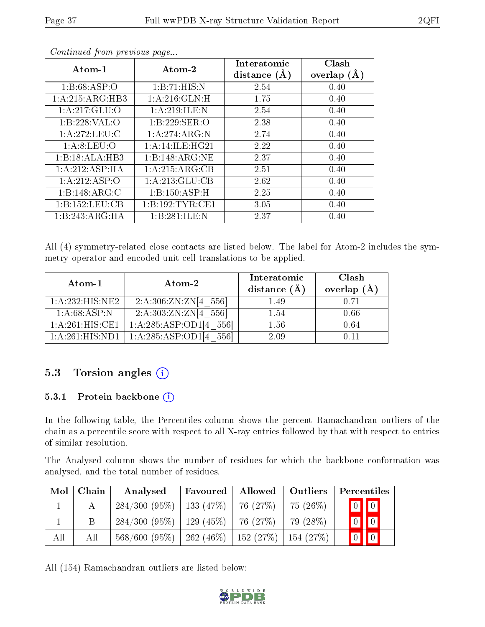| Atom-1             | Atom-2           | Interatomic<br>distance $(A)$ | Clash<br>overlap $(A)$ |
|--------------------|------------------|-------------------------------|------------------------|
| 1: B:68:ASP:O      | 1:B:71:HIS:N     | 2.54                          | 0.40                   |
| 1: A:215: ARG: HB3 | 1: A:216: GLN:H  | 1.75                          | 0.40                   |
| 1: A:217: GLU:O    | 1:A:219:ILE:N    | 2.54                          | 0.40                   |
| 1:B:228:VAL:O      | 1:B:229:SER:O    | 2.38                          | 0.40                   |
| 1: A:272:LEU:C     | 1:A:274:ARG:N    | 2.74                          | 0.40                   |
| 1: A:8: LEU:O      | 1:A:14:IE:HG21   | 2.22                          | 0.40                   |
| 1:B:18:ALA:HB3     | 1:B:148:ARG:NE   | 2.37                          | 0.40                   |
| 1:A:212:ASP:HA     | 1:A:215:ARG:CB   | 2.51                          | 0.40                   |
| 1:A:212:ASP:O      | 1: A:213: GLU:CB | 2.62                          | 0.40                   |
| 1:B:148:ARG:C      | 1:B:150:ASP:H    | 2.25                          | 0.40                   |
| 1:B:152:LEU:CB     | 1:B:192:TYR:CE1  | 3.05                          | 0.40                   |
| 1:B:243:ARG:HA     | 1:B:281:ILE:N    | 2.37                          | 0.40                   |

All (4) symmetry-related close contacts are listed below. The label for Atom-2 includes the symmetry operator and encoded unit-cell translations to be applied.

| Atom-1          | $\boldsymbol{\mathrm{Atom}\text{-}2}$ | Interatomic<br>distance $(A)$ | Clash<br>overlap $(\AA)$ |
|-----------------|---------------------------------------|-------------------------------|--------------------------|
| 1:A:232:HIS:NE2 | 2:A:306:ZN:ZN[4 556]                  | 1.49                          | 0.71                     |
| 1: A:68:ASP:N   | 2:A:303:ZN:ZN[4 556]                  | 1.54                          | 0.66                     |
| 1:A:261:HIS:CE1 | 1:A:285:ASP:OD1[4 556]                | 1.56                          | 0.64                     |
| 1:A:261:HIS:ND1 | 1:A:285:ASP:OD1[4]<br>556             | 2.09                          | 0 11                     |

### 5.3 Torsion angles (i)

#### 5.3.1 Protein backbone  $(i)$

In the following table, the Percentiles column shows the percent Ramachandran outliers of the chain as a percentile score with respect to all X-ray entries followed by that with respect to entries of similar resolution.

The Analysed column shows the number of residues for which the backbone conformation was analysed, and the total number of residues.

|     | $\mathrm{Mol}\mid\mathrm{Chain}$ | Analysed     | Favoured                  | Allowed | Outliers  | Percentiles                                                      |
|-----|----------------------------------|--------------|---------------------------|---------|-----------|------------------------------------------------------------------|
|     |                                  | 284/300(95%) | $\perp$ 133 (47%) $\perp$ | 76(27%) | 75 (26\%) | $\begin{bmatrix} 0 \\ 0 \\ 0 \\ 0 \\ 0 \\ 0 \\ 0 \\ 0 \\ 0 \\ 0$ |
|     | Β                                | 284/300(95%) | 129 (45%)   76 (27%)      |         | 79 (28\%) | $\boxed{0}$ $\boxed{0}$                                          |
| All | All                              | 568/600(95%) | 262 (46\%)   152 (27\%)   |         | 154(27%)  | $\prod 0$<br>$\boxed{0}$                                         |

All (154) Ramachandran outliers are listed below:

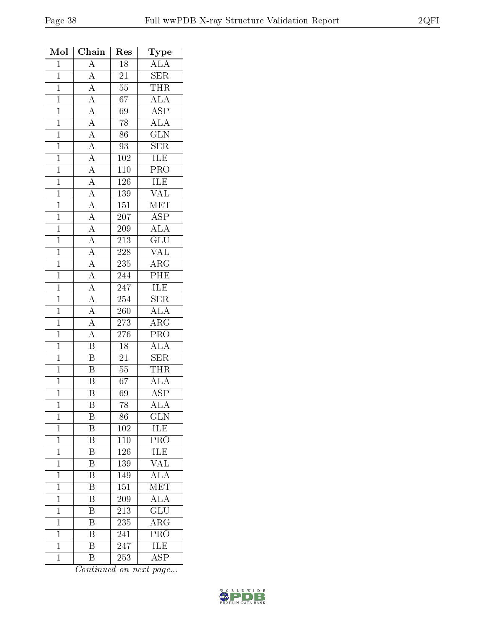| Mol            | Chain                                                                                                                                                                               | $\operatorname{Res}% \left( \mathcal{N}\right) \equiv\operatorname{Res}(\mathcal{N}_{0})\cap\mathcal{N}_{1}$ | Type                    |
|----------------|-------------------------------------------------------------------------------------------------------------------------------------------------------------------------------------|--------------------------------------------------------------------------------------------------------------|-------------------------|
| $\mathbf{1}$   | $\overline{A}$                                                                                                                                                                      | $\overline{18}$                                                                                              | <b>ALA</b>              |
| $\mathbf{1}$   | $\overline{A}$                                                                                                                                                                      | 21                                                                                                           | <b>SER</b>              |
| $\mathbf{1}$   |                                                                                                                                                                                     | 55                                                                                                           | <b>THR</b>              |
| $\mathbf{1}$   |                                                                                                                                                                                     | 67                                                                                                           | $\overline{\rm ALA}$    |
| $\overline{1}$ |                                                                                                                                                                                     | 69                                                                                                           | $\overline{\text{ASP}}$ |
| $\overline{1}$ |                                                                                                                                                                                     | $\overline{78}$                                                                                              | ALA                     |
| $\overline{1}$ | $\frac{\overline{A}}{\overline{A}}$ $\frac{\overline{A}}{\overline{A}}$ $\frac{\overline{A}}{\overline{A}}$ $\frac{\overline{A}}{\overline{A}}$ $\frac{\overline{A}}{\overline{A}}$ | 86                                                                                                           | $\overline{\text{GLN}}$ |
| $\mathbf{1}$   |                                                                                                                                                                                     | 93                                                                                                           | $\overline{\text{SER}}$ |
| $\overline{1}$ |                                                                                                                                                                                     | 102                                                                                                          | <b>ILE</b>              |
| $\overline{1}$ |                                                                                                                                                                                     | 110                                                                                                          | PRO                     |
| $\overline{1}$ |                                                                                                                                                                                     | $\overline{126}$                                                                                             | <b>ILE</b>              |
| $\mathbf{1}$   |                                                                                                                                                                                     | 139                                                                                                          | $\overline{\text{VAL}}$ |
| $\overline{1}$ | $\frac{\overline{A}}{\overline{A}}$                                                                                                                                                 | $\overline{151}$                                                                                             | $\overline{\text{MET}}$ |
| $\overline{1}$ | $\frac{\overline{A}}{\overline{A}}$ $\frac{\overline{A}}{\overline{A}}$ $\frac{\overline{A}}{\overline{A}}$ $\frac{\overline{A}}{\overline{A}}$ $\frac{\overline{A}}{\overline{A}}$ | 207                                                                                                          | $\overline{\text{ASP}}$ |
| $\overline{1}$ |                                                                                                                                                                                     | 209                                                                                                          | $\overline{\text{ALA}}$ |
| $\overline{1}$ |                                                                                                                                                                                     | 213                                                                                                          | $\overline{\text{GLU}}$ |
| $\mathbf{1}$   |                                                                                                                                                                                     | 228                                                                                                          | $\overline{\text{VAL}}$ |
| $\overline{1}$ |                                                                                                                                                                                     | $\overline{235}$                                                                                             | $\overline{\rm ARG}$    |
| $\mathbf{1}$   |                                                                                                                                                                                     | 244                                                                                                          | PHE                     |
| $\overline{1}$ |                                                                                                                                                                                     | 247                                                                                                          | <b>ILE</b>              |
| $\mathbf{1}$   |                                                                                                                                                                                     | $\overline{254}$                                                                                             | SER                     |
| $\mathbf{1}$   |                                                                                                                                                                                     | 260                                                                                                          | <b>ALA</b>              |
| $\overline{1}$ |                                                                                                                                                                                     | $\overline{273}$                                                                                             | $\overline{\rm ARG}$    |
| $\mathbf{1}$   | $\frac{1}{\mathbf{A}}$                                                                                                                                                              | 276                                                                                                          | $\overline{\text{PRO}}$ |
| $\overline{1}$ | $\overline{B}$                                                                                                                                                                      | $18\,$                                                                                                       | $\overline{\text{ALA}}$ |
| $\overline{1}$ | $\overline{\mathbf{B}}$                                                                                                                                                             | 21                                                                                                           | $\overline{\text{SER}}$ |
| $\mathbf{1}$   | $\overline{\mathbf{B}}$                                                                                                                                                             | 55                                                                                                           | <b>THR</b>              |
| $\overline{1}$ | $\overline{\text{B}}$                                                                                                                                                               | $\overline{67}$                                                                                              | $\overline{\text{ALA}}$ |
| $\overline{1}$ | Β                                                                                                                                                                                   | 69                                                                                                           | $\overline{\text{ASP}}$ |
| $\mathbf 1$    | Β                                                                                                                                                                                   | 78                                                                                                           | <b>ALA</b>              |
| $\mathbf 1$    | Β                                                                                                                                                                                   | 86                                                                                                           | $\overline{\text{GLN}}$ |
| $\mathbf 1$    | B                                                                                                                                                                                   | 102                                                                                                          | ILE                     |
| $\mathbf{1}$   | $\overline{\mathrm{B}}$                                                                                                                                                             | 110                                                                                                          | $\overline{\text{PRO}}$ |
| $\overline{1}$ | $\overline{\rm B}$                                                                                                                                                                  | $\overline{126}$                                                                                             | ILE                     |
| $\mathbf 1$    | $\overline{\mathrm{B}}$                                                                                                                                                             | $\overline{13}9$                                                                                             | $\overline{\text{VAL}}$ |
| $\mathbf 1$    | B                                                                                                                                                                                   | $\overline{1}$ 49                                                                                            | <b>ALA</b>              |
| $\mathbf 1$    | $\overline{\mathrm{B}}$                                                                                                                                                             | 151                                                                                                          | $\overline{\text{MET}}$ |
| $\mathbf 1$    | $\overline{\mathrm{B}}$                                                                                                                                                             | 209                                                                                                          | <b>ALA</b>              |
| $\mathbf{1}$   | $\rm \bar{B}$                                                                                                                                                                       | 213                                                                                                          | $\overline{\text{GLU}}$ |
| $\mathbf{1}$   | $\overline{\mathrm{B}}$                                                                                                                                                             | 235                                                                                                          | $\overline{\rm{ARG}}$   |
| $\mathbf{1}$   | B                                                                                                                                                                                   | 241                                                                                                          | PRO                     |
| $\mathbf 1$    | $\overline{\mathrm{B}}$                                                                                                                                                             | 247                                                                                                          | <b>ILE</b>              |
| $\mathbf{1}$   | $\overline{\mathrm{B}}$                                                                                                                                                             | 253                                                                                                          | $\overline{\text{ASP}}$ |

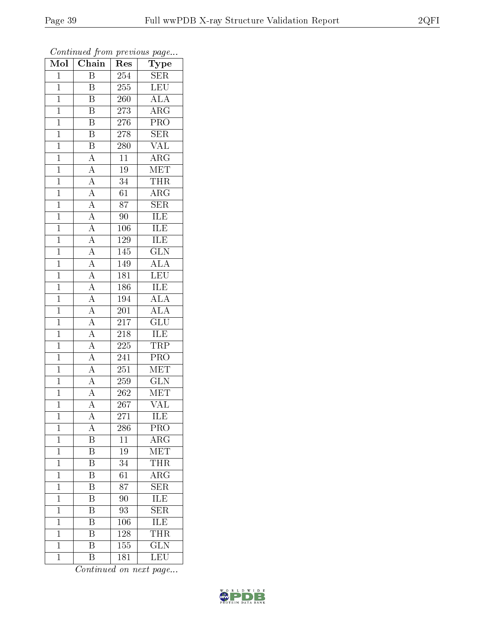| $\overline{\text{Mol}}$ | $\boldsymbol{\mathsf{v}}$<br>Chain                                                                                                                                          | Res              | $\mathbf{r}$<br>$\overline{\phantom{a}}$<br>Type |
|-------------------------|-----------------------------------------------------------------------------------------------------------------------------------------------------------------------------|------------------|--------------------------------------------------|
| $\overline{1}$          | $\overline{B}$                                                                                                                                                              | 254              | <b>SER</b>                                       |
| $\overline{1}$          | $\overline{B}$                                                                                                                                                              | $\overline{255}$ | $\overline{\text{LEU}}$                          |
| $\overline{1}$          | B                                                                                                                                                                           | 260              | $\overline{\rm ALA}$                             |
| $\mathbf{1}$            | $\overline{\mathrm{B}}$                                                                                                                                                     | 273              | $\overline{\rm{ARG}}$                            |
| $\overline{1}$          | $\overline{\mathrm{B}}$                                                                                                                                                     | 276              | $\overline{\text{PRO}}$                          |
| $\overline{1}$          | $\overline{\mathrm{B}}$                                                                                                                                                     | 278              | $\overline{\text{SER}}$                          |
| $\overline{1}$          | $\overline{\mathrm{B}}$                                                                                                                                                     | 280              | <b>VAL</b>                                       |
| $\mathbf{1}$            | $\overline{A}$                                                                                                                                                              | 11               | $\overline{\rm{ARG}}$                            |
| $\mathbf{1}$            |                                                                                                                                                                             | $19\,$           | $\overline{\text{MET}}$                          |
| $\overline{1}$          |                                                                                                                                                                             | $\overline{34}$  | <b>THR</b>                                       |
| $\mathbf{1}$            |                                                                                                                                                                             | 61               | $\rm{ARG}$                                       |
| $\overline{1}$          |                                                                                                                                                                             | $\overline{87}$  | $\overline{\text{SER}}$                          |
| $\overline{1}$          |                                                                                                                                                                             | 90               | ILE                                              |
| $\mathbf{1}$            | $\frac{\overline{A}}{\overline{A}} \frac{\overline{A}}{\overline{A}} \frac{\overline{A}}{\overline{A}} \frac{\overline{A}}{\overline{A}} \frac{\overline{A}}{\overline{A}}$ | 106              | <b>ILE</b>                                       |
| $\overline{1}$          |                                                                                                                                                                             | 129              | ILE                                              |
| $\overline{1}$          |                                                                                                                                                                             | 145              | $\overline{\text{GLN}}$                          |
| $\overline{1}$          |                                                                                                                                                                             | 149              | $\overline{\rm ALA}$                             |
| $\mathbf{1}$            |                                                                                                                                                                             | 181              | $\overline{\text{LEU}}$                          |
| $\mathbf{1}$            |                                                                                                                                                                             | 186              | <b>ILE</b>                                       |
| $\mathbf{1}$            |                                                                                                                                                                             | 194              | $\overline{\text{ALA}}$                          |
| $\overline{1}$          | $\overline{A}$                                                                                                                                                              | 201              | $\overline{\rm ALA}$                             |
| $\overline{1}$          | $\frac{\overline{A}}{\overline{A}}$                                                                                                                                         | 217              | $\overline{\text{GLU}}$                          |
| $\mathbf 1$             |                                                                                                                                                                             | 218              | <b>ILE</b>                                       |
| $\overline{1}$          | $\overline{A}$                                                                                                                                                              | 225              | <b>TRP</b>                                       |
| $\mathbf{1}$            | $\overline{A}$                                                                                                                                                              | 241              | PRO                                              |
| $\overline{1}$          | $\overline{A}$                                                                                                                                                              | 251              | <b>MET</b>                                       |
| $\mathbf{1}$            | $\overline{A}$                                                                                                                                                              | 259              | $\overline{\text{GLN}}$                          |
| $\mathbf{1}$            | $\overline{A}$                                                                                                                                                              | 262              | MET                                              |
| $\mathbf 1$             | $\overline{\rm A}$                                                                                                                                                          | 267              | $\overline{\text{VAL}}$                          |
| $\mathbf 1$             | А                                                                                                                                                                           | 271              | ILE                                              |
| $\mathbf{1}$            | A                                                                                                                                                                           | 286              | PRO                                              |
| $\mathbf{1}$            | $\overline{\mathrm{B}}$                                                                                                                                                     | $\overline{11}$  | $\overline{\text{ARG}}$                          |
| $\mathbf{1}$            | $\, {\bf B}$                                                                                                                                                                | 19               | MET                                              |
| $\mathbf{1}$            | $\overline{\mathrm{B}}$                                                                                                                                                     | $\overline{34}$  | <b>THR</b>                                       |
| $\mathbf{1}$            | B                                                                                                                                                                           | 61               | $\rm{ARG}$                                       |
| $\mathbf 1$             | $\overline{\mathrm{B}}$                                                                                                                                                     | 87               | $\overline{\text{SER}}$                          |
| $\mathbf{1}$            | $\overline{\mathrm{B}}$                                                                                                                                                     | 90               | ILE                                              |
| $\mathbf{1}$            | $\overline{\rm B}$                                                                                                                                                          | 93               | $\overline{\text{SER}}$                          |
| $\mathbf{1}$            | $\overline{\mathrm{B}}$                                                                                                                                                     | 106              | $\overline{\text{ILE}}$                          |
| $\overline{1}$          | B                                                                                                                                                                           | 128              | <b>THR</b>                                       |
| $\overline{1}$          | $\overline{\text{B}}$                                                                                                                                                       | 155              | $\overline{\text{GLN}}$                          |
| $\overline{1}$          | $\rm \bar{B}$                                                                                                                                                               | 181              | LEU                                              |

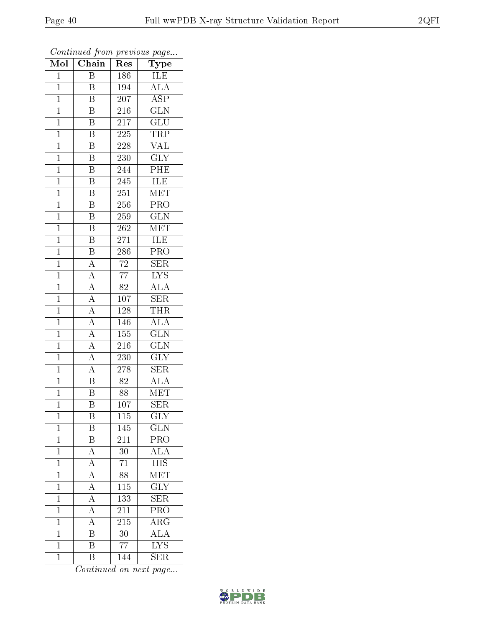| $\overline{\text{Mol}}$ | $\boldsymbol{\omega}$<br>Chain | $\operatorname{Res}% \left( \mathcal{N}\right) \equiv\operatorname{Res}(\mathcal{N}_{0})\cap\mathcal{N}_{1}$ | $\mathbf{r}$<br>$\overline{\phantom{a}}$<br>Type |
|-------------------------|--------------------------------|--------------------------------------------------------------------------------------------------------------|--------------------------------------------------|
| $\overline{1}$          | $\overline{B}$                 | 186                                                                                                          | ILE                                              |
| $\overline{1}$          | $\overline{B}$                 | 194                                                                                                          | $\overline{\rm ALA}$                             |
| $\mathbf{1}$            | Β                              | 207                                                                                                          | $\overline{\text{ASP}}$                          |
| $\mathbf 1$             | $\overline{\mathbf{B}}$        | 216                                                                                                          | $\overline{\text{GLN}}$                          |
| $\mathbf{1}$            | $\overline{\mathrm{B}}$        | 217                                                                                                          | $\overline{\text{GLU}}$                          |
| $\mathbf 1$             | $\overline{\mathrm{B}}$        | 225                                                                                                          | <b>TRP</b>                                       |
| $\mathbf{1}$            | $\overline{\mathrm{B}}$        | 228                                                                                                          | <b>VAL</b>                                       |
| $\mathbf{1}$            | $\overline{\mathrm{B}}$        | 230                                                                                                          | $\overline{\text{GLY}}$                          |
| $\mathbf{1}$            | $\overline{\mathrm{B}}$        | 244                                                                                                          | PHE                                              |
| $\mathbf{1}$            | $\overline{\mathrm{B}}$        | 245                                                                                                          | ILE                                              |
| $\mathbf{1}$            | $\overline{\mathbf{B}}$        | 251                                                                                                          | $\overline{\text{MET}}$                          |
| $\mathbf{1}$            | $\overline{\mathrm{B}}$        | 256                                                                                                          | $\overline{\text{PRO}}$                          |
| $\mathbf{1}$            | $\overline{\mathbf{B}}$        | 259                                                                                                          | $\overline{\text{GLN}}$                          |
| $\mathbf{1}$            | $\, {\bf B}$                   | 262                                                                                                          | $ME\overline{T}$                                 |
| $\mathbf{1}$            | $\overline{\mathrm{B}}$        | 271                                                                                                          | ILE                                              |
| $\mathbf{1}$            | $\overline{\mathbf{B}}$        | 286                                                                                                          | PRO                                              |
| $\overline{1}$          | $\overline{A}$                 | $\overline{72}$                                                                                              | $\overline{\text{SER}}$                          |
| $\mathbf{1}$            | $\overline{A}$                 | $\overline{77}$                                                                                              | $\overline{\text{LYS}}$                          |
| $\mathbf{1}$            | $\overline{A}$                 | $\overline{82}$                                                                                              | $\overline{\rm ALA}$                             |
| $\mathbf{1}$            | $\overline{A}$                 | 107                                                                                                          | $\overline{\text{SER}}$                          |
| $\mathbf{1}$            | $\overline{A}$                 | 128                                                                                                          | <b>THR</b>                                       |
| $\overline{1}$          | $\overline{A}$                 | 146                                                                                                          | <b>ALA</b>                                       |
| $\mathbf 1$             | $\overline{A}$                 | 155                                                                                                          | $\overline{\text{GLN}}$                          |
| $\mathbf 1$             | $\overline{A}$                 | 216                                                                                                          | $\overline{\text{GLN}}$                          |
| $\mathbf{1}$            | $\overline{A}$                 | 230                                                                                                          | $\overline{\text{GLY}}$                          |
| $\mathbf{1}$            | $\overline{A}$                 | 278                                                                                                          | <b>SER</b>                                       |
| $\mathbf{1}$            | $\overline{\mathrm{B}}$        | 82                                                                                                           | $\overline{\rm ALA}$                             |
| $\mathbf{1}$            | $\overline{\text{B}}$          | 88                                                                                                           | MET                                              |
| $\mathbf 1$             | $\overline{\mathrm{B}}$        | 107                                                                                                          | $\overline{\rm SER}$                             |
| 1                       | B                              | 115                                                                                                          | <b>GLY</b>                                       |
| $\mathbf 1$             | Β                              | 145                                                                                                          | $\overline{\text{GLN}}$                          |
| $\mathbf 1$             | $\overline{\mathrm{B}}$        | 211                                                                                                          | $\overline{\text{PRO}}$                          |
| $\mathbf 1$             | $\overline{A}$                 | 30                                                                                                           | $\overline{\rm ALA}$                             |
| $\mathbf 1$             | $\overline{A}$                 | $\overline{71}$                                                                                              | $\overline{HIS}$                                 |
| $\mathbf 1$             | $\overline{A}$                 | 88                                                                                                           | MET                                              |
| $\mathbf 1$             | $\overline{A}$                 | $\overline{115}$                                                                                             | $\overline{\text{GLY}}$                          |
| $\mathbf 1$             | $\overline{A}$                 | 133                                                                                                          | $\overline{\text{SER}}$                          |
| $\mathbf 1$             | $\overline{\rm A}$             | $21\overline{1}$                                                                                             | $\overline{\text{PRO}}$                          |
| $\mathbf{1}$            | $\overline{A}$                 | 215                                                                                                          | $\bar{\rm{ARG}}$                                 |
| $\overline{1}$          | B                              | 30                                                                                                           | $\overline{\rm ALA}$                             |
| $\mathbf{1}$            | $\overline{\mathrm{B}}$        | $\overline{77}$                                                                                              | $\overline{\rm LYS}$                             |
| $\overline{1}$          | $\rm \bar{B}$                  | 144                                                                                                          | $\overline{\text{SER}}$                          |

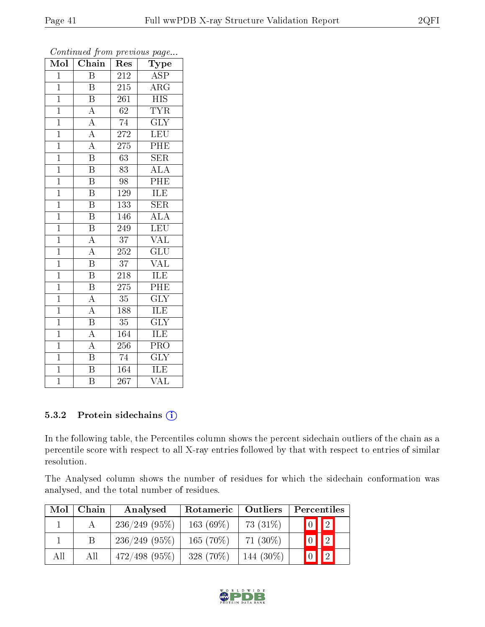| $\overline{\text{Mol}}$ | Chain                   | Res              | Type                      |
|-------------------------|-------------------------|------------------|---------------------------|
| $\overline{1}$          | $\overline{\mathrm{B}}$ | 212              | $\overline{\text{ASP}}$   |
| $\overline{1}$          | B                       | 215              | $\rm{ARG}$                |
| $\overline{1}$          | $\overline{\mathrm{B}}$ | 261              | <b>HIS</b>                |
| $\mathbf{1}$            | $\overline{\rm A}$      | 62               | <b>TYR</b>                |
| $\overline{1}$          | $\overline{A}$          | 74               | $\overline{\text{GLY}}$   |
| $\mathbf{1}$            | $\overline{A}$          | 272              | LEU                       |
| $\overline{1}$          | $\overline{A}$          | 275              | $\overline{\rm PHE}$      |
| $\overline{1}$          | $\overline{\mathrm{B}}$ | 63               | <b>SER</b>                |
| $\mathbf{1}$            | $\overline{\mathrm{B}}$ | 83               | ALA                       |
| $\mathbf 1$             | $\overline{\mathrm{B}}$ | 98               | $\overline{\mathrm{PHE}}$ |
| $\overline{1}$          | Β                       | 129              | ILE                       |
| $\overline{1}$          | $\overline{\mathrm{B}}$ | $\overline{133}$ | $\overline{\text{SER}}$   |
| $\mathbf 1$             | $\overline{\mathrm{B}}$ | 146              | ALA                       |
| $\overline{1}$          | $\overline{\text{B}}$   | 249              | LEU                       |
| $\overline{1}$          | $\overline{A}$          | $\overline{37}$  | $\overline{\text{VAL}}$   |
| $\overline{1}$          | $\overline{A}$          | 252              | $\overline{{\rm GLU}}$    |
| $\overline{1}$          | $\overline{\mathrm{B}}$ | $\overline{37}$  | $\overline{\text{VAL}}$   |
| $\mathbf 1$             | $\overline{\mathrm{B}}$ | 218              | ILE                       |
| $\mathbf 1$             | B                       | 275              | PHE                       |
| $\overline{1}$          | $\overline{A}$          | $\overline{35}$  | $\overline{\text{GLY}}$   |
| $\overline{1}$          | $\overline{A}$          | 188              | <b>ILE</b>                |
| $\overline{1}$          | $\overline{\mathrm{B}}$ | $\overline{35}$  | $\overline{\text{GLY}}$   |
| $\mathbf 1$             | $\overline{A}$          | 164              | <b>ILE</b>                |
| $\overline{1}$          | $\overline{\rm A}$      | $\overline{25}6$ | $\overline{\text{PRO}}$   |
| $\overline{1}$          | $\overline{\mathrm{B}}$ | 74               | $\overline{\text{GLY}}$   |
| $\mathbf{1}$            | $\overline{\mathrm{B}}$ | 164              | ILE                       |
| $\overline{1}$          | $\overline{\mathrm{B}}$ | 267              | $\overline{\text{VAL}}$   |

#### 5.3.2 Protein sidechains (i)

In the following table, the Percentiles column shows the percent sidechain outliers of the chain as a percentile score with respect to all X-ray entries followed by that with respect to entries of similar resolution.

The Analysed column shows the number of residues for which the sidechain conformation was analysed, and the total number of residues.

| Mol | Chain | Analysed        | Rotameric   | <b>Outliers</b> |  | Percentiles             |  |
|-----|-------|-----------------|-------------|-----------------|--|-------------------------|--|
|     |       | $236/249$ (95%) | $163(69\%)$ | 73 $(31\%)$     |  | $\boxed{0}$ $\boxed{2}$ |  |
|     |       | $236/249$ (95%) | $165(70\%)$ | 71 $(30\%)$     |  | $\boxed{0}$ $\boxed{2}$ |  |
| All | All   | $472/498$ (95%) | $328(70\%)$ | 144 (30%)       |  | $\overline{2}$          |  |

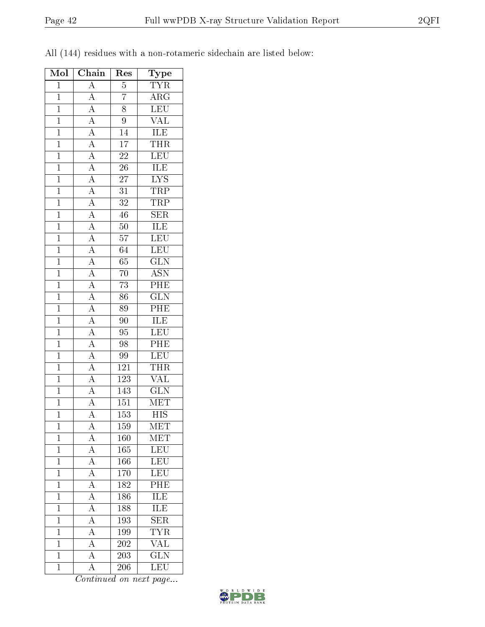|  |  | All (144) residues with a non-rotameric sidechain are listed below: |  |  |
|--|--|---------------------------------------------------------------------|--|--|
|  |  |                                                                     |  |  |

| Mol            | Chain                                                                                                                                                                                                                                                                                                                                                                                   | Res              | Type                            |
|----------------|-----------------------------------------------------------------------------------------------------------------------------------------------------------------------------------------------------------------------------------------------------------------------------------------------------------------------------------------------------------------------------------------|------------------|---------------------------------|
| $\overline{1}$ | $\frac{A}{A}$                                                                                                                                                                                                                                                                                                                                                                           | $\overline{5}$   | <b>TYR</b>                      |
| $\mathbf{1}$   |                                                                                                                                                                                                                                                                                                                                                                                         | $\overline{7}$   | $\rm{ARG}$                      |
| $\overline{1}$ |                                                                                                                                                                                                                                                                                                                                                                                         | $\overline{8}$   | $\overline{\text{LEU}}$         |
| $\mathbf{1}$   |                                                                                                                                                                                                                                                                                                                                                                                         | $\overline{9}$   | $\overline{\text{VAL}}$         |
| $\mathbf{1}$   |                                                                                                                                                                                                                                                                                                                                                                                         | 14               | <b>ILE</b>                      |
| $\overline{1}$ |                                                                                                                                                                                                                                                                                                                                                                                         | $\overline{17}$  | <b>THR</b>                      |
| $\overline{1}$ |                                                                                                                                                                                                                                                                                                                                                                                         | $\overline{22}$  | $\overline{\text{LEU}}$         |
| $\overline{1}$ |                                                                                                                                                                                                                                                                                                                                                                                         | $\overline{26}$  |                                 |
| $\overline{1}$ |                                                                                                                                                                                                                                                                                                                                                                                         | $\overline{27}$  | $\frac{\text{ILE}}{\text{LYS}}$ |
| $\overline{1}$ |                                                                                                                                                                                                                                                                                                                                                                                         | $\overline{31}$  | <b>TRP</b>                      |
| $\overline{1}$ |                                                                                                                                                                                                                                                                                                                                                                                         | $\overline{32}$  | TRP                             |
| $\overline{1}$ |                                                                                                                                                                                                                                                                                                                                                                                         | $\overline{46}$  | $\overline{\text{SER}}$         |
| $\overline{1}$ |                                                                                                                                                                                                                                                                                                                                                                                         | $\overline{50}$  | <b>ILE</b>                      |
| $\overline{1}$ |                                                                                                                                                                                                                                                                                                                                                                                         | 57               | $\overline{\text{LEU}}$         |
| $\overline{1}$ | $\frac{\overline{A}}{\overline{A}} \frac{\overline{A}}{\overline{A}} \frac{\overline{A}}{\overline{A}} \frac{\overline{A}}{\overline{A}} \frac{\overline{A}}{\overline{A}} \frac{\overline{A}}{\overline{A}} \frac{\overline{A}}{\overline{A}} \frac{\overline{A}}{\overline{A}} \frac{\overline{A}}{\overline{A}} \frac{\overline{A}}{\overline{A}} \frac{\overline{A}}{\overline{A}}$ | $\overline{64}$  | $\overline{\text{LEU}}$         |
| $\overline{1}$ |                                                                                                                                                                                                                                                                                                                                                                                         | 65               | $\overline{\text{GLN}}$         |
| $\overline{1}$ |                                                                                                                                                                                                                                                                                                                                                                                         | $\overline{70}$  | $\overline{\text{ASN}}$         |
| $\overline{1}$ |                                                                                                                                                                                                                                                                                                                                                                                         | $\overline{73}$  | PHE                             |
| $\mathbf{1}$   |                                                                                                                                                                                                                                                                                                                                                                                         | $\overline{86}$  | $\overline{\text{GLN}}$         |
| $\overline{1}$ |                                                                                                                                                                                                                                                                                                                                                                                         | 89               | $\overline{\rm{PHE}}$           |
| $\mathbf{1}$   |                                                                                                                                                                                                                                                                                                                                                                                         | 90               | $\overline{\text{ILE}}$         |
| $\overline{1}$ |                                                                                                                                                                                                                                                                                                                                                                                         | $\overline{95}$  | LEU                             |
| $\overline{1}$ |                                                                                                                                                                                                                                                                                                                                                                                         | 98               | $\overline{\text{PHE}}$         |
| $\mathbf{1}$   |                                                                                                                                                                                                                                                                                                                                                                                         | 99               | LEU                             |
| $\mathbf{1}$   |                                                                                                                                                                                                                                                                                                                                                                                         | <u>121</u>       | <b>THR</b>                      |
| $\overline{1}$ | $\frac{\overline{A}}{\overline{A}}$ $\frac{\overline{A}}{\overline{A}}$                                                                                                                                                                                                                                                                                                                 | $\overline{123}$ | <b>VAL</b>                      |
| $\overline{1}$ |                                                                                                                                                                                                                                                                                                                                                                                         | 143              | $\overline{\text{GLN}}$         |
| $\overline{1}$ |                                                                                                                                                                                                                                                                                                                                                                                         | $\overline{151}$ | MET                             |
| $\mathbf 1$    | $\overline{A}$                                                                                                                                                                                                                                                                                                                                                                          | 153              | $\overline{\mathrm{HIS}}$       |
| $\mathbf 1$    | А                                                                                                                                                                                                                                                                                                                                                                                       | 159              | MET                             |
| $\mathbf{1}$   | $\overline{A}$                                                                                                                                                                                                                                                                                                                                                                          | 160              | $\mathrm{MET}$                  |
| $\overline{1}$ | $\overline{A}$                                                                                                                                                                                                                                                                                                                                                                          | $165\,$          | LEU                             |
| $\mathbf{1}$   | $\overline{A}$                                                                                                                                                                                                                                                                                                                                                                          | 166              | $\overline{\text{LEU}}$         |
| $\mathbf{1}$   | $\overline{A}$                                                                                                                                                                                                                                                                                                                                                                          | 170              | $\overline{\text{LEU}}$         |
| $\mathbf{1}$   | $\overline{A}$                                                                                                                                                                                                                                                                                                                                                                          | 182              | PHE                             |
| $\mathbf{1}$   | $\overline{A}$                                                                                                                                                                                                                                                                                                                                                                          | 186              | ILE                             |
| $\mathbf{1}$   | $\overline{A}$                                                                                                                                                                                                                                                                                                                                                                          | 188              | <b>ILE</b>                      |
| $\mathbf{1}$   | $\overline{A}$                                                                                                                                                                                                                                                                                                                                                                          | 193              | $\overline{\rm SER}$            |
| $\mathbf{1}$   | $\overline{A}$                                                                                                                                                                                                                                                                                                                                                                          | 199              | $\overline{\text{TYR}}$         |
| $\mathbf{1}$   | $\overline{\mathbf{A}}$                                                                                                                                                                                                                                                                                                                                                                 | 202              | <b>VAL</b>                      |
| $\mathbf{1}$   | $\overline{A}$                                                                                                                                                                                                                                                                                                                                                                          | $\,203$          | $\overline{\text{GLN}}$         |
| $\mathbf{1}$   | $\overline{\rm A}$                                                                                                                                                                                                                                                                                                                                                                      | 206              | $\overline{\text{LEU}}$         |

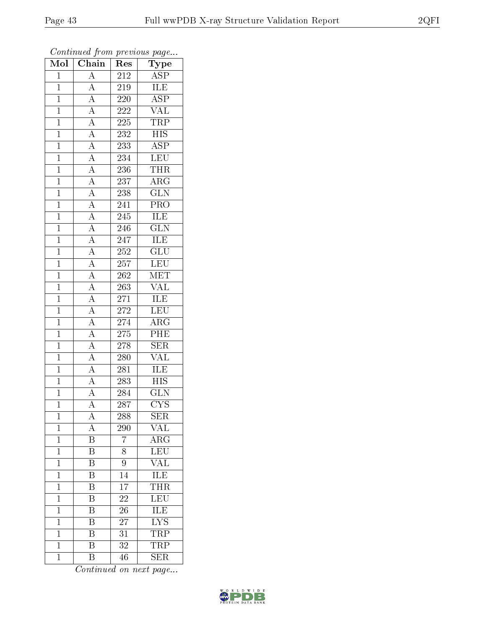| $\overline{\text{Mol}}$ | $\boldsymbol{\mathcal{L}}$<br>Chain                                                                                                                                                                                                                                                                                                          | Res                         | $\mathbf{r}$<br>$\overline{\phantom{a}}$<br>Type |
|-------------------------|----------------------------------------------------------------------------------------------------------------------------------------------------------------------------------------------------------------------------------------------------------------------------------------------------------------------------------------------|-----------------------------|--------------------------------------------------|
| $\mathbf{1}$            | $\overline{A}$                                                                                                                                                                                                                                                                                                                               | 212                         | <b>ASP</b>                                       |
| $\overline{1}$          | $\overline{A}$                                                                                                                                                                                                                                                                                                                               | 219                         | ILE                                              |
| $\overline{1}$          | $\overline{A}$                                                                                                                                                                                                                                                                                                                               | $220\,$                     | $\overline{\text{ASP}}$                          |
| $\overline{1}$          | $\overline{A}$                                                                                                                                                                                                                                                                                                                               | <b>222</b>                  | $\overline{\text{VAL}}$                          |
| $\overline{1}$          |                                                                                                                                                                                                                                                                                                                                              | $225\,$                     | <b>TRP</b>                                       |
| $\overline{1}$          |                                                                                                                                                                                                                                                                                                                                              | 232                         | <b>HIS</b>                                       |
| $\overline{1}$          |                                                                                                                                                                                                                                                                                                                                              | 233                         | $\overline{\rm ASP}$                             |
| $\mathbf{1}$            |                                                                                                                                                                                                                                                                                                                                              | $23\overline{4}$            | LEU                                              |
| $\mathbf{1}$            |                                                                                                                                                                                                                                                                                                                                              | 236                         | <b>THR</b>                                       |
| $\overline{1}$          |                                                                                                                                                                                                                                                                                                                                              | 237                         | $\overline{\text{ARG}}$                          |
| $\mathbf{1}$            |                                                                                                                                                                                                                                                                                                                                              | $\overline{2}38$            | $\overline{\text{GLN}}$                          |
| $\overline{1}$          |                                                                                                                                                                                                                                                                                                                                              | 241                         | PRO                                              |
| $\overline{1}$          |                                                                                                                                                                                                                                                                                                                                              | 245                         | ILE                                              |
| $\mathbf{1}$            | $\frac{\overline{A}}{\overline{A}}\frac{\overline{A}}{\overline{A}}\frac{\overline{A}}{\overline{A}}\frac{\overline{A}}{\overline{A}}\frac{\overline{A}}{\overline{A}}\frac{\overline{A}}{\overline{A}}\frac{\overline{A}}{\overline{A}}\frac{\overline{A}}{\overline{A}}\frac{\overline{A}}{\overline{A}}\frac{\overline{A}}{\overline{A}}$ | 246                         | $\overline{\text{GLN}}$                          |
| $\mathbf{1}$            |                                                                                                                                                                                                                                                                                                                                              | $2\overline{4}\overline{7}$ | <b>ILE</b>                                       |
| $\overline{1}$          |                                                                                                                                                                                                                                                                                                                                              | 252                         | $\overline{\text{GLU}}$                          |
| $\overline{1}$          |                                                                                                                                                                                                                                                                                                                                              | $\overline{257}$            | LEU                                              |
| $\overline{1}$          |                                                                                                                                                                                                                                                                                                                                              | $\overline{2}62$            | MET                                              |
| $\mathbf{1}$            |                                                                                                                                                                                                                                                                                                                                              | 263                         | <b>VAL</b>                                       |
| $\overline{1}$          |                                                                                                                                                                                                                                                                                                                                              | 271                         | $\overline{\text{ILE}}$                          |
| $\mathbf{1}$            |                                                                                                                                                                                                                                                                                                                                              | 272                         | LEU                                              |
| $\overline{1}$          |                                                                                                                                                                                                                                                                                                                                              | 274                         | $\overline{\rm{ARG}}$                            |
| $\mathbf 1$             |                                                                                                                                                                                                                                                                                                                                              | $275\,$                     | $\overline{\rm{PHE}}$                            |
| $\overline{1}$          |                                                                                                                                                                                                                                                                                                                                              | 278                         | $\overline{\text{SER}}$                          |
| $\mathbf{1}$            | $\overline{A}$                                                                                                                                                                                                                                                                                                                               | 280                         | $\overline{\text{VAL}}$                          |
| $\overline{1}$          | $\frac{\overline{A}}{\overline{A}}$                                                                                                                                                                                                                                                                                                          | 281                         | ILE                                              |
| $\mathbf{1}$            |                                                                                                                                                                                                                                                                                                                                              | 283                         | $\overline{\mathrm{HIS}}$                        |
| $\mathbf{1}$            |                                                                                                                                                                                                                                                                                                                                              | 284                         | <b>GLN</b>                                       |
| $\overline{1}$          | $\overline{\rm A}$                                                                                                                                                                                                                                                                                                                           | 287                         | $\overline{\text{CYS}}$                          |
| $\mathbf 1$             | А                                                                                                                                                                                                                                                                                                                                            | 288                         | <b>SER</b>                                       |
| $\mathbf{1}$            | A                                                                                                                                                                                                                                                                                                                                            | 290                         | VAL                                              |
| $\mathbf{1}$            | $\overline{\mathrm{B}}$                                                                                                                                                                                                                                                                                                                      | $\overline{7}$              | $\overline{\rm ARG}$                             |
| $\mathbf 1$             | Β                                                                                                                                                                                                                                                                                                                                            | 8                           | $\overline{\text{LEU}}$                          |
| $\mathbf 1$             | $\overline{\mathrm{B}}$                                                                                                                                                                                                                                                                                                                      | 9                           | $\overline{\text{VAL}}$                          |
| $\mathbf 1$             | Β                                                                                                                                                                                                                                                                                                                                            | 14                          | ILE                                              |
| $\mathbf 1$             | $\overline{\mathrm{B}}$                                                                                                                                                                                                                                                                                                                      | $\overline{17}$             | <b>THR</b>                                       |
| $\mathbf 1$             | $\overline{\mathrm{B}}$                                                                                                                                                                                                                                                                                                                      | 22                          | $\overline{\text{LEU}}$                          |
| $\mathbf 1$             | $\overline{\mathrm{B}}$                                                                                                                                                                                                                                                                                                                      | 26                          | <b>ILE</b>                                       |
| $\mathbf 1$             | $\overline{\mathrm{B}}$                                                                                                                                                                                                                                                                                                                      | 27                          | $\overline{\text{LYS}}$                          |
| $\overline{1}$          | B                                                                                                                                                                                                                                                                                                                                            | 31                          | <b>TRP</b>                                       |
| $\mathbf 1$             | $\rm \overline{B}$                                                                                                                                                                                                                                                                                                                           | 32                          | <b>TRP</b>                                       |
| $\mathbf 1$             | $\overline{B}$                                                                                                                                                                                                                                                                                                                               | 46                          | $\overline{\rm SER}$                             |

Continued from previous page...

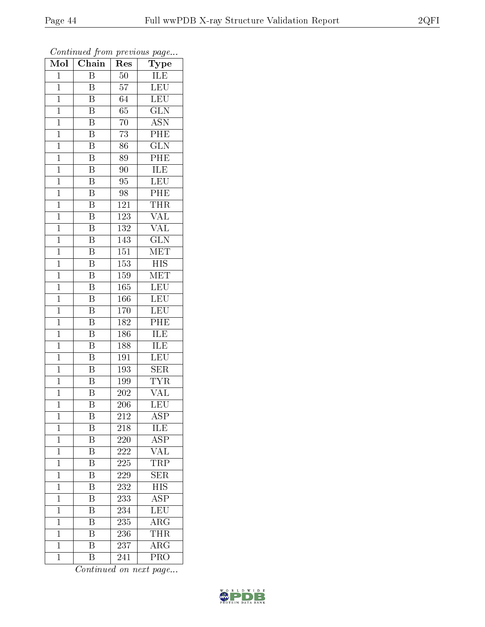| Mol            | $\overline{\text{Chain}}$ | Res              | ${\bf Type}$              |
|----------------|---------------------------|------------------|---------------------------|
| $\mathbf{1}$   | $\overline{\mathrm{B}}$   | $\overline{50}$  | ILE                       |
| $\overline{1}$ | B                         | 57               | $\overline{\text{LEU}}$   |
| $\mathbf{1}$   | $\overline{\mathrm{B}}$   | 64               | $\overline{\text{LEU}}$   |
| $\mathbf{1}$   | $\overline{\mathrm{B}}$   | 65               | $\overline{\text{GLN}}$   |
| $\mathbf{1}$   | $\overline{\mathrm{B}}$   | 70               | $\overline{\mathrm{ASN}}$ |
| $\mathbf{1}$   | $\boldsymbol{B}$          | 73               | PHE                       |
| $\mathbf{1}$   | $\overline{\mathrm{B}}$   | 86               | $\overline{\text{GLN}}$   |
| $\mathbf{1}$   | $\overline{\mathbf{B}}$   | 89               | PHE                       |
| $\mathbf{1}$   | $\overline{\mathrm{B}}$   | 90               | <b>ILE</b>                |
| $\mathbf 1$    | $\overline{\mathrm{B}}$   | 95               | <b>LEU</b>                |
| $\mathbf{1}$   | $\overline{\mathrm{B}}$   | 98               | PHE                       |
| $\overline{1}$ | $\overline{\mathrm{B}}$   | 121              | <b>THR</b>                |
| $\overline{1}$ | $\overline{\mathrm{B}}$   | 123              | <b>VAL</b>                |
| $\mathbf{1}$   | $\overline{\mathrm{B}}$   | 132              | <b>VAL</b>                |
| $\overline{1}$ | $\overline{\mathrm{B}}$   | 143              | $\overline{\text{GLN}}$   |
| $\mathbf 1$    | B                         | 151              | MET                       |
| $\overline{1}$ | $\overline{\mathrm{B}}$   | $\overline{153}$ | $\overline{HIS}$          |
| $\mathbf{1}$   | $\overline{\mathrm{B}}$   | 159              | ${\rm MET}$               |
| $\mathbf 1$    | $\overline{\rm B}$        | 165              | LEU                       |
| $\mathbf{1}$   | $\rm \bar{B}$             | 166              | LEU                       |
| $\overline{1}$ | $\overline{\mathrm{B}}$   | 170              | <b>LEU</b>                |
| $\mathbf{1}$   | $\overline{\mathrm{B}}$   | 182              | PHE                       |
| $\mathbf{1}$   | $\, {\bf B}$              | 186              | ILE                       |
| $\mathbf{1}$   | $\overline{\mathrm{B}}$   | 188              | ILE                       |
| $\mathbf{1}$   | $\overline{B}$            | $\overline{191}$ | LEU                       |
| $\mathbf{1}$   | $\overline{\mathrm{B}}$   | 193              | <b>SER</b>                |
| $\mathbf{1}$   | $\overline{\mathrm{B}}$   | 199              | <b>TYR</b>                |
| $\mathbf{1}$   | B                         | 202              | VAL                       |
| $\mathbf 1$    | $\overline{\mathrm{B}}$   | $\overline{2}06$ | LEU                       |
| $\mathbf{1}$   | Β                         | 212              | $\overline{\text{ASP}}$   |
| $\overline{1}$ | Β                         | 218              | ILE                       |
| $\mathbf{1}$   | $\overline{\mathrm{B}}$   | 220              | $\overline{\rm ASP}$      |
| $\mathbf{1}$   | Β                         | 222              | <b>VAL</b>                |
| $\mathbf{1}$   | $\overline{\mathrm{B}}$   | 225              | $\overline{\text{TRP}}$   |
| $\mathbf{1}$   | B                         | 229              | <b>SER</b>                |
| $\mathbf 1$    | $\overline{\mathrm{B}}$   | 232              | <b>HIS</b>                |
| $\mathbf 1$    | Β                         | 233              | $\overline{\text{ASP}}$   |
| $\mathbf 1$    | $\overline{\rm B}$        | 234              | $\overline{\text{LEU}}$   |
| $\mathbf 1$    | $\overline{\mathrm{B}}$   | 235              | $\rm{ARG}$                |
| $\mathbf{1}$   | Β                         | 236              | <b>THR</b>                |
| $\mathbf{1}$   | $\overline{\mathrm{B}}$   | 237              | $\overline{\rm{ARG}}$     |
| $\mathbf{1}$   | Β                         | 241              | PRO                       |

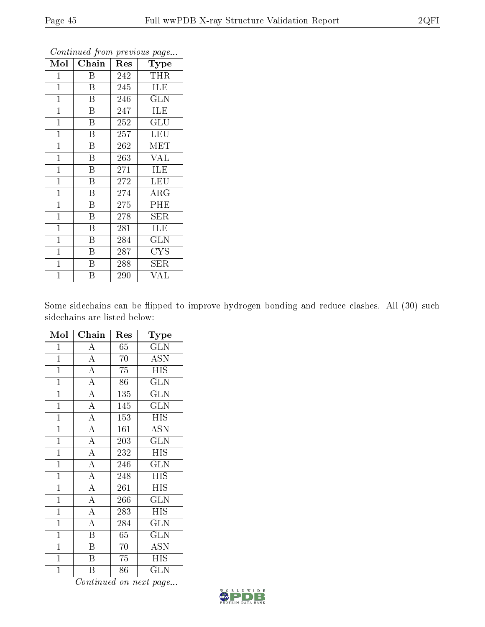| Mol            | Chain                   | Res | Type                    |
|----------------|-------------------------|-----|-------------------------|
| 1              | Β                       | 242 | <b>THR</b>              |
| $\mathbf{1}$   | B                       | 245 | ILE                     |
| $\mathbf 1$    | Β                       | 246 | <b>GLN</b>              |
| $\mathbf 1$    | B                       | 247 | ILE                     |
| $\mathbf{1}$   | B                       | 252 | GLU                     |
| $\mathbf{1}$   | B                       | 257 | LEU                     |
| $\mathbf{1}$   | $\overline{B}$          | 262 | <b>MET</b>              |
| $\mathbf{1}$   | $\overline{B}$          | 263 | <b>VAL</b>              |
| $\overline{1}$ | $\rm \bar{B}$           | 271 | <b>ILE</b>              |
| $\mathbf{1}$   | B                       | 272 | $\overline{\text{LEU}}$ |
| $\mathbf{1}$   | B                       | 274 | $\rm{ARG}$              |
| $\mathbf{1}$   | B                       | 275 | PHE                     |
| $\mathbf 1$    | B                       | 278 | ${\rm SER}$             |
| $\mathbf 1$    | B                       | 281 | <b>ILE</b>              |
| $\mathbf{1}$   | $\overline{\mathrm{B}}$ | 284 | <b>GLN</b>              |
| $\mathbf{1}$   | B                       | 287 | <b>CYS</b>              |
| $\mathbf{1}$   | B                       | 288 | SER                     |
| $\mathbf 1$    | B                       | 290 | VAL                     |

Some sidechains can be flipped to improve hydrogen bonding and reduce clashes. All (30) such sidechains are listed below:

| Mol            | Chain                   | Res | $_{\rm Type}$             |
|----------------|-------------------------|-----|---------------------------|
| $\mathbf{1}$   | $\overline{\rm A}$      | 65  | <b>GLN</b>                |
| $\mathbf{1}$   | $\overline{A}$          | 70  | <b>ASN</b>                |
| $\mathbf{1}$   | $\overline{A}$          | 75  | <b>HIS</b>                |
| $\overline{1}$ | $\overline{A}$          | 86  | <b>GLN</b>                |
| $\overline{1}$ | $\overline{\rm A}$      | 135 | $\overline{\rm GLN}$      |
| $\overline{1}$ | $\overline{A}$          | 145 | $\overline{\text{GLN}}$   |
| $\overline{1}$ | $\overline{\rm A}$      | 153 | <b>HIS</b>                |
| $\overline{1}$ | $\overline{A}$          | 161 | $\overline{\mathrm{ASN}}$ |
| $\mathbf{1}$   | $\overline{A}$          | 203 | <b>GLN</b>                |
| $\mathbf{1}$   | $\overline{A}$          | 232 | <b>HIS</b>                |
| $\mathbf{1}$   | $\overline{A}$          | 246 | $\widetilde{\text{GLN}}$  |
| $\mathbf{1}$   | $\overline{A}$          | 248 | <b>HIS</b>                |
| $\overline{1}$ | $\overline{\rm A}$      | 261 | $\overline{\mathrm{HIS}}$ |
| $\mathbf{1}$   | $\overline{A}$          | 266 | <b>GLN</b>                |
| $\mathbf 1$    | $\overline{A}$          | 283 | <b>HIS</b>                |
| $\mathbf 1$    | $\overline{A}$          | 284 | <b>GLN</b>                |
| $\overline{1}$ | $\overline{\mathrm{B}}$ | 65  | <b>GLN</b>                |
| $\mathbf{1}$   | $\overline{\mathrm{B}}$ | 70  | $\overline{\mathrm{ASN}}$ |
| $\overline{1}$ | $\overline{\mathrm{B}}$ | 75  | <b>HIS</b>                |
| $\overline{1}$ | B                       | 86  | <b>GLN</b>                |

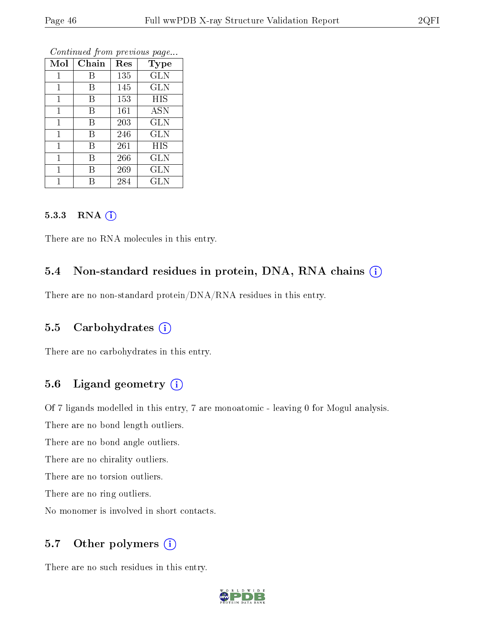|              | v     | ×.  |             |
|--------------|-------|-----|-------------|
| Mol          | Chain | Res | <b>Type</b> |
| 1            | В     | 135 | <b>GLN</b>  |
| 1            | В     | 145 | <b>GLN</b>  |
| $\mathbf{1}$ | В     | 153 | HIS         |
| $\mathbf{1}$ | В     | 161 | <b>ASN</b>  |
| 1            | В     | 203 | <b>GLN</b>  |
| $\mathbf{1}$ | В     | 246 | <b>GLN</b>  |
| $\mathbf{1}$ | В     | 261 | HIS         |
| 1            | В     | 266 | <b>GLN</b>  |
| 1            | В     | 269 | <b>GLN</b>  |
| 1            | R     | 284 | GLN         |

#### 5.3.3 RNA [O](https://www.wwpdb.org/validation/2017/XrayValidationReportHelp#rna)i

There are no RNA molecules in this entry.

#### 5.4 Non-standard residues in protein, DNA, RNA chains (i)

There are no non-standard protein/DNA/RNA residues in this entry.

#### 5.5 Carbohydrates (i)

There are no carbohydrates in this entry.

### 5.6 Ligand geometry (i)

Of 7 ligands modelled in this entry, 7 are monoatomic - leaving 0 for Mogul analysis.

There are no bond length outliers.

There are no bond angle outliers.

There are no chirality outliers.

There are no torsion outliers.

There are no ring outliers.

No monomer is involved in short contacts.

#### 5.7 [O](https://www.wwpdb.org/validation/2017/XrayValidationReportHelp#nonstandard_residues_and_ligands)ther polymers (i)

There are no such residues in this entry.

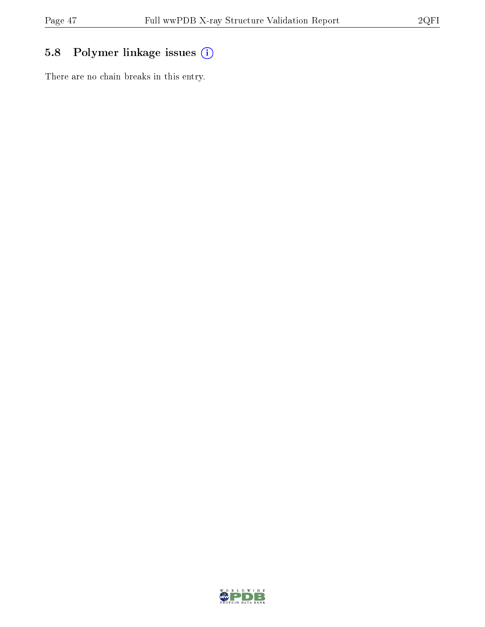## 5.8 Polymer linkage issues (i)

There are no chain breaks in this entry.

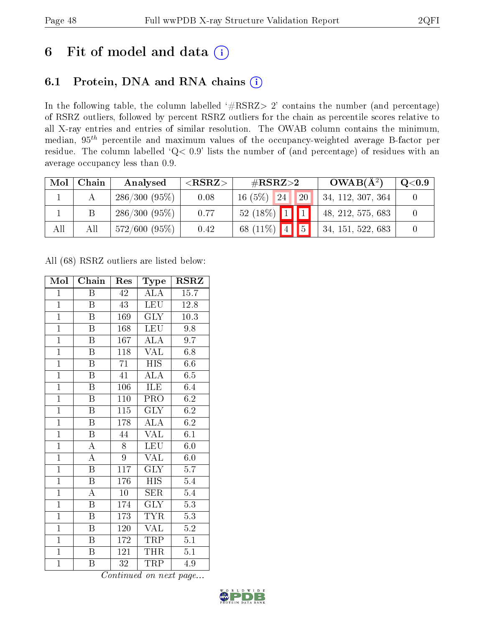# 6 Fit of model and data  $(i)$

## 6.1 Protein, DNA and RNA chains  $(i)$

In the following table, the column labelled  $#RSRZ> 2'$  contains the number (and percentage) of RSRZ outliers, followed by percent RSRZ outliers for the chain as percentile scores relative to all X-ray entries and entries of similar resolution. The OWAB column contains the minimum, median,  $95<sup>th</sup>$  percentile and maximum values of the occupancy-weighted average B-factor per residue. The column labelled ' $Q< 0.9$ ' lists the number of (and percentage) of residues with an average occupancy less than 0.9.

| Mol | Chain | Analysed        | ${ <\hspace{-1.5pt}{\mathrm{RSRZ}} \hspace{-1.5pt}>}$ | $\#\text{RSRZ}\text{>2}$            | $OWAB(A^2)$       | $\rm Q\textcolor{black}{<}0.9$ |
|-----|-------|-----------------|-------------------------------------------------------|-------------------------------------|-------------------|--------------------------------|
|     |       | $286/300(95\%)$ | 0.08                                                  | 20<br>24<br>16(5%)                  | 34, 112, 307, 364 |                                |
|     |       | $286/300(95\%)$ | 0.77                                                  | $\boxed{1}$<br>$52(18\%)$           | 48, 212, 575, 683 |                                |
| All | All   | $572/600(95\%)$ | 0.42                                                  | $\overline{5}$<br>68 $(11\%)$<br> 4 | 34, 151, 522, 683 |                                |

All (68) RSRZ outliers are listed below:

| Mol            | Chain                   | Res              | Type                           | $\rm RSRZ$       |
|----------------|-------------------------|------------------|--------------------------------|------------------|
| $\mathbf{1}$   | Β                       | 42               | ALA                            | 15.7             |
| $\overline{1}$ | B                       | 43               | <b>LEU</b>                     | 12.8             |
| $\overline{1}$ | $\overline{\mathrm{B}}$ | 169              | $\overline{\text{GLY}}$        | $10.3\,$         |
| $\overline{1}$ | $\boldsymbol{B}$        | 168              | <b>LEU</b>                     | 9.8              |
| $\overline{1}$ | $\overline{\mathrm{B}}$ | 167              | $\overline{\rm ALA}$           | $\overline{9.7}$ |
| $\overline{1}$ | Β                       | 118              | <b>VAL</b>                     | 6.8              |
| $\overline{1}$ | Β                       | 71               | <b>HIS</b>                     | $6.6\,$          |
| $\overline{1}$ | $\overline{\mathbf{B}}$ | 41               | $\overline{\rm ALA}$           | 6.5              |
| $\overline{1}$ | $\overline{B}$          | 106              | ILE                            | 6.4              |
| $\overline{1}$ | $\overline{\mathrm{B}}$ | 110              | $\overline{\text{PRO}}$        | 6.2              |
| $\overline{1}$ | $\overline{\mathrm{B}}$ | $\overline{115}$ | <b>GLY</b>                     | 6.2              |
| $\overline{1}$ | $\overline{\mathrm{B}}$ | 178              | $\overline{\rm ALA}$           | 6.2              |
| $\overline{1}$ | $\overline{\mathrm{B}}$ | 44               | VAL                            | 6.1              |
| $\overline{1}$ | $\overline{\rm A}$      | 8                | $LE\overline{U}$               | 6.0              |
| $\overline{1}$ | $\overline{\rm A}$      | 9                | <b>VAL</b>                     | 6.0              |
| $\mathbf{1}$   | $\, {\bf B}$            | 117              | $\overline{\text{GLY}}$        | 5.7              |
| $\overline{1}$ | $\overline{\mathrm{B}}$ | 176              | $\overline{HIS}$               | 5.4              |
| $\overline{1}$ | $\overline{\rm A}$      | 10               | <b>SER</b>                     | 5.4              |
| $\overline{1}$ | $\overline{\mathrm{B}}$ | 174              | $\overline{\text{GLY}}$        | $\overline{5.3}$ |
| $\overline{1}$ | $\overline{\mathrm{B}}$ | 173              | <b>TYR</b>                     | $\overline{5.3}$ |
| $\overline{1}$ | $\boldsymbol{B}$        | 120              | <b>VAL</b>                     | $\overline{5.2}$ |
| $\overline{1}$ | Β                       | 172              | TRP                            | 5.1              |
| $\mathbf{1}$   | $\boldsymbol{B}$        | 121              | THR                            | 5.1              |
| $\mathbf{1}$   | Β                       | 32               | $\overline{\text{T}}\text{RP}$ | 4.9              |

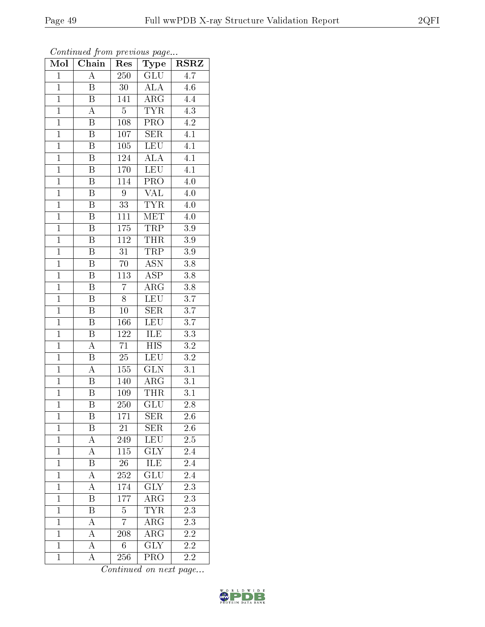| Continued from previous page |                           |                 |                                    |                  |  |
|------------------------------|---------------------------|-----------------|------------------------------------|------------------|--|
| Mol                          | $\overline{\text{Chain}}$ | Res             | Type                               | <b>RSRZ</b>      |  |
| $\mathbf{1}$                 | A                         | 250             | <b>GLU</b>                         | 4.7              |  |
| $\mathbf{1}$                 | B                         | 30              | <b>ALA</b>                         | 4.6              |  |
| $\mathbf{1}$                 | $\boldsymbol{B}$          | 141             | $\overline{\rm{ARG}}$              | 4.4              |  |
| $\mathbf{1}$                 | $\boldsymbol{A}$          | $\overline{5}$  | <b>TYR</b>                         | $\overline{4.3}$ |  |
| $\mathbf{1}$                 | $\boldsymbol{B}$          | 108             | $\overline{\text{PRO}}$            | 4.2              |  |
| $\overline{1}$               | B                         | 107             | <b>SER</b>                         | 4.1              |  |
| $\mathbf 1$                  | B                         | 105             | LEU                                | 4.1              |  |
| $\mathbf{1}$                 | B                         | 124             | $\overline{\rm ALA}$               | $\overline{4.1}$ |  |
| $\mathbf{1}$                 | B                         | 170             | <b>LEU</b>                         | 4.1              |  |
| $\overline{1}$               | $\boldsymbol{B}$          | 114             | $\overline{\text{PRO}}$            | 4.0              |  |
| $\mathbf{1}$                 | B                         | 9               | VAL                                | 4.0              |  |
| $\overline{1}$               | B                         | $\overline{33}$ | $\overline{\text{TYR}}$            | 4.0              |  |
| $\mathbf{1}$                 | Β                         | 111             | MET                                | 4.0              |  |
| $\mathbf{1}$                 | B                         | 175             | <b>TRP</b>                         | 3.9              |  |
| $\mathbf{1}$                 | $\boldsymbol{B}$          | 112             | <b>THR</b>                         | 3.9              |  |
| $\mathbf{1}$                 | B                         | 31              | TRP                                | 3.9              |  |
| $\mathbf{1}$                 | B                         | $\overline{70}$ | $\overline{\mathrm{ASN}}$          | $\overline{3.8}$ |  |
| $\mathbf{1}$                 | B                         | 113             | <b>ASP</b>                         | 3.8              |  |
| $\overline{1}$               | B                         | $\overline{7}$  | $\rm{ARG}$                         | 3.8              |  |
| $\mathbf{1}$                 | B                         | 8               | LEU                                | 3.7              |  |
| $\mathbf{1}$                 | B                         | 10              | <b>SER</b>                         | 3.7              |  |
| $\mathbf{1}$                 | B                         | 166             | $\overline{\text{LEU}}$            | $3.7\,$          |  |
| $\mathbf{1}$                 | B                         | 122             | ILE                                | $3.3\,$          |  |
| $\overline{1}$               | $\overline{\rm A}$        | 71              | $\overline{\mathrm{HIS}}$          | $3.2\,$          |  |
| $\overline{1}$               | Β                         | $\overline{25}$ | LEU                                | $\overline{3.2}$ |  |
| $\mathbf{1}$                 | А                         | 155             | <b>GLN</b>                         | 3.1              |  |
| $\overline{1}$               | $\overline{\mathrm{B}}$   | 140             | $\overline{\rm{ARG}}$              | $\overline{3.1}$ |  |
| $\mathbf{1}$                 | Β                         | 109             | <b>THR</b>                         | 3.1              |  |
| $\mathbf{1}$                 | Β                         | 250             | $\overline{\text{GLU}}$            | $2.8\,$          |  |
| $\mathbf{1}$                 | B                         | 171             | <b>SER</b>                         | $2.6\,$          |  |
| $\overline{1}$               | B                         | 21              | <b>SER</b>                         | 2.6              |  |
| $\mathbf{1}$                 | А                         | 249             | LEU                                | 2.5              |  |
| $\mathbf{1}$                 | A                         | 115             | <b>GLY</b>                         | 2.4              |  |
| $\mathbf{1}$                 | $\overline{\mathrm{B}}$   | $26\,$          | <b>ILE</b>                         | 2.4              |  |
| $\mathbf{1}$                 | А                         | 252             | GLU                                | 2.4              |  |
| $\mathbf{1}$                 | $\overline{\rm A}$        | 174             | $\overline{\text{GLY}}$            | 2.3              |  |
| $\mathbf 1$                  | B                         | 177             | ${\rm ARG}$                        | 2.3              |  |
| $\overline{1}$               | B                         | $\overline{5}$  | <b>TYR</b>                         | 2.3              |  |
| $\mathbf{1}$                 | $\overline{\rm A}$        | $\overline{7}$  | ${\rm ARG}$                        | 2.3              |  |
| $\mathbf{1}$                 | A                         | 208             | $\mathrm{AR}\overline{\mathrm{G}}$ | 2.2              |  |
| $\mathbf{1}$                 | $\overline{\rm A}$        | 6               | <b>GLY</b>                         | 2.2              |  |
| $\mathbf{1}$                 | A                         | 256             | PRO                                | 2.2              |  |